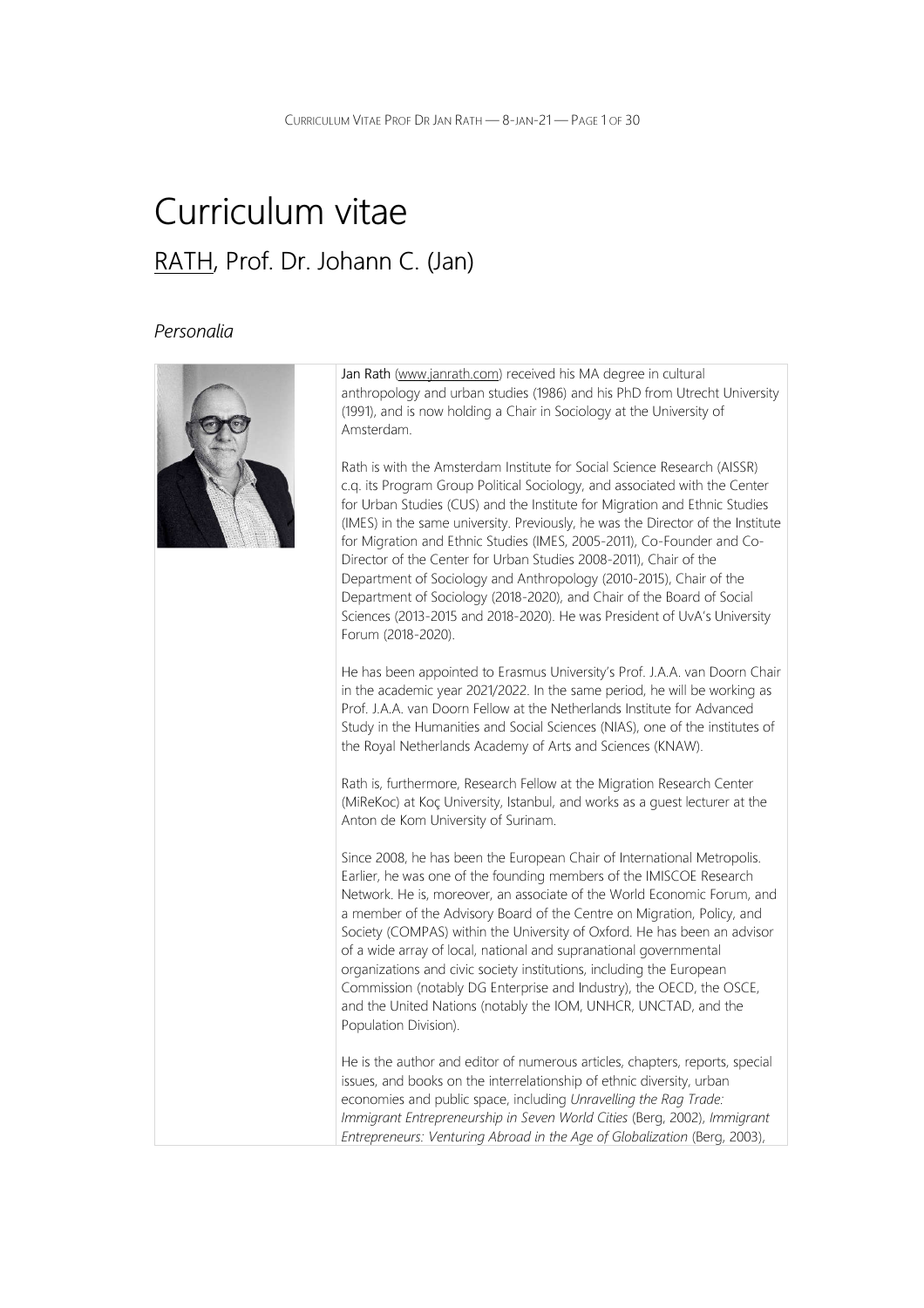# Curriculum vitae RATH, Prof. Dr. Johann C. (Jan)

### Personalia



Jan Rath (www.janrath.com) received his MA degree in cultural anthropology and urban studies (1986) and his PhD from Utrecht University (1991), and is now holding a Chair in Sociology at the University of Amsterdam.

Rath is with the Amsterdam Institute for Social Science Research (AISSR) c.q. its Program Group Political Sociology, and associated with the Center for Urban Studies (CUS) and the Institute for Migration and Ethnic Studies (IMES) in the same university. Previously, he was the Director of the Institute for Migration and Ethnic Studies (IMES, 2005-2011), Co-Founder and Co-Director of the Center for Urban Studies 2008-2011), Chair of the Department of Sociology and Anthropology (2010-2015), Chair of the Department of Sociology (2018-2020), and Chair of the Board of Social Sciences (2013-2015 and 2018-2020). He was President of UvA's University Forum (2018-2020).

He has been appointed to Erasmus University's Prof. J.A.A. van Doorn Chair in the academic year 2021/2022. In the same period, he will be working as Prof. J.A.A. van Doorn Fellow at the Netherlands Institute for Advanced Study in the Humanities and Social Sciences (NIAS), one of the institutes of the Royal Netherlands Academy of Arts and Sciences (KNAW).

Rath is, furthermore, Research Fellow at the Migration Research Center (MiReKoc) at Koç University, Istanbul, and works as a guest lecturer at the Anton de Kom University of Surinam.

Since 2008, he has been the European Chair of International Metropolis. Earlier, he was one of the founding members of the IMISCOE Research Network. He is, moreover, an associate of the World Economic Forum, and a member of the Advisory Board of the Centre on Migration, Policy, and Society (COMPAS) within the University of Oxford. He has been an advisor of a wide array of local, national and supranational governmental organizations and civic society institutions, including the European Commission (notably DG Enterprise and Industry), the OECD, the OSCE, and the United Nations (notably the IOM, UNHCR, UNCTAD, and the Population Division).

He is the author and editor of numerous articles, chapters, reports, special issues, and books on the interrelationship of ethnic diversity, urban economies and public space, including Unravelling the Rag Trade: Immigrant Entrepreneurship in Seven World Cities (Berg, 2002), Immigrant Entrepreneurs: Venturing Abroad in the Age of Globalization (Berg, 2003),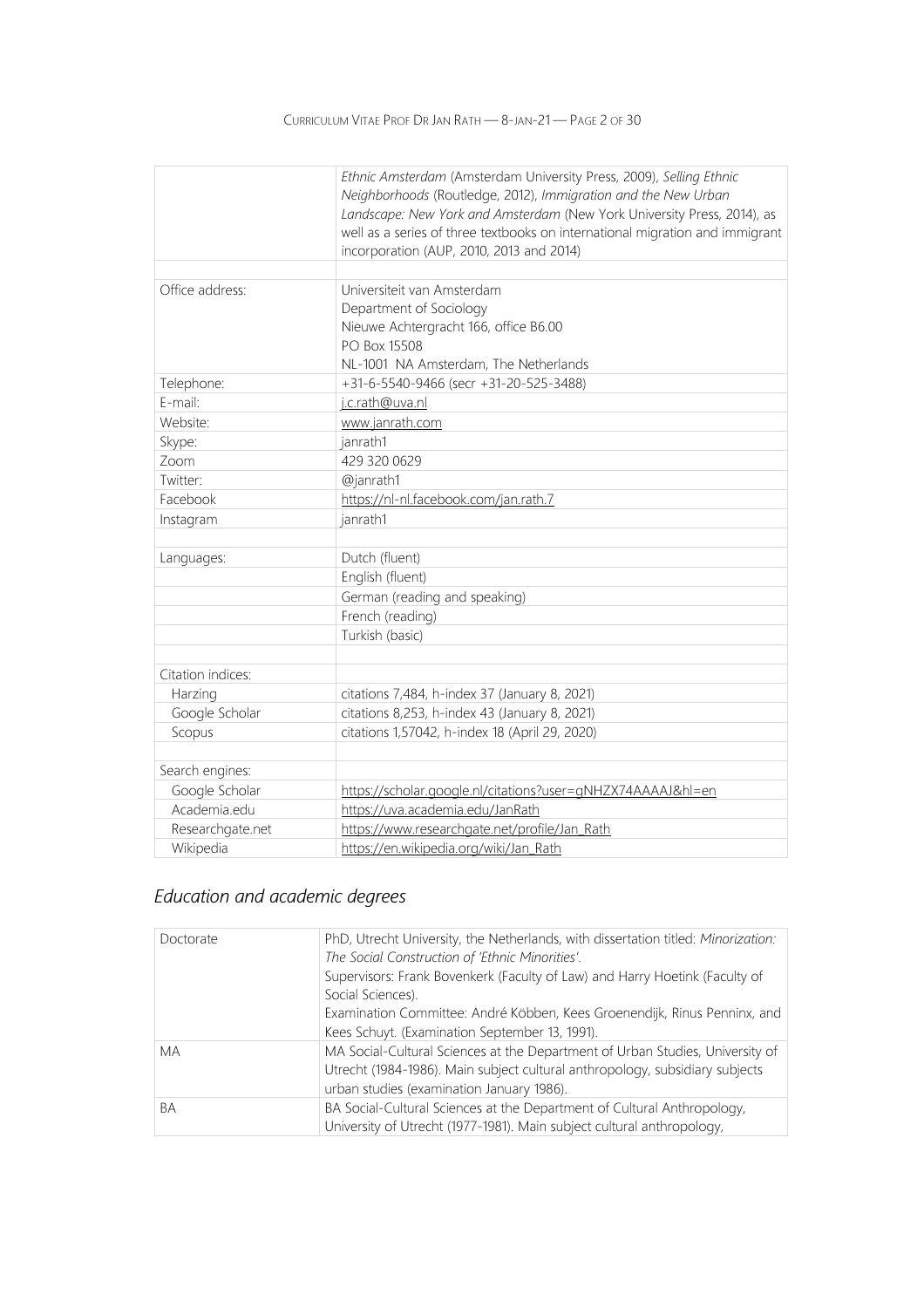|                   | Ethnic Amsterdam (Amsterdam University Press, 2009), Selling Ethnic<br>Neighborhoods (Routledge, 2012), Immigration and the New Urban |
|-------------------|---------------------------------------------------------------------------------------------------------------------------------------|
|                   | Landscape: New York and Amsterdam (New York University Press, 2014), as                                                               |
|                   | well as a series of three textbooks on international migration and immigrant                                                          |
|                   | incorporation (AUP, 2010, 2013 and 2014)                                                                                              |
|                   |                                                                                                                                       |
| Office address:   | Universiteit van Amsterdam                                                                                                            |
|                   | Department of Sociology                                                                                                               |
|                   | Nieuwe Achtergracht 166, office B6.00                                                                                                 |
|                   | PO Box 15508                                                                                                                          |
|                   | NL-1001 NA Amsterdam, The Netherlands                                                                                                 |
| Telephone:        | +31-6-5540-9466 (secr +31-20-525-3488)                                                                                                |
| E-mail:           | j.c.rath@uva.nl                                                                                                                       |
| Website:          | www.janrath.com                                                                                                                       |
| Skype:            | janrath1                                                                                                                              |
| Zoom              | 429 320 0629                                                                                                                          |
| Twitter:          | @janrath1                                                                                                                             |
| Facebook          | https://nl-nl.facebook.com/jan.rath.7                                                                                                 |
| Instagram         | janrath1                                                                                                                              |
|                   |                                                                                                                                       |
| Languages:        | Dutch (fluent)                                                                                                                        |
|                   | English (fluent)                                                                                                                      |
|                   | German (reading and speaking)                                                                                                         |
|                   | French (reading)                                                                                                                      |
|                   | Turkish (basic)                                                                                                                       |
|                   |                                                                                                                                       |
| Citation indices: |                                                                                                                                       |
| Harzing           | citations 7,484, h-index 37 (January 8, 2021)                                                                                         |
| Google Scholar    | citations 8,253, h-index 43 (January 8, 2021)                                                                                         |
| Scopus            | citations 1,57042, h-index 18 (April 29, 2020)                                                                                        |
| Search engines:   |                                                                                                                                       |
| Google Scholar    | https://scholar.google.nl/citations?user=gNHZX74AAAAJ&hl=en                                                                           |
| Academia.edu      | https://uva.academia.edu/JanRath                                                                                                      |
| Researchgate.net  | https://www.researchgate.net/profile/Jan_Rath                                                                                         |
| Wikipedia         | https://en.wikipedia.org/wiki/Jan_Rath                                                                                                |

## Education and academic degrees

| Doctorate | PhD, Utrecht University, the Netherlands, with dissertation titled: Minorization:<br>The Social Construction of 'Ethnic Minorities'. |
|-----------|--------------------------------------------------------------------------------------------------------------------------------------|
|           | Supervisors: Frank Bovenkerk (Faculty of Law) and Harry Hoetink (Faculty of                                                          |
|           | Social Sciences).                                                                                                                    |
|           | Examination Committee: André Köbben, Kees Groenendijk, Rinus Penninx, and                                                            |
|           | Kees Schuyt. (Examination September 13, 1991).                                                                                       |
| <b>MA</b> | MA Social-Cultural Sciences at the Department of Urban Studies, University of                                                        |
|           | Utrecht (1984-1986). Main subject cultural anthropology, subsidiary subjects                                                         |
|           | urban studies (examination January 1986).                                                                                            |
| <b>BA</b> | BA Social-Cultural Sciences at the Department of Cultural Anthropology,                                                              |
|           | University of Utrecht (1977-1981). Main subject cultural anthropology,                                                               |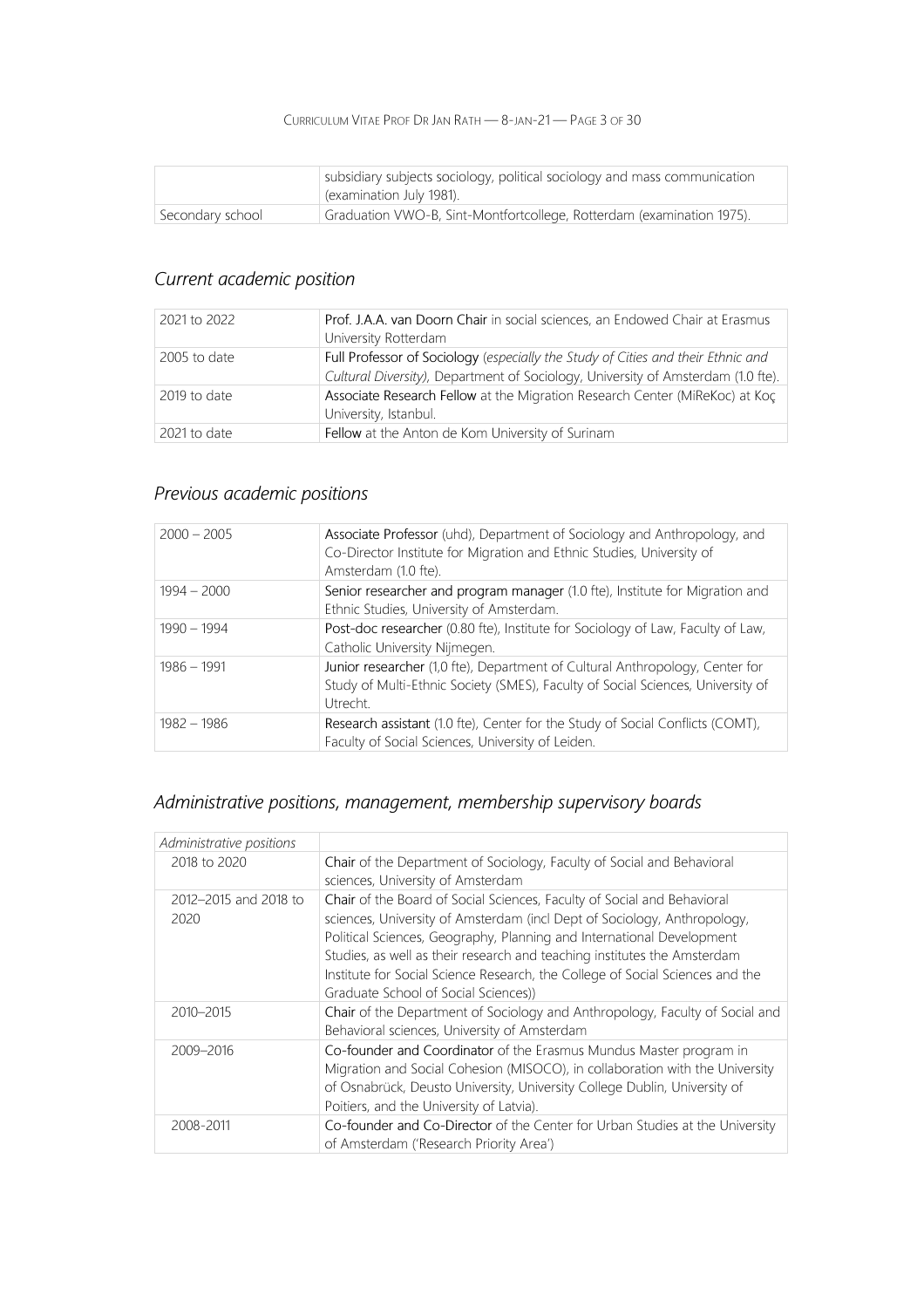### CURRICULUM VITAE PROF DR JAN RATH — 8-JAN-21 — PAGE 3 OF 30

|                  | subsidiary subjects sociology, political sociology and mass communication<br>cexamination July 1981). |
|------------------|-------------------------------------------------------------------------------------------------------|
| Secondary school | Graduation VWO-B, Sint-Montfortcollege, Rotterdam (examination 1975).                                 |

## Current academic position

| 2021 to 2022 | Prof. J.A.A. van Doorn Chair in social sciences, an Endowed Chair at Erasmus<br>University Rotterdam                                                                 |
|--------------|----------------------------------------------------------------------------------------------------------------------------------------------------------------------|
| 2005 to date | Full Professor of Sociology (especially the Study of Cities and their Ethnic and<br>Cultural Diversity), Department of Sociology, University of Amsterdam (1.0 fte). |
| 2019 to date | Associate Research Fellow at the Migration Research Center (MiReKoc) at Koç<br>University, Istanbul.                                                                 |
| 2021 to date | Fellow at the Anton de Kom University of Surinam                                                                                                                     |

## Previous academic positions

| $2000 - 2005$ | Associate Professor (uhd), Department of Sociology and Anthropology, and<br>Co-Director Institute for Migration and Ethnic Studies, University of<br>Amsterdam (1.0 fte).   |
|---------------|-----------------------------------------------------------------------------------------------------------------------------------------------------------------------------|
| $1994 - 2000$ | Senior researcher and program manager (1.0 fte), Institute for Migration and<br>Ethnic Studies, University of Amsterdam.                                                    |
| $1990 - 1994$ | Post-doc researcher (0.80 fte), Institute for Sociology of Law, Faculty of Law,<br>Catholic University Nijmegen.                                                            |
| $1986 - 1991$ | Junior researcher (1,0 fte), Department of Cultural Anthropology, Center for<br>Study of Multi-Ethnic Society (SMES), Faculty of Social Sciences, University of<br>Utrecht. |
| $1982 - 1986$ | Research assistant (1.0 fte), Center for the Study of Social Conflicts (COMT),<br>Faculty of Social Sciences, University of Leiden.                                         |

## Administrative positions, management, membership supervisory boards

| Administrative positions      |                                                                                                                                                                                                                                                                                                                                                                                                                                   |
|-------------------------------|-----------------------------------------------------------------------------------------------------------------------------------------------------------------------------------------------------------------------------------------------------------------------------------------------------------------------------------------------------------------------------------------------------------------------------------|
| 2018 to 2020                  | Chair of the Department of Sociology, Faculty of Social and Behavioral<br>sciences, University of Amsterdam                                                                                                                                                                                                                                                                                                                       |
| 2012-2015 and 2018 to<br>2020 | Chair of the Board of Social Sciences, Faculty of Social and Behavioral<br>sciences, University of Amsterdam (incl Dept of Sociology, Anthropology,<br>Political Sciences, Geography, Planning and International Development<br>Studies, as well as their research and teaching institutes the Amsterdam<br>Institute for Social Science Research, the College of Social Sciences and the<br>Graduate School of Social Sciences)) |
| 2010-2015                     | Chair of the Department of Sociology and Anthropology, Faculty of Social and<br>Behavioral sciences, University of Amsterdam                                                                                                                                                                                                                                                                                                      |
| 2009-2016                     | Co-founder and Coordinator of the Erasmus Mundus Master program in<br>Migration and Social Cohesion (MISOCO), in collaboration with the University<br>of Osnabrück, Deusto University, University College Dublin, University of<br>Poitiers, and the University of Latvia).                                                                                                                                                       |
| 2008-2011                     | Co-founder and Co-Director of the Center for Urban Studies at the University<br>of Amsterdam ('Research Priority Area')                                                                                                                                                                                                                                                                                                           |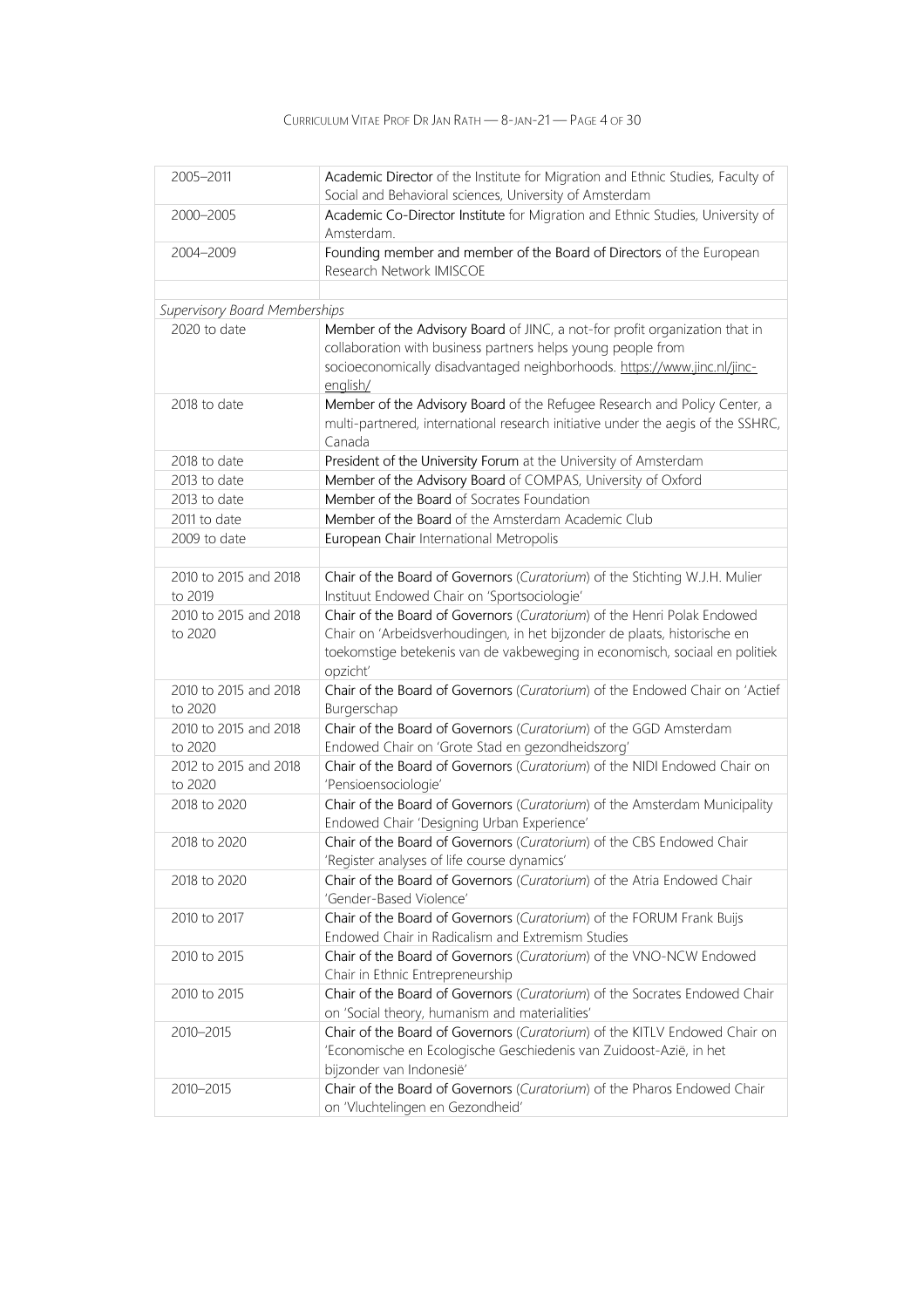| 2005-2011                        | Academic Director of the Institute for Migration and Ethnic Studies, Faculty of<br>Social and Behavioral sciences, University of Amsterdam                                   |
|----------------------------------|------------------------------------------------------------------------------------------------------------------------------------------------------------------------------|
| 2000-2005                        | Academic Co-Director Institute for Migration and Ethnic Studies, University of<br>Amsterdam.                                                                                 |
| 2004-2009                        | Founding member and member of the Board of Directors of the European<br>Research Network IMISCOE                                                                             |
|                                  |                                                                                                                                                                              |
| Supervisory Board Memberships    |                                                                                                                                                                              |
| 2020 to date                     | Member of the Advisory Board of JINC, a not-for profit organization that in<br>collaboration with business partners helps young people from                                  |
|                                  | socioeconomically disadvantaged neighborhoods. https://www.jinc.nl/jinc-<br>english/                                                                                         |
| 2018 to date                     | Member of the Advisory Board of the Refugee Research and Policy Center, a<br>multi-partnered, international research initiative under the aegis of the SSHRC,<br>Canada      |
| 2018 to date                     | President of the University Forum at the University of Amsterdam                                                                                                             |
| 2013 to date                     | Member of the Advisory Board of COMPAS, University of Oxford                                                                                                                 |
| 2013 to date                     | Member of the Board of Socrates Foundation                                                                                                                                   |
| 2011 to date                     | Member of the Board of the Amsterdam Academic Club                                                                                                                           |
| 2009 to date                     | European Chair International Metropolis                                                                                                                                      |
|                                  |                                                                                                                                                                              |
| 2010 to 2015 and 2018<br>to 2019 | Chair of the Board of Governors (Curatorium) of the Stichting W.J.H. Mulier<br>Instituut Endowed Chair on 'Sportsociologie'                                                  |
| 2010 to 2015 and 2018<br>to 2020 | Chair of the Board of Governors (Curatorium) of the Henri Polak Endowed<br>Chair on 'Arbeidsverhoudingen, in het bijzonder de plaats, historische en                         |
|                                  | toekomstige betekenis van de vakbeweging in economisch, sociaal en politiek<br>opzicht'                                                                                      |
| 2010 to 2015 and 2018<br>to 2020 | Chair of the Board of Governors (Curatorium) of the Endowed Chair on 'Actief<br>Burgerschap                                                                                  |
| 2010 to 2015 and 2018<br>to 2020 | Chair of the Board of Governors (Curatorium) of the GGD Amsterdam<br>Endowed Chair on 'Grote Stad en gezondheidszorg'                                                        |
| 2012 to 2015 and 2018<br>to 2020 | Chair of the Board of Governors (Curatorium) of the NIDI Endowed Chair on<br>'Pensioensociologie'                                                                            |
| 2018 to 2020                     | Chair of the Board of Governors (Curatorium) of the Amsterdam Municipality<br>Endowed Chair 'Designing Urban Experience'                                                     |
| 2018 to 2020                     | Chair of the Board of Governors (Curatorium) of the CBS Endowed Chair<br>'Register analyses of life course dynamics'                                                         |
| 2018 to 2020                     | Chair of the Board of Governors (Curatorium) of the Atria Endowed Chair<br>'Gender-Based Violence'                                                                           |
| 2010 to 2017                     | Chair of the Board of Governors (Curatorium) of the FORUM Frank Buijs<br>Endowed Chair in Radicalism and Extremism Studies                                                   |
| 2010 to 2015                     | Chair of the Board of Governors (Curatorium) of the VNO-NCW Endowed<br>Chair in Ethnic Entrepreneurship                                                                      |
| 2010 to 2015                     | Chair of the Board of Governors (Curatorium) of the Socrates Endowed Chair<br>on 'Social theory, humanism and materialities'                                                 |
| 2010-2015                        | Chair of the Board of Governors (Curatorium) of the KITLV Endowed Chair on<br>'Economische en Ecologische Geschiedenis van Zuidoost-Azië, in het<br>bijzonder van Indonesië' |
| 2010-2015                        | Chair of the Board of Governors (Curatorium) of the Pharos Endowed Chair<br>on 'Vluchtelingen en Gezondheid'                                                                 |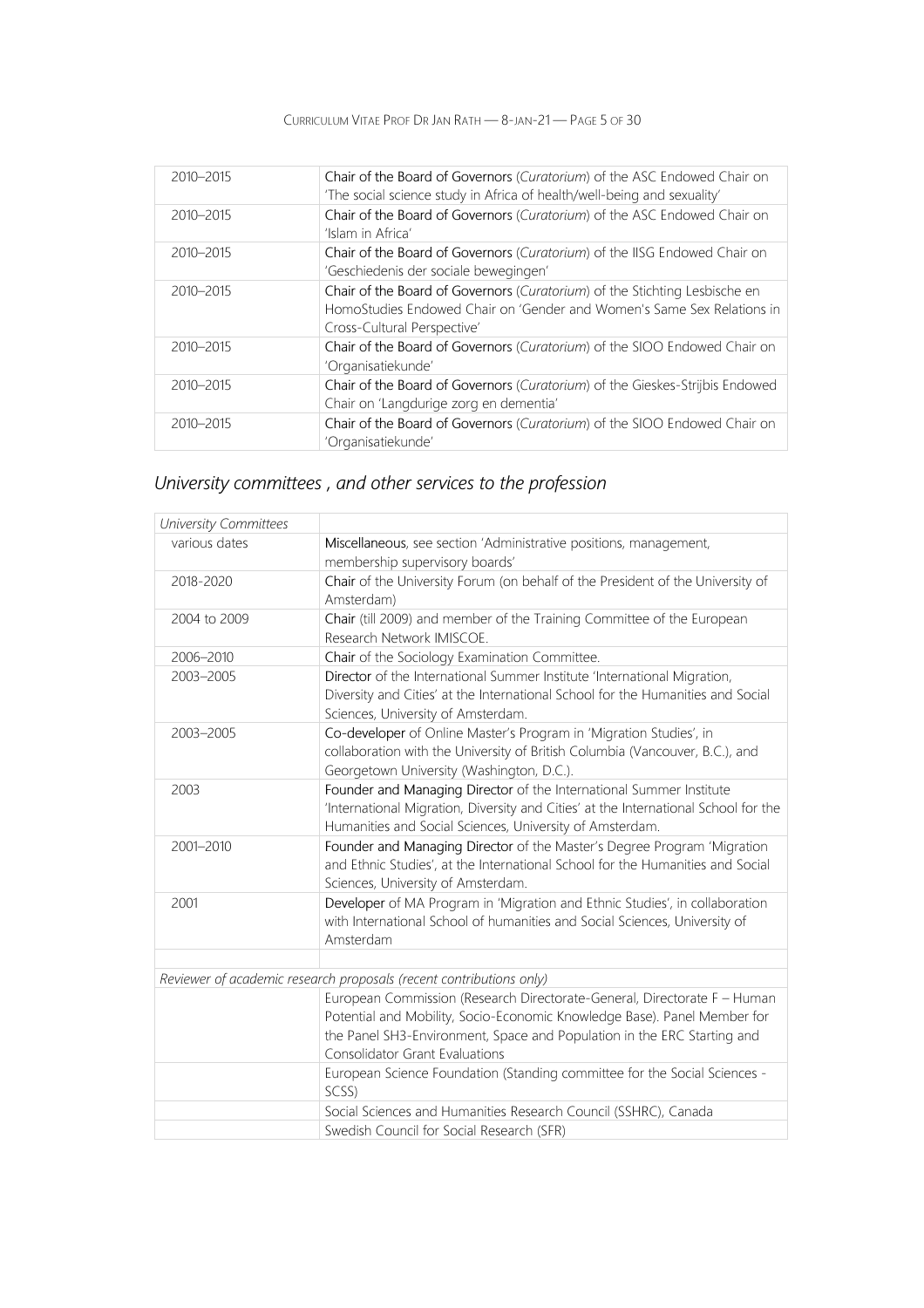CURRICULUM VITAE PROF DR JAN RATH — 8-JAN-21 — PAGE 5 OF 30

| 2010-2015 | Chair of the Board of Governors (Curatorium) of the ASC Endowed Chair on<br>'The social science study in Africa of health/well-being and sexuality'                                 |
|-----------|-------------------------------------------------------------------------------------------------------------------------------------------------------------------------------------|
| 2010-2015 | Chair of the Board of Governors (Curatorium) of the ASC Endowed Chair on<br>'Islam in Africa'                                                                                       |
| 2010-2015 | Chair of the Board of Governors (Curatorium) of the IISG Endowed Chair on<br>'Geschiedenis der sociale bewegingen'                                                                  |
| 2010-2015 | Chair of the Board of Governors (Curatorium) of the Stichting Lesbische en<br>HomoStudies Endowed Chair on 'Gender and Women's Same Sex Relations in<br>Cross-Cultural Perspective' |
| 2010-2015 | Chair of the Board of Governors (Curatorium) of the SIOO Endowed Chair on<br>'Organisatiekunde'                                                                                     |
| 2010-2015 | Chair of the Board of Governors (Curatorium) of the Gieskes-Strijbis Endowed<br>Chair on 'Langdurige zorg en dementia'                                                              |
| 2010-2015 | Chair of the Board of Governors (Curatorium) of the SIOO Endowed Chair on<br>'Organisatiekunde'                                                                                     |

## University committees , and other services to the profession

| University Committees |                                                                                                                                                                                                                                                                   |
|-----------------------|-------------------------------------------------------------------------------------------------------------------------------------------------------------------------------------------------------------------------------------------------------------------|
| various dates         | Miscellaneous, see section 'Administrative positions, management,<br>membership supervisory boards'                                                                                                                                                               |
| 2018-2020             | Chair of the University Forum (on behalf of the President of the University of<br>Amsterdam)                                                                                                                                                                      |
| 2004 to 2009          | Chair (till 2009) and member of the Training Committee of the European<br>Research Network IMISCOE.                                                                                                                                                               |
| 2006-2010             | Chair of the Sociology Examination Committee.                                                                                                                                                                                                                     |
| 2003-2005             | Director of the International Summer Institute 'International Migration,<br>Diversity and Cities' at the International School for the Humanities and Social<br>Sciences, University of Amsterdam.                                                                 |
| 2003-2005             | Co-developer of Online Master's Program in 'Migration Studies', in<br>collaboration with the University of British Columbia (Vancouver, B.C.), and<br>Georgetown University (Washington, D.C.).                                                                   |
| 2003                  | Founder and Managing Director of the International Summer Institute<br>'International Migration, Diversity and Cities' at the International School for the<br>Humanities and Social Sciences, University of Amsterdam.                                            |
| 2001-2010             | Founder and Managing Director of the Master's Degree Program 'Migration<br>and Ethnic Studies', at the International School for the Humanities and Social<br>Sciences, University of Amsterdam.                                                                   |
| 2001                  | Developer of MA Program in 'Migration and Ethnic Studies', in collaboration<br>with International School of humanities and Social Sciences, University of<br>Amsterdam                                                                                            |
|                       |                                                                                                                                                                                                                                                                   |
|                       | Reviewer of academic research proposals (recent contributions only)                                                                                                                                                                                               |
|                       | European Commission (Research Directorate-General, Directorate F - Human<br>Potential and Mobility, Socio-Economic Knowledge Base). Panel Member for<br>the Panel SH3-Environment, Space and Population in the ERC Starting and<br>Consolidator Grant Evaluations |
|                       | European Science Foundation (Standing committee for the Social Sciences -<br>SCSS)                                                                                                                                                                                |
|                       | Social Sciences and Humanities Research Council (SSHRC), Canada                                                                                                                                                                                                   |
|                       | Swedish Council for Social Research (SFR)                                                                                                                                                                                                                         |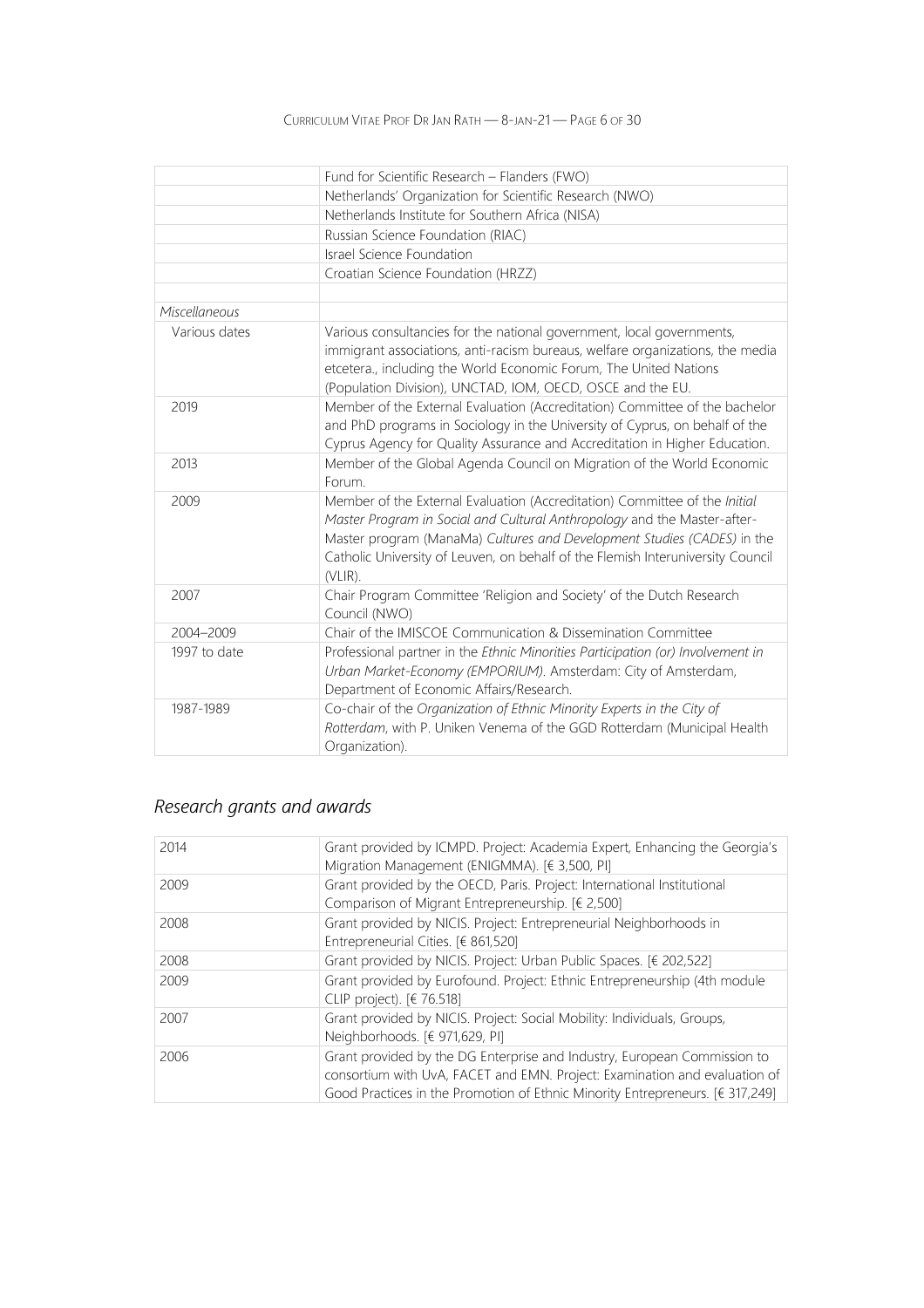|               | Fund for Scientific Research - Flanders (FWO)                                   |
|---------------|---------------------------------------------------------------------------------|
|               | Netherlands' Organization for Scientific Research (NWO)                         |
|               | Netherlands Institute for Southern Africa (NISA)                                |
|               | Russian Science Foundation (RIAC)                                               |
|               | Israel Science Foundation                                                       |
|               | Croatian Science Foundation (HRZZ)                                              |
|               |                                                                                 |
| Miscellaneous |                                                                                 |
| Various dates | Various consultancies for the national government, local governments,           |
|               | immigrant associations, anti-racism bureaus, welfare organizations, the media   |
|               | etcetera., including the World Economic Forum, The United Nations               |
|               | (Population Division), UNCTAD, IOM, OECD, OSCE and the EU.                      |
| 2019          | Member of the External Evaluation (Accreditation) Committee of the bachelor     |
|               | and PhD programs in Sociology in the University of Cyprus, on behalf of the     |
|               | Cyprus Agency for Quality Assurance and Accreditation in Higher Education.      |
| 2013          | Member of the Global Agenda Council on Migration of the World Economic          |
|               | Forum.                                                                          |
| 2009          | Member of the External Evaluation (Accreditation) Committee of the Initial      |
|               | Master Program in Social and Cultural Anthropology and the Master-after-        |
|               | Master program (ManaMa) Cultures and Development Studies (CADES) in the         |
|               | Catholic University of Leuven, on behalf of the Flemish Interuniversity Council |
|               | $(VLIR)$ .                                                                      |
| 2007          | Chair Program Committee 'Religion and Society' of the Dutch Research            |
|               | Council (NWO)                                                                   |
| 2004-2009     | Chair of the IMISCOE Communication & Dissemination Committee                    |
| 1997 to date  | Professional partner in the Ethnic Minorities Participation (or) Involvement in |
|               | Urban Market-Economy (EMPORIUM). Amsterdam: City of Amsterdam,                  |
|               | Department of Economic Affairs/Research.                                        |
| 1987-1989     | Co-chair of the Organization of Ethnic Minority Experts in the City of          |
|               | Rotterdam, with P. Uniken Venema of the GGD Rotterdam (Municipal Health         |
|               | Organization).                                                                  |

## Research grants and awards

| 2014 | Grant provided by ICMPD. Project: Academia Expert, Enhancing the Georgia's<br>Migration Management (ENIGMMA). [€ 3,500, PI]                                                                                                             |
|------|-----------------------------------------------------------------------------------------------------------------------------------------------------------------------------------------------------------------------------------------|
| 2009 | Grant provided by the OECD, Paris. Project: International Institutional<br>Comparison of Migrant Entrepreneurship. [€ 2,500]                                                                                                            |
| 2008 | Grant provided by NICIS. Project: Entrepreneurial Neighborhoods in<br>Entrepreneurial Cities. [€ 861,520]                                                                                                                               |
| 2008 | Grant provided by NICIS. Project: Urban Public Spaces. [€ 202,522]                                                                                                                                                                      |
| 2009 | Grant provided by Eurofound. Project: Ethnic Entrepreneurship (4th module<br>CLIP project). $[6, 76.518]$                                                                                                                               |
| 2007 | Grant provided by NICIS. Project: Social Mobility: Individuals, Groups,<br>Neighborhoods. [€ 971,629, PI]                                                                                                                               |
| 2006 | Grant provided by the DG Enterprise and Industry, European Commission to<br>consortium with UvA, FACET and EMN. Project: Examination and evaluation of<br>Good Practices in the Promotion of Ethnic Minority Entrepreneurs. [€ 317,249] |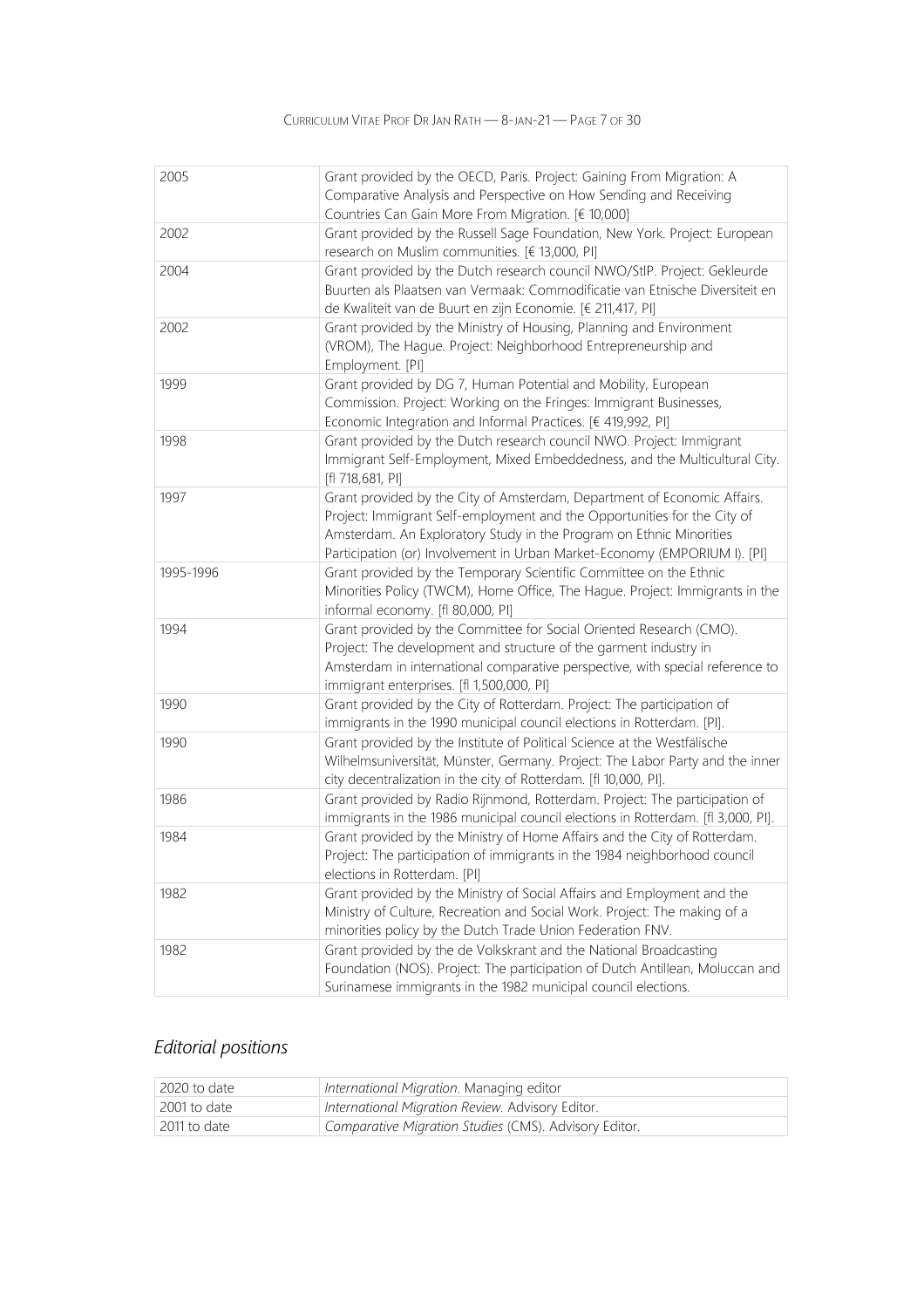| 2005      | Grant provided by the OECD, Paris. Project: Gaining From Migration: A<br>Comparative Analysis and Perspective on How Sending and Receiving<br>Countries Can Gain More From Migration. [€ 10,000]                                                                                                         |
|-----------|----------------------------------------------------------------------------------------------------------------------------------------------------------------------------------------------------------------------------------------------------------------------------------------------------------|
| 2002      | Grant provided by the Russell Sage Foundation, New York. Project: European<br>research on Muslim communities. [€ 13,000, PI]                                                                                                                                                                             |
| 2004      | Grant provided by the Dutch research council NWO/StIP. Project: Gekleurde<br>Buurten als Plaatsen van Vermaak: Commodificatie van Etnische Diversiteit en<br>de Kwaliteit van de Buurt en zijn Economie. [€ 211,417, PI]                                                                                 |
| 2002      | Grant provided by the Ministry of Housing, Planning and Environment<br>(VROM), The Hague. Project: Neighborhood Entrepreneurship and<br>Employment. [PI]                                                                                                                                                 |
| 1999      | Grant provided by DG 7, Human Potential and Mobility, European<br>Commission. Project: Working on the Fringes: Immigrant Businesses,<br>Economic Integration and Informal Practices. [€ 419,992, PI]                                                                                                     |
| 1998      | Grant provided by the Dutch research council NWO. Project: Immigrant<br>Immigrant Self-Employment, Mixed Embeddedness, and the Multicultural City.<br>[fl 718,681, PI]                                                                                                                                   |
| 1997      | Grant provided by the City of Amsterdam, Department of Economic Affairs.<br>Project: Immigrant Self-employment and the Opportunities for the City of<br>Amsterdam. An Exploratory Study in the Program on Ethnic Minorities<br>Participation (or) Involvement in Urban Market-Economy (EMPORIUM I). [PI] |
| 1995-1996 | Grant provided by the Temporary Scientific Committee on the Ethnic<br>Minorities Policy (TWCM), Home Office, The Hague. Project: Immigrants in the<br>informal economy. [fl 80,000, PI]                                                                                                                  |
| 1994      | Grant provided by the Committee for Social Oriented Research (CMO).<br>Project: The development and structure of the garment industry in<br>Amsterdam in international comparative perspective, with special reference to<br>immigrant enterprises. [fl 1,500,000, PI]                                   |
| 1990      | Grant provided by the City of Rotterdam. Project: The participation of<br>immigrants in the 1990 municipal council elections in Rotterdam. [PI].                                                                                                                                                         |
| 1990      | Grant provided by the Institute of Political Science at the Westfälische<br>Wilhelmsuniversität, Münster, Germany. Project: The Labor Party and the inner<br>city decentralization in the city of Rotterdam. [fl 10,000, PI].                                                                            |
| 1986      | Grant provided by Radio Rijnmond, Rotterdam. Project: The participation of<br>immigrants in the 1986 municipal council elections in Rotterdam. [fl 3,000, PI].                                                                                                                                           |
| 1984      | Grant provided by the Ministry of Home Affairs and the City of Rotterdam.<br>Project: The participation of immigrants in the 1984 neighborhood council<br>elections in Rotterdam. [PI]                                                                                                                   |
| 1982      | Grant provided by the Ministry of Social Affairs and Employment and the<br>Ministry of Culture, Recreation and Social Work. Project: The making of a<br>minorities policy by the Dutch Trade Union Federation FNV.                                                                                       |
| 1982      | Grant provided by the de Volkskrant and the National Broadcasting<br>Foundation (NOS). Project: The participation of Dutch Antillean, Moluccan and<br>Surinamese immigrants in the 1982 municipal council elections.                                                                                     |

## Editorial positions

| 2020 to date | International Migration. Managing editor              |
|--------------|-------------------------------------------------------|
| 2001 to date | International Migration Review. Advisory Editor.      |
| 2011 to date | Comparative Migration Studies (CMS). Advisory Editor. |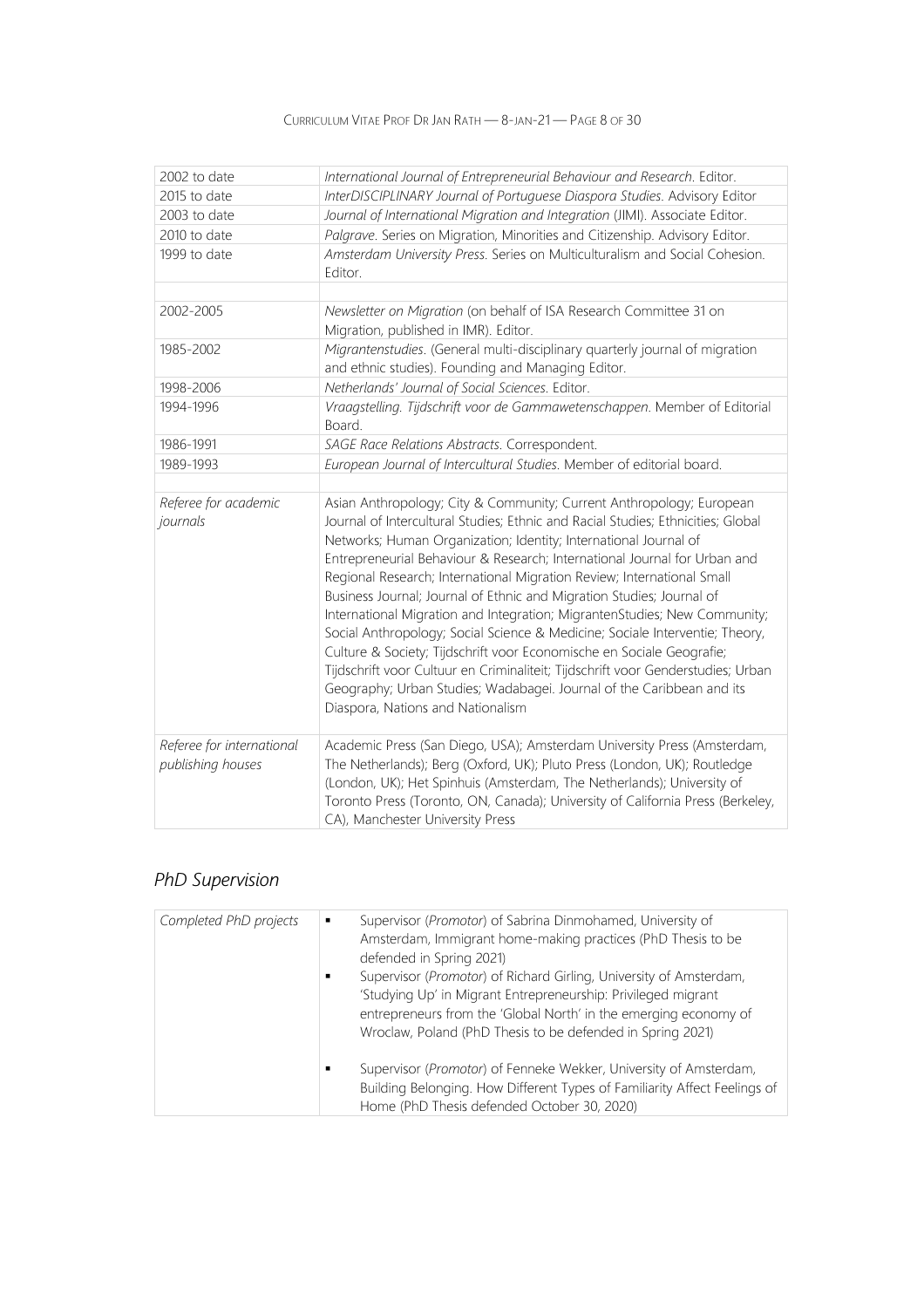### CURRICULUM VITAE PROF DR JAN RATH — 8-JAN-21 — PAGE 8 OF 30

| 2002 to date                                   | International Journal of Entrepreneurial Behaviour and Research. Editor.                                                                                                                                                                                                                                                                                                                                                                                                                                                                                                                                                                                                                                                                                                                                                                                                                             |
|------------------------------------------------|------------------------------------------------------------------------------------------------------------------------------------------------------------------------------------------------------------------------------------------------------------------------------------------------------------------------------------------------------------------------------------------------------------------------------------------------------------------------------------------------------------------------------------------------------------------------------------------------------------------------------------------------------------------------------------------------------------------------------------------------------------------------------------------------------------------------------------------------------------------------------------------------------|
| 2015 to date                                   | InterDISCIPLINARY Journal of Portuguese Diaspora Studies. Advisory Editor                                                                                                                                                                                                                                                                                                                                                                                                                                                                                                                                                                                                                                                                                                                                                                                                                            |
| 2003 to date                                   | Journal of International Migration and Integration (JIMI). Associate Editor.                                                                                                                                                                                                                                                                                                                                                                                                                                                                                                                                                                                                                                                                                                                                                                                                                         |
| 2010 to date                                   | Palgrave. Series on Migration, Minorities and Citizenship. Advisory Editor.                                                                                                                                                                                                                                                                                                                                                                                                                                                                                                                                                                                                                                                                                                                                                                                                                          |
| 1999 to date                                   | Amsterdam University Press. Series on Multiculturalism and Social Cohesion.<br>Editor.                                                                                                                                                                                                                                                                                                                                                                                                                                                                                                                                                                                                                                                                                                                                                                                                               |
|                                                |                                                                                                                                                                                                                                                                                                                                                                                                                                                                                                                                                                                                                                                                                                                                                                                                                                                                                                      |
| 2002-2005                                      | Newsletter on Migration (on behalf of ISA Research Committee 31 on<br>Migration, published in IMR). Editor.                                                                                                                                                                                                                                                                                                                                                                                                                                                                                                                                                                                                                                                                                                                                                                                          |
| 1985-2002                                      | Migrantenstudies. (General multi-disciplinary quarterly journal of migration<br>and ethnic studies). Founding and Managing Editor.                                                                                                                                                                                                                                                                                                                                                                                                                                                                                                                                                                                                                                                                                                                                                                   |
| 1998-2006                                      | Netherlands' Journal of Social Sciences. Editor.                                                                                                                                                                                                                                                                                                                                                                                                                                                                                                                                                                                                                                                                                                                                                                                                                                                     |
| 1994-1996                                      | Vraagstelling. Tijdschrift voor de Gammawetenschappen. Member of Editorial<br>Board.                                                                                                                                                                                                                                                                                                                                                                                                                                                                                                                                                                                                                                                                                                                                                                                                                 |
| 1986-1991                                      | SAGE Race Relations Abstracts. Correspondent.                                                                                                                                                                                                                                                                                                                                                                                                                                                                                                                                                                                                                                                                                                                                                                                                                                                        |
| 1989-1993                                      | European Journal of Intercultural Studies. Member of editorial board.                                                                                                                                                                                                                                                                                                                                                                                                                                                                                                                                                                                                                                                                                                                                                                                                                                |
|                                                |                                                                                                                                                                                                                                                                                                                                                                                                                                                                                                                                                                                                                                                                                                                                                                                                                                                                                                      |
| Referee for academic<br>journals               | Asian Anthropology; City & Community; Current Anthropology; European<br>Journal of Intercultural Studies; Ethnic and Racial Studies; Ethnicities; Global<br>Networks; Human Organization; Identity; International Journal of<br>Entrepreneurial Behaviour & Research; International Journal for Urban and<br>Regional Research; International Migration Review; International Small<br>Business Journal; Journal of Ethnic and Migration Studies; Journal of<br>International Migration and Integration; MigrantenStudies; New Community;<br>Social Anthropology; Social Science & Medicine; Sociale Interventie; Theory,<br>Culture & Society; Tijdschrift voor Economische en Sociale Geografie;<br>Tijdschrift voor Cultuur en Criminaliteit; Tijdschrift voor Genderstudies; Urban<br>Geography; Urban Studies; Wadabagei. Journal of the Caribbean and its<br>Diaspora, Nations and Nationalism |
| Referee for international<br>publishing houses | Academic Press (San Diego, USA); Amsterdam University Press (Amsterdam,<br>The Netherlands); Berg (Oxford, UK); Pluto Press (London, UK); Routledge<br>(London, UK); Het Spinhuis (Amsterdam, The Netherlands); University of<br>Toronto Press (Toronto, ON, Canada); University of California Press (Berkeley,<br>CA), Manchester University Press                                                                                                                                                                                                                                                                                                                                                                                                                                                                                                                                                  |

## PhD Supervision

| Completed PhD projects | Supervisor (Promotor) of Sabrina Dinmohamed, University of<br>$\blacksquare$<br>Amsterdam, Immigrant home-making practices (PhD Thesis to be<br>defended in Spring 2021)<br>Supervisor (Promotor) of Richard Girling, University of Amsterdam,<br>'Studying Up' in Migrant Entrepreneurship: Privileged migrant<br>entrepreneurs from the 'Global North' in the emerging economy of<br>Wroclaw, Poland (PhD Thesis to be defended in Spring 2021)<br>Supervisor (Promotor) of Fenneke Wekker, University of Amsterdam,<br>$\blacksquare$<br>Building Belonging. How Different Types of Familiarity Affect Feelings of<br>Home (PhD Thesis defended October 30, 2020) |
|------------------------|----------------------------------------------------------------------------------------------------------------------------------------------------------------------------------------------------------------------------------------------------------------------------------------------------------------------------------------------------------------------------------------------------------------------------------------------------------------------------------------------------------------------------------------------------------------------------------------------------------------------------------------------------------------------|
|                        |                                                                                                                                                                                                                                                                                                                                                                                                                                                                                                                                                                                                                                                                      |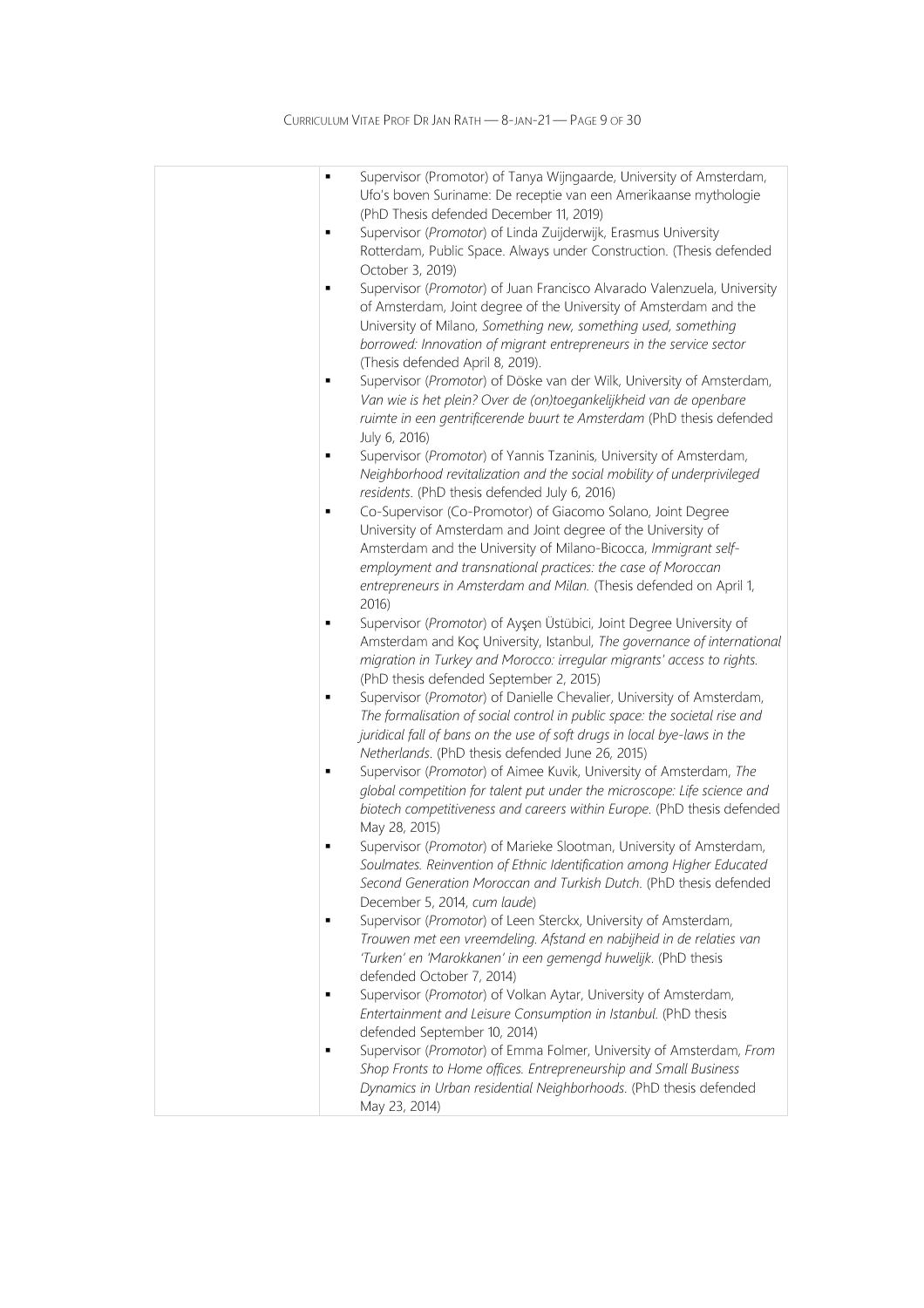| $\blacksquare$ | Supervisor (Promotor) of Tanya Wijngaarde, University of Amsterdam,<br>Ufo's boven Suriname: De receptie van een Amerikaanse mythologie                                                                                                                                               |
|----------------|---------------------------------------------------------------------------------------------------------------------------------------------------------------------------------------------------------------------------------------------------------------------------------------|
|                | (PhD Thesis defended December 11, 2019)                                                                                                                                                                                                                                               |
| $\blacksquare$ | Supervisor (Promotor) of Linda Zuijderwijk, Erasmus University<br>Rotterdam, Public Space. Always under Construction. (Thesis defended<br>October 3, 2019)                                                                                                                            |
|                | Supervisor (Promotor) of Juan Francisco Alvarado Valenzuela, University<br>of Amsterdam, Joint degree of the University of Amsterdam and the<br>University of Milano, Something new, something used, something<br>borrowed: Innovation of migrant entrepreneurs in the service sector |
| ٠              | (Thesis defended April 8, 2019).<br>Supervisor (Promotor) of Döske van der Wilk, University of Amsterdam,                                                                                                                                                                             |
|                | Van wie is het plein? Over de (on)toegankelijkheid van de openbare<br>ruimte in een gentrificerende buurt te Amsterdam (PhD thesis defended                                                                                                                                           |
| ٠              | July 6, 2016)<br>Supervisor (Promotor) of Yannis Tzaninis, University of Amsterdam,                                                                                                                                                                                                   |
|                | Neighborhood revitalization and the social mobility of underprivileged<br>residents. (PhD thesis defended July 6, 2016)                                                                                                                                                               |
| п              | Co-Supervisor (Co-Promotor) of Giacomo Solano, Joint Degree                                                                                                                                                                                                                           |
|                | University of Amsterdam and Joint degree of the University of                                                                                                                                                                                                                         |
|                | Amsterdam and the University of Milano-Bicocca, Immigrant self-<br>employment and transnational practices: the case of Moroccan                                                                                                                                                       |
|                | entrepreneurs in Amsterdam and Milan. (Thesis defended on April 1,<br>2016)                                                                                                                                                                                                           |
| ٠              | Supervisor (Promotor) of Ayşen Üstübici, Joint Degree University of                                                                                                                                                                                                                   |
|                | Amsterdam and Koç University, Istanbul, The governance of international<br>migration in Turkey and Morocco: irregular migrants' access to rights.<br>(PhD thesis defended September 2, 2015)                                                                                          |
| ٠              | Supervisor (Promotor) of Danielle Chevalier, University of Amsterdam,                                                                                                                                                                                                                 |
|                | The formalisation of social control in public space: the societal rise and<br>juridical fall of bans on the use of soft drugs in local bye-laws in the                                                                                                                                |
| ٠              | Netherlands. (PhD thesis defended June 26, 2015)<br>Supervisor (Promotor) of Aimee Kuvik, University of Amsterdam, The                                                                                                                                                                |
|                | global competition for talent put under the microscope: Life science and<br>biotech competitiveness and careers within Europe. (PhD thesis defended                                                                                                                                   |
| п              | May 28, 2015)                                                                                                                                                                                                                                                                         |
|                | Supervisor (Promotor) of Marieke Slootman, University of Amsterdam,<br>Soulmates. Reinvention of Ethnic Identification among Higher Educated<br>Second Generation Moroccan and Turkish Dutch. (PhD thesis defended                                                                    |
|                | December 5, 2014, cum laude)                                                                                                                                                                                                                                                          |
|                | Supervisor (Promotor) of Leen Sterckx, University of Amsterdam,<br>Trouwen met een vreemdeling. Afstand en nabijheid in de relaties van                                                                                                                                               |
|                | 'Turken' en 'Marokkanen' in een gemengd huwelijk. (PhD thesis<br>defended October 7, 2014)                                                                                                                                                                                            |
| $\blacksquare$ | Supervisor (Promotor) of Volkan Aytar, University of Amsterdam,                                                                                                                                                                                                                       |
|                | Entertainment and Leisure Consumption in Istanbul. (PhD thesis                                                                                                                                                                                                                        |
|                | defended September 10, 2014)                                                                                                                                                                                                                                                          |
|                | Supervisor (Promotor) of Emma Folmer, University of Amsterdam, From<br>Shop Fronts to Home offices. Entrepreneurship and Small Business<br>Dynamics in Urban residential Neighborhoods. (PhD thesis defended                                                                          |
|                | May 23, 2014)                                                                                                                                                                                                                                                                         |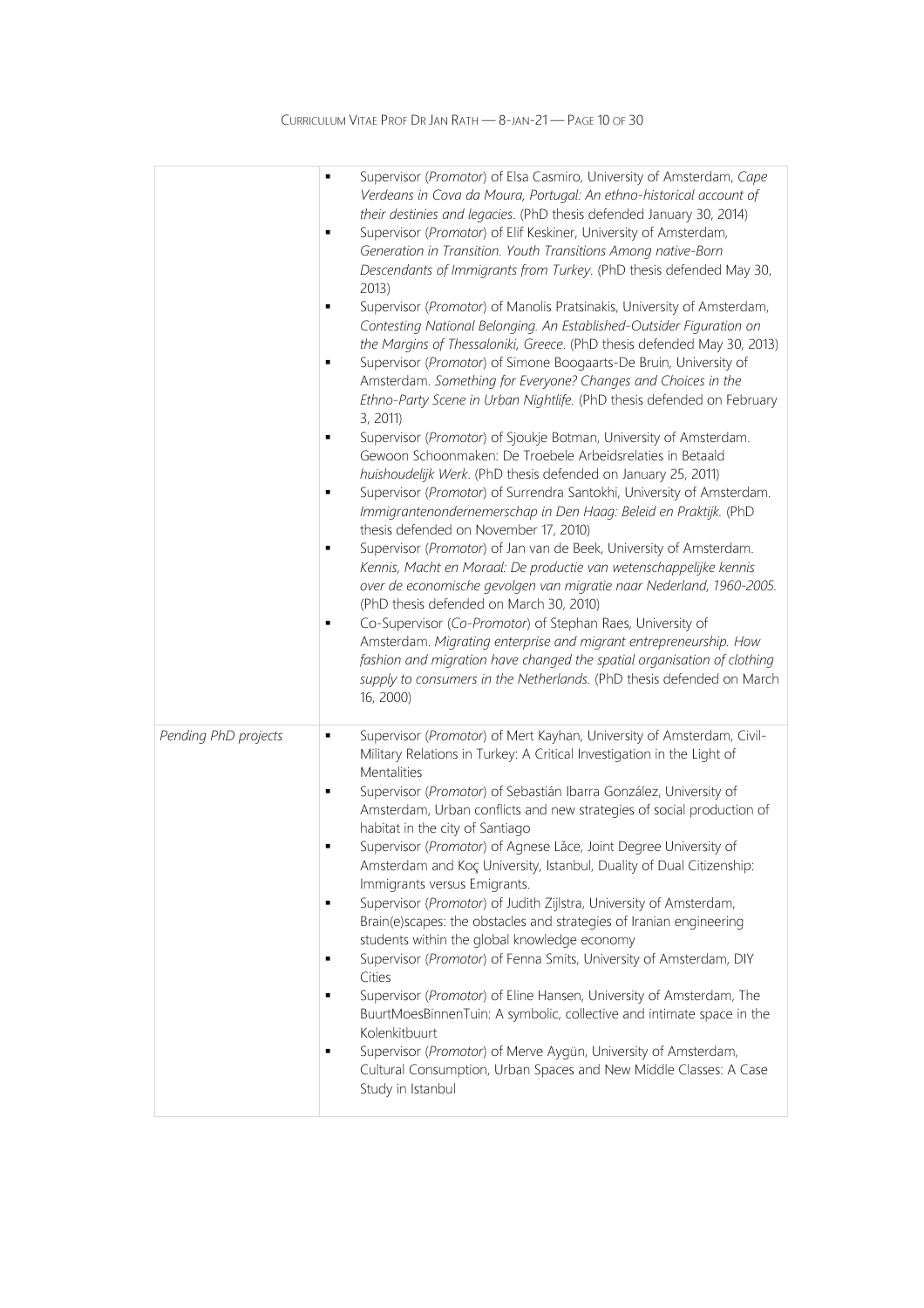|                      | Supervisor (Promotor) of Elsa Casmiro, University of Amsterdam, Cape<br>$\blacksquare$<br>Verdeans in Cova da Moura, Portugal: An ethno-historical account of<br>their destinies and legacies. (PhD thesis defended January 30, 2014)<br>Supervisor (Promotor) of Elif Keskiner, University of Amsterdam,<br>$\blacksquare$<br>Generation in Transition. Youth Transitions Among native-Born<br>Descendants of Immigrants from Turkey. (PhD thesis defended May 30,<br>2013)<br>Supervisor (Promotor) of Manolis Pratsinakis, University of Amsterdam,<br>$\blacksquare$<br>Contesting National Belonging. An Established-Outsider Figuration on<br>the Margins of Thessaloniki, Greece. (PhD thesis defended May 30, 2013)<br>Supervisor (Promotor) of Simone Boogaarts-De Bruin, University of<br>$\blacksquare$<br>Amsterdam. Something for Everyone? Changes and Choices in the<br>Ethno-Party Scene in Urban Nightlife. (PhD thesis defended on February<br>3, 2011)<br>Supervisor (Promotor) of Sjoukje Botman, University of Amsterdam.<br>٠<br>Gewoon Schoonmaken: De Troebele Arbeidsrelaties in Betaald<br>huishoudelijk Werk. (PhD thesis defended on January 25, 2011)<br>Supervisor (Promotor) of Surrendra Santokhi, University of Amsterdam.<br>$\blacksquare$<br>Immigrantenondernemerschap in Den Haag: Beleid en Praktijk. (PhD<br>thesis defended on November 17, 2010)<br>Supervisor (Promotor) of Jan van de Beek, University of Amsterdam.<br>$\blacksquare$<br>Kennis, Macht en Moraal: De productie van wetenschappelijke kennis<br>over de economische gevolgen van migratie naar Nederland, 1960-2005.<br>(PhD thesis defended on March 30, 2010)<br>Co-Supervisor (Co-Promotor) of Stephan Raes, University of<br>٠<br>Amsterdam. Migrating enterprise and migrant entrepreneurship. How<br>fashion and migration have changed the spatial organisation of clothing<br>supply to consumers in the Netherlands. (PhD thesis defended on March<br>16, 2000) |
|----------------------|--------------------------------------------------------------------------------------------------------------------------------------------------------------------------------------------------------------------------------------------------------------------------------------------------------------------------------------------------------------------------------------------------------------------------------------------------------------------------------------------------------------------------------------------------------------------------------------------------------------------------------------------------------------------------------------------------------------------------------------------------------------------------------------------------------------------------------------------------------------------------------------------------------------------------------------------------------------------------------------------------------------------------------------------------------------------------------------------------------------------------------------------------------------------------------------------------------------------------------------------------------------------------------------------------------------------------------------------------------------------------------------------------------------------------------------------------------------------------------------------------------------------------------------------------------------------------------------------------------------------------------------------------------------------------------------------------------------------------------------------------------------------------------------------------------------------------------------------------------------------------------------------------------------------------------------------------------------------------------------|
| Pending PhD projects | Supervisor (Promotor) of Mert Kayhan, University of Amsterdam, Civil-<br>٠<br>Military Relations in Turkey: A Critical Investigation in the Light of<br>Mentalities<br>Supervisor (Promotor) of Sebastián Ibarra González, University of<br>٠<br>Amsterdam, Urban conflicts and new strategies of social production of<br>habitat in the city of Santiago<br>Supervisor (Promotor) of Agnese Lăce, Joint Degree University of<br>$\blacksquare$<br>Amsterdam and Koç University, Istanbul, Duality of Dual Citizenship:<br>Immigrants versus Emigrants.<br>Supervisor (Promotor) of Judith Zijlstra, University of Amsterdam,<br>٠<br>Brain(e)scapes: the obstacles and strategies of Iranian engineering<br>students within the global knowledge economy<br>Supervisor (Promotor) of Fenna Smits, University of Amsterdam, DIY<br>Cities<br>Supervisor (Promotor) of Eline Hansen, University of Amsterdam, The<br>$\blacksquare$<br>BuurtMoesBinnenTuin: A symbolic, collective and intimate space in the<br>Kolenkitbuurt<br>Supervisor (Promotor) of Merve Aygün, University of Amsterdam,<br>$\blacksquare$<br>Cultural Consumption, Urban Spaces and New Middle Classes: A Case<br>Study in Istanbul                                                                                                                                                                                                                                                                                                                                                                                                                                                                                                                                                                                                                                                                                                                                                                           |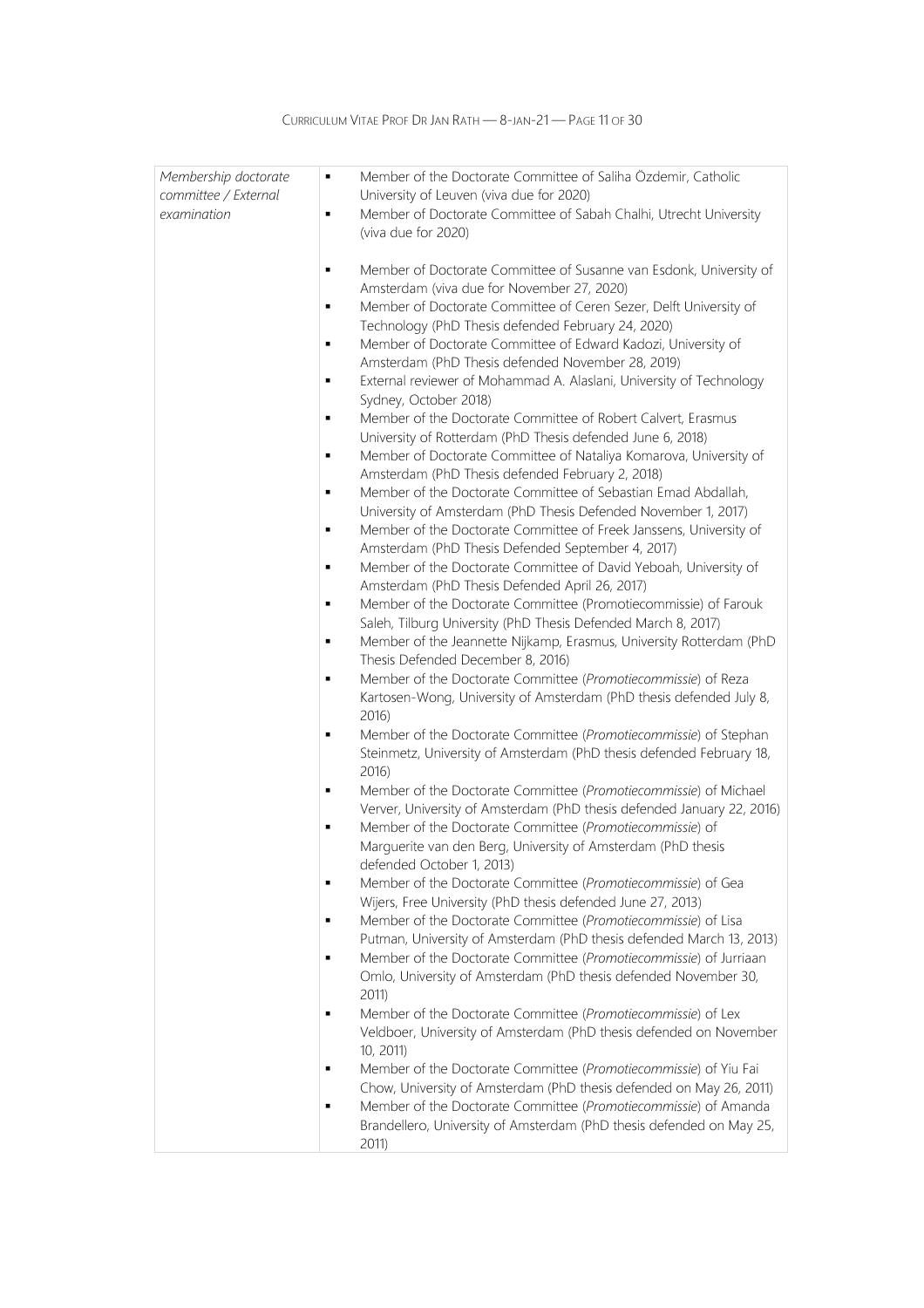| Membership doctorate | Member of the Doctorate Committee of Saliha Özdemir, Catholic<br>$\blacksquare$                                            |
|----------------------|----------------------------------------------------------------------------------------------------------------------------|
| committee / External | University of Leuven (viva due for 2020)                                                                                   |
| examination          | Member of Doctorate Committee of Sabah Chalhi, Utrecht University<br>$\blacksquare$                                        |
|                      | (viva due for 2020)                                                                                                        |
|                      | Member of Doctorate Committee of Susanne van Esdonk, University of<br>п                                                    |
|                      | Amsterdam (viva due for November 27, 2020)                                                                                 |
|                      | Member of Doctorate Committee of Ceren Sezer, Delft University of<br>п                                                     |
|                      | Technology (PhD Thesis defended February 24, 2020)                                                                         |
|                      | Member of Doctorate Committee of Edward Kadozi, University of<br>п                                                         |
|                      | Amsterdam (PhD Thesis defended November 28, 2019)                                                                          |
|                      | External reviewer of Mohammad A. Alaslani, University of Technology                                                        |
|                      | Sydney, October 2018)                                                                                                      |
|                      | Member of the Doctorate Committee of Robert Calvert, Erasmus<br>п                                                          |
|                      | University of Rotterdam (PhD Thesis defended June 6, 2018)                                                                 |
|                      | Member of Doctorate Committee of Nataliya Komarova, University of<br>п<br>Amsterdam (PhD Thesis defended February 2, 2018) |
|                      | Member of the Doctorate Committee of Sebastian Emad Abdallah,                                                              |
|                      | University of Amsterdam (PhD Thesis Defended November 1, 2017)                                                             |
|                      | Member of the Doctorate Committee of Freek Janssens, University of                                                         |
|                      | Amsterdam (PhD Thesis Defended September 4, 2017)                                                                          |
|                      | Member of the Doctorate Committee of David Yeboah, University of                                                           |
|                      | Amsterdam (PhD Thesis Defended April 26, 2017)                                                                             |
|                      | Member of the Doctorate Committee (Promotiecommissie) of Farouk                                                            |
|                      | Saleh, Tilburg University (PhD Thesis Defended March 8, 2017)                                                              |
|                      | Member of the Jeannette Nijkamp, Erasmus, University Rotterdam (PhD                                                        |
|                      | Thesis Defended December 8, 2016)<br>Member of the Doctorate Committee (Promotiecommissie) of Reza                         |
|                      | Kartosen-Wong, University of Amsterdam (PhD thesis defended July 8,                                                        |
|                      | 2016)                                                                                                                      |
|                      | Member of the Doctorate Committee (Promotiecommissie) of Stephan                                                           |
|                      | Steinmetz, University of Amsterdam (PhD thesis defended February 18,                                                       |
|                      | 2016)                                                                                                                      |
|                      | Member of the Doctorate Committee (Promotiecommissie) of Michael                                                           |
|                      | Verver, University of Amsterdam (PhD thesis defended January 22, 2016)                                                     |
|                      | Member of the Doctorate Committee (Promotiecommissie) of                                                                   |
|                      | Marguerite van den Berg, University of Amsterdam (PhD thesis<br>defended October 1, 2013)                                  |
|                      | Member of the Doctorate Committee (Promotiecommissie) of Gea<br>п                                                          |
|                      | Wijers, Free University (PhD thesis defended June 27, 2013)                                                                |
|                      | Member of the Doctorate Committee (Promotiecommissie) of Lisa<br>п                                                         |
|                      | Putman, University of Amsterdam (PhD thesis defended March 13, 2013)                                                       |
|                      | Member of the Doctorate Committee (Promotiecommissie) of Jurriaan<br>п                                                     |
|                      | Omlo, University of Amsterdam (PhD thesis defended November 30,                                                            |
|                      | 2011)                                                                                                                      |
|                      | Member of the Doctorate Committee (Promotiecommissie) of Lex<br>п                                                          |
|                      | Veldboer, University of Amsterdam (PhD thesis defended on November<br>10, 2011)                                            |
|                      | Member of the Doctorate Committee (Promotiecommissie) of Yiu Fai                                                           |
|                      | Chow, University of Amsterdam (PhD thesis defended on May 26, 2011)                                                        |
|                      | Member of the Doctorate Committee (Promotiecommissie) of Amanda<br>п                                                       |
|                      | Brandellero, University of Amsterdam (PhD thesis defended on May 25,                                                       |
|                      | 2011)                                                                                                                      |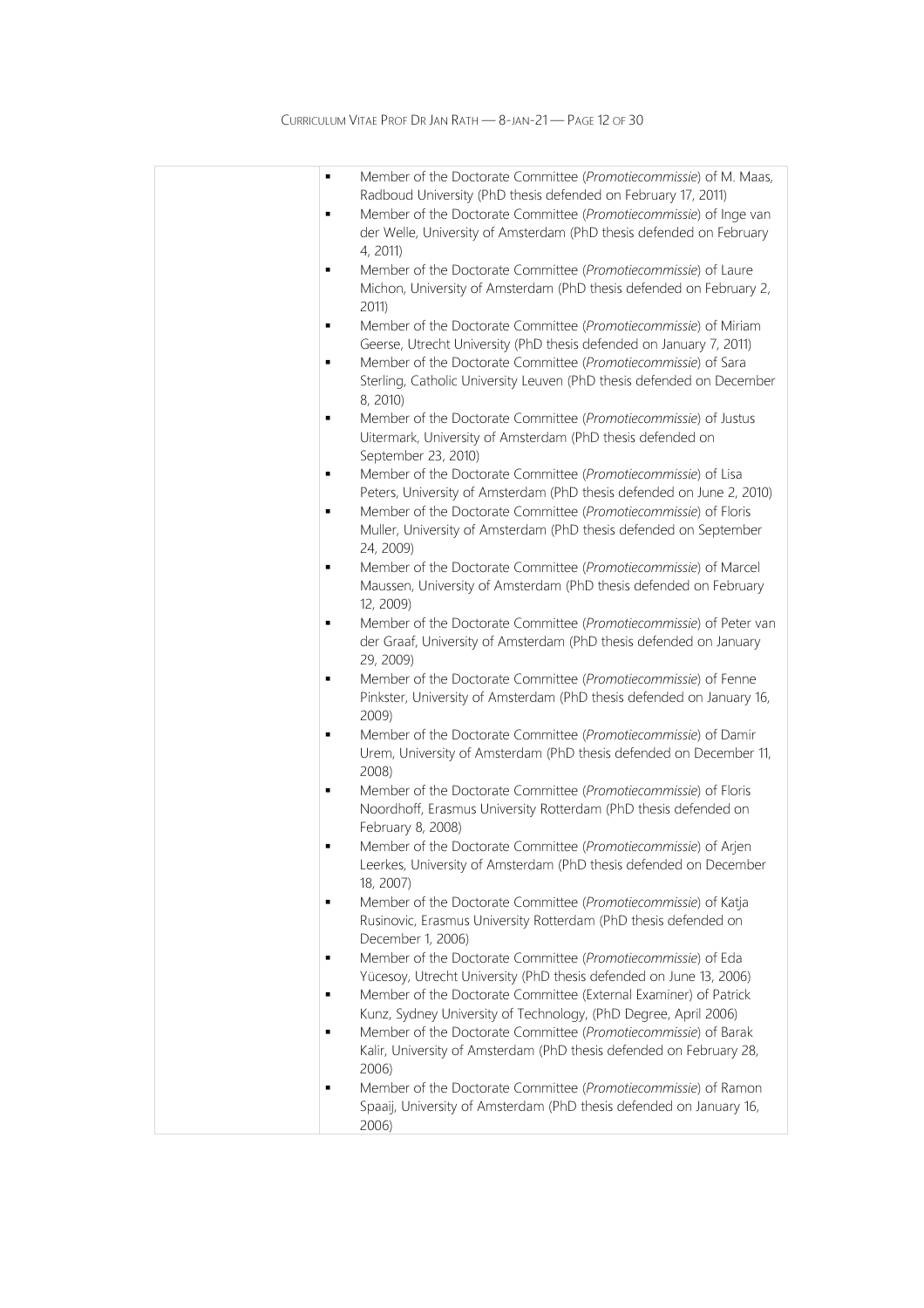| $\blacksquare$<br>٠ | Member of the Doctorate Committee (Promotiecommissie) of M. Maas,<br>Radboud University (PhD thesis defended on February 17, 2011)<br>Member of the Doctorate Committee (Promotiecommissie) of Inge van           |
|---------------------|-------------------------------------------------------------------------------------------------------------------------------------------------------------------------------------------------------------------|
|                     | der Welle, University of Amsterdam (PhD thesis defended on February<br>4, 2011)                                                                                                                                   |
| ٠                   | Member of the Doctorate Committee (Promotiecommissie) of Laure<br>Michon, University of Amsterdam (PhD thesis defended on February 2,<br>2011)                                                                    |
| ٠<br>$\blacksquare$ | Member of the Doctorate Committee (Promotiecommissie) of Miriam<br>Geerse, Utrecht University (PhD thesis defended on January 7, 2011)<br>Member of the Doctorate Committee (Promotiecommissie) of Sara           |
|                     | Sterling, Catholic University Leuven (PhD thesis defended on December<br>8, 2010)                                                                                                                                 |
| ٠                   | Member of the Doctorate Committee (Promotiecommissie) of Justus<br>Uitermark, University of Amsterdam (PhD thesis defended on<br>September 23, 2010)                                                              |
| ٠<br>٠              | Member of the Doctorate Committee (Promotiecommissie) of Lisa<br>Peters, University of Amsterdam (PhD thesis defended on June 2, 2010)<br>Member of the Doctorate Committee (Promotiecommissie) of Floris         |
| $\blacksquare$      | Muller, University of Amsterdam (PhD thesis defended on September<br>24, 2009)<br>Member of the Doctorate Committee (Promotiecommissie) of Marcel                                                                 |
|                     | Maussen, University of Amsterdam (PhD thesis defended on February<br>12, 2009)                                                                                                                                    |
| ٠                   | Member of the Doctorate Committee (Promotiecommissie) of Peter van<br>der Graaf, University of Amsterdam (PhD thesis defended on January<br>29, 2009)                                                             |
| ٠                   | Member of the Doctorate Committee (Promotiecommissie) of Fenne<br>Pinkster, University of Amsterdam (PhD thesis defended on January 16,<br>$2009$ )                                                               |
| ٠                   | Member of the Doctorate Committee (Promotiecommissie) of Damir<br>Urem, University of Amsterdam (PhD thesis defended on December 11,<br>2008)                                                                     |
| ٠                   | Member of the Doctorate Committee (Promotiecommissie) of Floris<br>Noordhoff, Erasmus University Rotterdam (PhD thesis defended on<br>February 8, 2008)                                                           |
| $\blacksquare$      | Member of the Doctorate Committee (Promotiecommissie) of Arjen<br>Leerkes, University of Amsterdam (PhD thesis defended on December<br>18, 2007)                                                                  |
| п                   | Member of the Doctorate Committee (Promotiecommissie) of Katja<br>Rusinovic, Erasmus University Rotterdam (PhD thesis defended on<br>December 1, 2006)                                                            |
| ٠<br>$\blacksquare$ | Member of the Doctorate Committee (Promotiecommissie) of Eda<br>Yücesoy, Utrecht University (PhD thesis defended on June 13, 2006)<br>Member of the Doctorate Committee (External Examiner) of Patrick            |
| ٠                   | Kunz, Sydney University of Technology, (PhD Degree, April 2006)<br>Member of the Doctorate Committee (Promotiecommissie) of Barak<br>Kalir, University of Amsterdam (PhD thesis defended on February 28,<br>2006) |
|                     | Member of the Doctorate Committee (Promotiecommissie) of Ramon<br>Spaaij, University of Amsterdam (PhD thesis defended on January 16,<br>2006)                                                                    |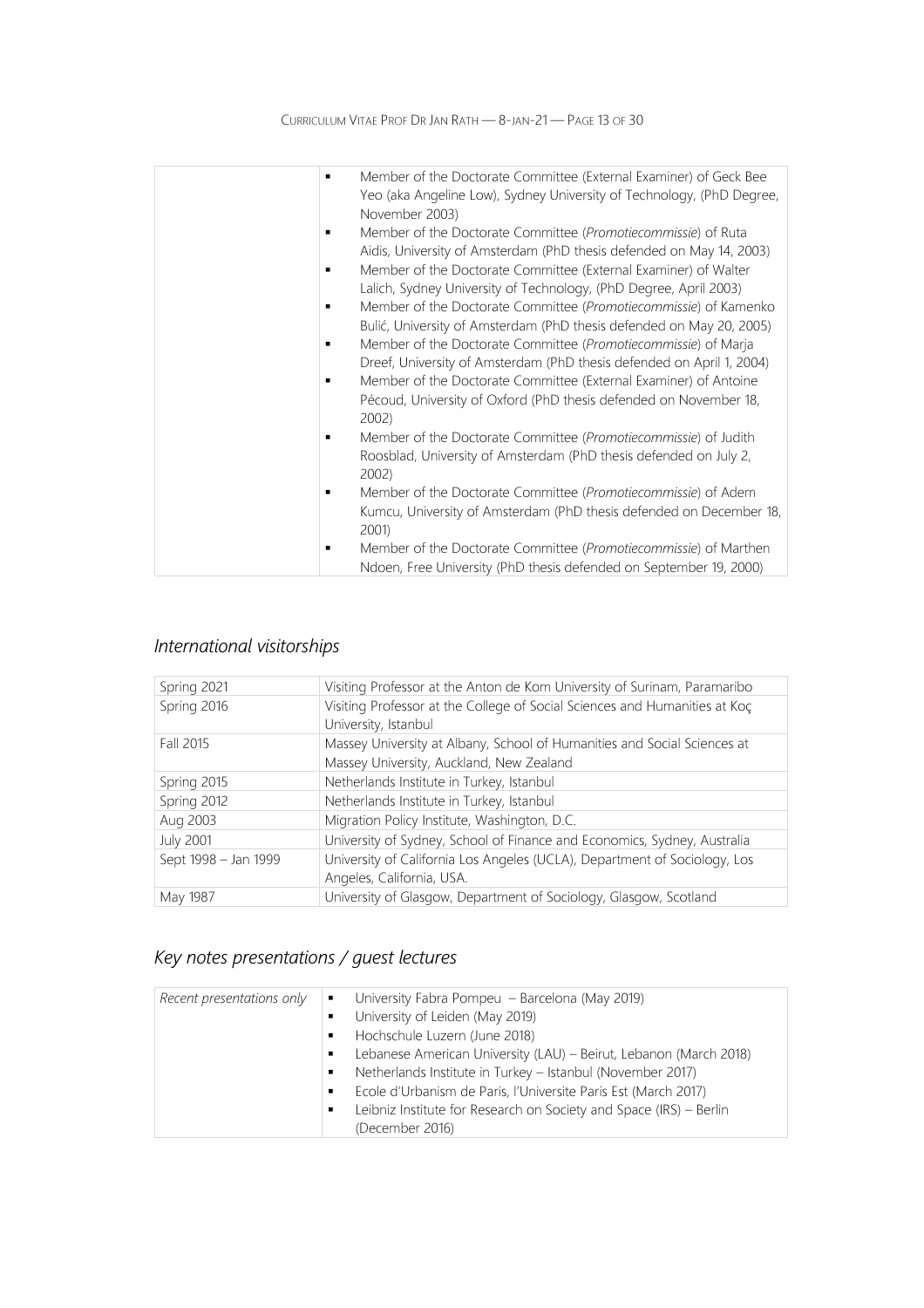| $\blacksquare$ | Member of the Doctorate Committee (External Examiner) of Geck Bee<br>Yeo (aka Angeline Low), Sydney University of Technology, (PhD Degree,<br>November 2003) |
|----------------|--------------------------------------------------------------------------------------------------------------------------------------------------------------|
|                | Member of the Doctorate Committee (Promotiecommissie) of Ruta                                                                                                |
|                | Aidis, University of Amsterdam (PhD thesis defended on May 14, 2003)                                                                                         |
|                | Member of the Doctorate Committee (External Examiner) of Walter                                                                                              |
|                | Lalich, Sydney University of Technology, (PhD Degree, April 2003)<br>Member of the Doctorate Committee (Promotiecommissie) of Kamenko                        |
|                | Bulić, University of Amsterdam (PhD thesis defended on May 20, 2005)                                                                                         |
| $\blacksquare$ | Member of the Doctorate Committee (Promotiecommissie) of Marja                                                                                               |
|                | Dreef, University of Amsterdam (PhD thesis defended on April 1, 2004)                                                                                        |
|                | Member of the Doctorate Committee (External Examiner) of Antoine                                                                                             |
|                | Pécoud, University of Oxford (PhD thesis defended on November 18,<br>$2002$ )                                                                                |
|                | Member of the Doctorate Committee (Promotiecommissie) of Judith                                                                                              |
|                | Roosblad, University of Amsterdam (PhD thesis defended on July 2,<br>$2002$ )                                                                                |
|                | Member of the Doctorate Committee (Promotiecommissie) of Adem                                                                                                |
|                | Kumcu, University of Amsterdam (PhD thesis defended on December 18,<br>2001)                                                                                 |
|                | Member of the Doctorate Committee (Promotiecommissie) of Marthen                                                                                             |
|                | Ndoen, Free University (PhD thesis defended on September 19, 2000)                                                                                           |

## International visitorships

| Visiting Professor at the Anton de Kom University of Surinam, Paramaribo   |
|----------------------------------------------------------------------------|
| Visiting Professor at the College of Social Sciences and Humanities at Koç |
| University, Istanbul                                                       |
| Massey University at Albany, School of Humanities and Social Sciences at   |
| Massey University, Auckland, New Zealand                                   |
| Netherlands Institute in Turkey, Istanbul                                  |
| Netherlands Institute in Turkey, Istanbul                                  |
| Migration Policy Institute, Washington, D.C.                               |
| University of Sydney, School of Finance and Economics, Sydney, Australia   |
| University of California Los Angeles (UCLA), Department of Sociology, Los  |
| Angeles, California, USA.                                                  |
| University of Glasgow, Department of Sociology, Glasgow, Scotland          |
|                                                                            |

## Key notes presentations / guest lectures

| Recent presentations only | $\vert \bullet \vert$ University Fabra Pompeu – Barcelona (May 2019)<br>University of Leiden (May 2019)<br>Hochschule Luzern (June 2018)<br>٠<br>Lebanese American University (LAU) - Beirut, Lebanon (March 2018)<br>٠<br>Netherlands Institute in Turkey - Istanbul (November 2017)<br>٠<br>Ecole d'Urbanism de Paris, l'Universite Paris Est (March 2017)<br>٠<br>Leibniz Institute for Research on Society and Space (IRS) – Berlin<br>٠<br>(December 2016) |
|---------------------------|-----------------------------------------------------------------------------------------------------------------------------------------------------------------------------------------------------------------------------------------------------------------------------------------------------------------------------------------------------------------------------------------------------------------------------------------------------------------|
|---------------------------|-----------------------------------------------------------------------------------------------------------------------------------------------------------------------------------------------------------------------------------------------------------------------------------------------------------------------------------------------------------------------------------------------------------------------------------------------------------------|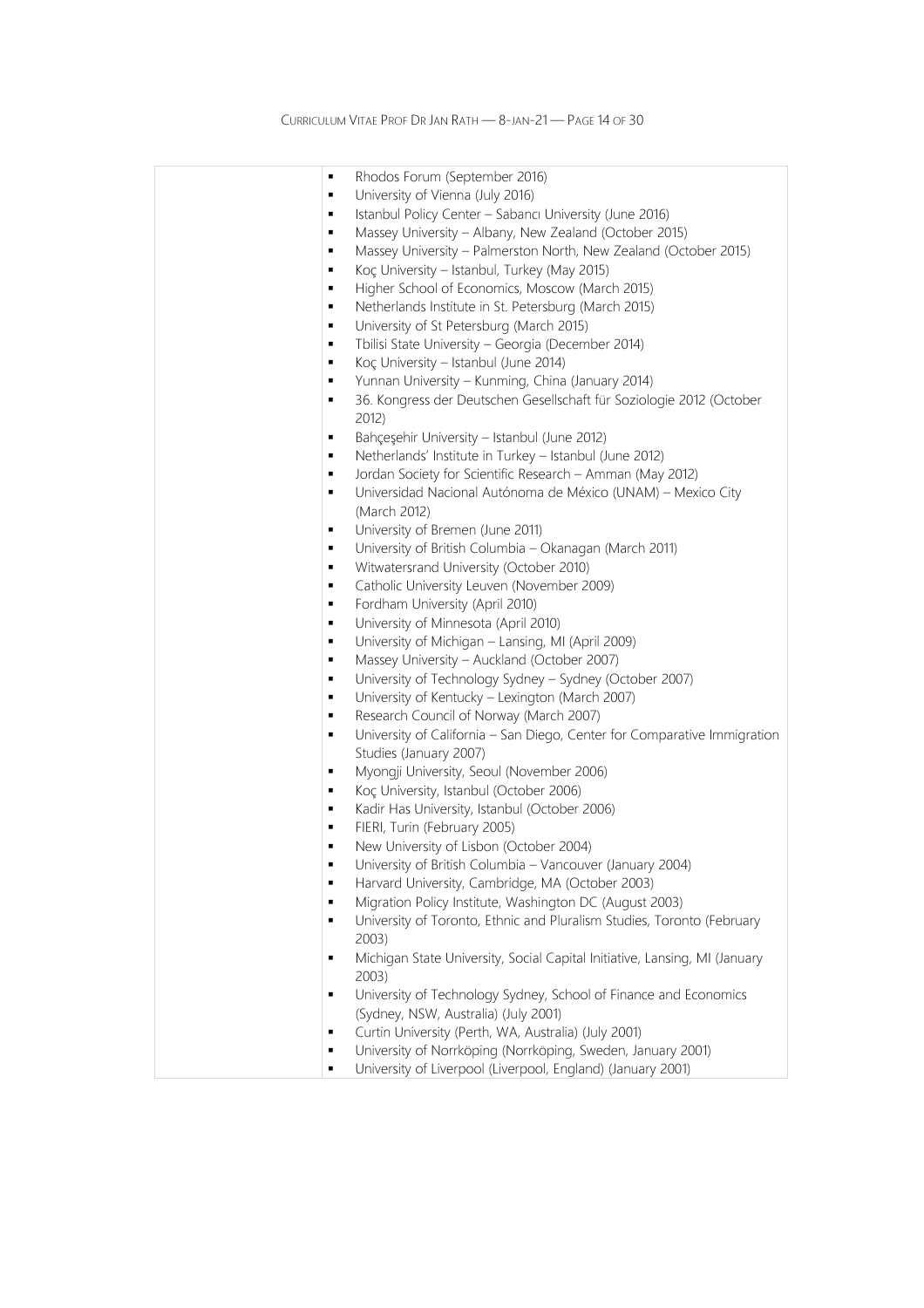| в              | Rhodos Forum (September 2016)                                                   |
|----------------|---------------------------------------------------------------------------------|
| в              | University of Vienna (July 2016)                                                |
| в              | Istanbul Policy Center - Sabancı University (June 2016)                         |
| в              | Massey University - Albany, New Zealand (October 2015)                          |
| в              | Massey University - Palmerston North, New Zealand (October 2015)                |
| в              | Koç University - Istanbul, Turkey (May 2015)                                    |
| в              | Higher School of Economics, Moscow (March 2015)                                 |
| в              | Netherlands Institute in St. Petersburg (March 2015)                            |
| в              | University of St Petersburg (March 2015)                                        |
| в              | Tbilisi State University - Georgia (December 2014)                              |
| в              |                                                                                 |
|                | Koç University - Istanbul (June 2014)                                           |
| п              | Yunnan University - Kunming, China (January 2014)                               |
| п              | 36. Kongress der Deutschen Gesellschaft für Soziologie 2012 (October<br>2012)   |
| п              | Bahçeşehir University - Istanbul (June 2012)                                    |
| п              | Netherlands' Institute in Turkey - Istanbul (June 2012)                         |
| п              | Jordan Society for Scientific Research - Amman (May 2012)                       |
| п              | Universidad Nacional Autónoma de México (UNAM) - Mexico City                    |
|                | (March 2012)                                                                    |
| п              | University of Bremen (June 2011)                                                |
| п              | University of British Columbia - Okanagan (March 2011)                          |
| п              | Witwatersrand University (October 2010)                                         |
| п              | Catholic University Leuven (November 2009)                                      |
| п              | Fordham University (April 2010)                                                 |
| п              | University of Minnesota (April 2010)                                            |
| п              | University of Michigan - Lansing, MI (April 2009)                               |
| п              | Massey University - Auckland (October 2007)                                     |
| п              | University of Technology Sydney - Sydney (October 2007)                         |
| п              | University of Kentucky - Lexington (March 2007)                                 |
| п              | Research Council of Norway (March 2007)                                         |
| п              | University of California - San Diego, Center for Comparative Immigration        |
|                | Studies (January 2007)                                                          |
| п              | Myongji University, Seoul (November 2006)                                       |
| п              | Koç University, Istanbul (October 2006)                                         |
| п              | Kadir Has University, Istanbul (October 2006)                                   |
| п              | FIERI, Turin (February 2005)                                                    |
| п              | New University of Lisbon (October 2004)                                         |
|                | University of British Columbia - Vancouver (January 2004)                       |
| Е              | Harvard University, Cambridge, MA (October 2003)                                |
| Е              | Migration Policy Institute, Washington DC (August 2003)                         |
| $\blacksquare$ |                                                                                 |
|                | University of Toronto, Ethnic and Pluralism Studies, Toronto (February<br>2003) |
| Е              | Michigan State University, Social Capital Initiative, Lansing, MI (January      |
|                | 2003)                                                                           |
| п              | University of Technology Sydney, School of Finance and Economics                |
|                | (Sydney, NSW, Australia) (July 2001)                                            |
|                | Curtin University (Perth, WA, Australia) (July 2001)                            |
| п              |                                                                                 |
| ٠              | University of Norrköping (Norrköping, Sweden, January 2001)                     |
| Е              | University of Liverpool (Liverpool, England) (January 2001)                     |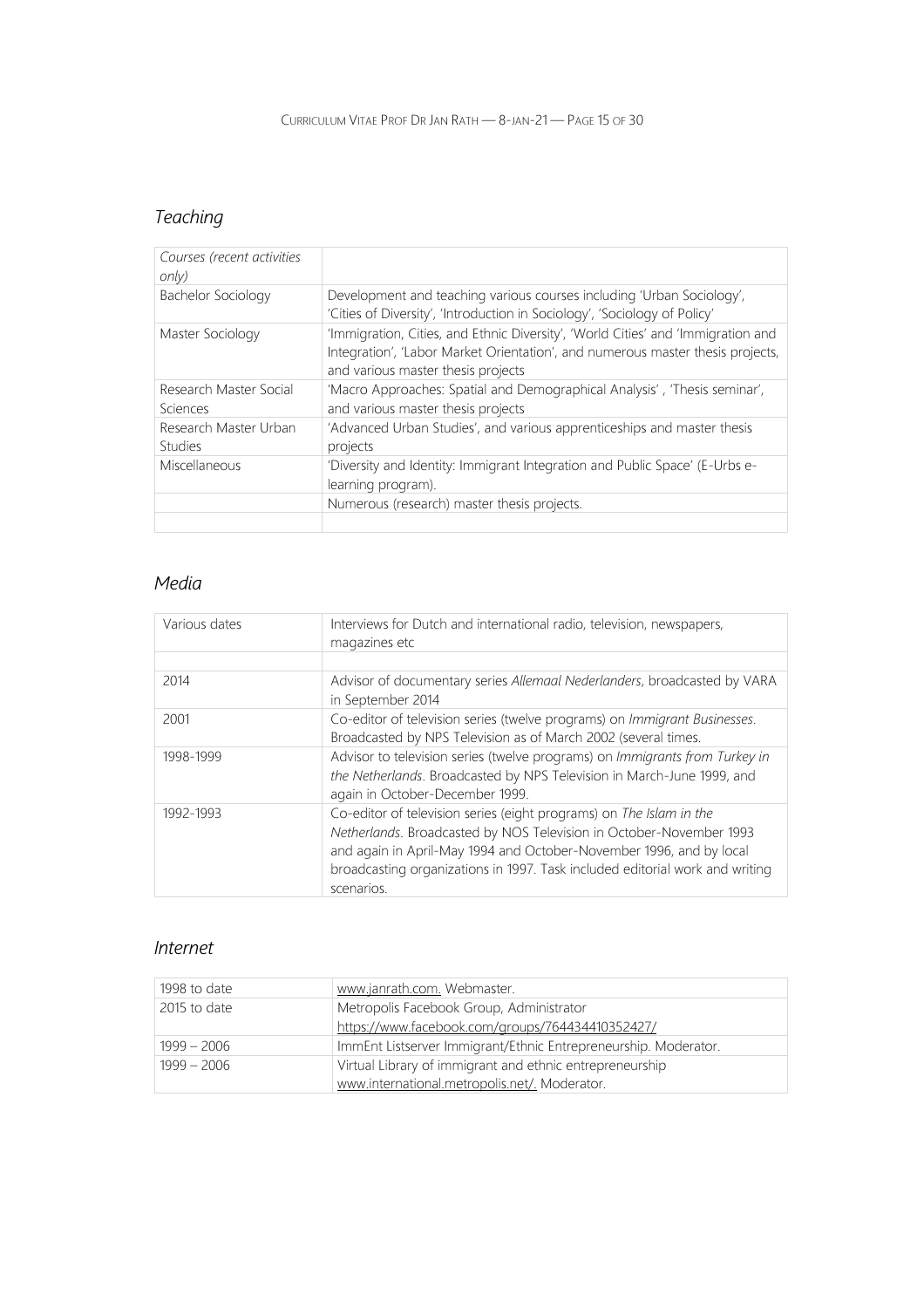## Teaching

| Courses (recent activities<br>only)     |                                                                                                                                                                                                          |
|-----------------------------------------|----------------------------------------------------------------------------------------------------------------------------------------------------------------------------------------------------------|
| Bachelor Sociology                      | Development and teaching various courses including 'Urban Sociology',<br>'Cities of Diversity', 'Introduction in Sociology', 'Sociology of Policy'                                                       |
| Master Sociology                        | 'Immigration, Cities, and Ethnic Diversity', 'World Cities' and 'Immigration and<br>Integration', 'Labor Market Orientation', and numerous master thesis projects,<br>and various master thesis projects |
| Research Master Social<br>Sciences      | 'Macro Approaches: Spatial and Demographical Analysis', 'Thesis seminar',<br>and various master thesis projects                                                                                          |
| Research Master Urban<br><b>Studies</b> | 'Advanced Urban Studies', and various apprenticeships and master thesis<br>projects                                                                                                                      |
| Miscellaneous                           | 'Diversity and Identity: Immigrant Integration and Public Space' (E-Urbs e-<br>learning program).                                                                                                        |
|                                         | Numerous (research) master thesis projects.                                                                                                                                                              |
|                                         |                                                                                                                                                                                                          |

### Media

| Various dates | Interviews for Dutch and international radio, television, newspapers,<br>magazines etc                                                                                                                                                                                                                          |
|---------------|-----------------------------------------------------------------------------------------------------------------------------------------------------------------------------------------------------------------------------------------------------------------------------------------------------------------|
|               |                                                                                                                                                                                                                                                                                                                 |
| 2014          | Advisor of documentary series Allemaal Nederlanders, broadcasted by VARA<br>in September 2014                                                                                                                                                                                                                   |
| 2001          | Co-editor of television series (twelve programs) on <i>Immigrant Businesses</i> .<br>Broadcasted by NPS Television as of March 2002 (several times.                                                                                                                                                             |
| 1998-1999     | Advisor to television series (twelve programs) on Immigrants from Turkey in<br>the Netherlands. Broadcasted by NPS Television in March-June 1999, and<br>again in October-December 1999.                                                                                                                        |
| 1992-1993     | Co-editor of television series (eight programs) on The Islam in the<br>Netherlands. Broadcasted by NOS Television in October-November 1993<br>and again in April-May 1994 and October-November 1996, and by local<br>broadcasting organizations in 1997. Task included editorial work and writing<br>scenarios. |

### Internet

| 1998 to date  | www.janrath.com. Webmaster.                                     |
|---------------|-----------------------------------------------------------------|
| 2015 to date  | Metropolis Facebook Group, Administrator                        |
|               | https://www.facebook.com/groups/764434410352427/                |
| $1999 - 2006$ | ImmEnt Listserver Immigrant/Ethnic Entrepreneurship. Moderator. |
| $1999 - 2006$ | Virtual Library of immigrant and ethnic entrepreneurship        |
|               | www.international.metropolis.net/. Moderator.                   |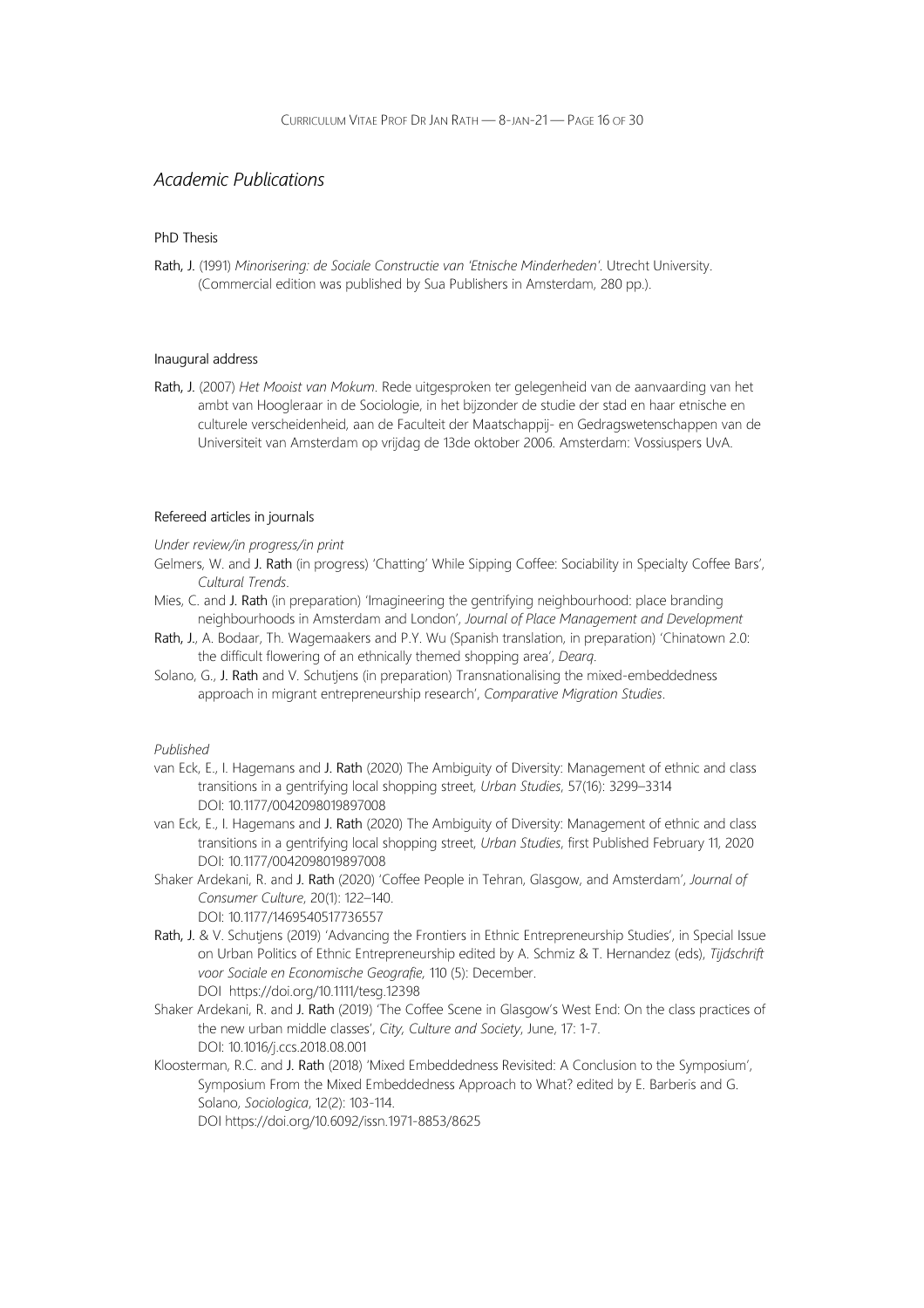### Academic Publications

#### PhD Thesis

Rath, J. (1991) Minorisering: de Sociale Constructie van 'Etnische Minderheden'. Utrecht University. (Commercial edition was published by Sua Publishers in Amsterdam, 280 pp.).

#### Inaugural address

Rath, J. (2007) Het Mooist van Mokum. Rede uitgesproken ter gelegenheid van de aanvaarding van het ambt van Hoogleraar in de Sociologie, in het bijzonder de studie der stad en haar etnische en culturele verscheidenheid, aan de Faculteit der Maatschappij- en Gedragswetenschappen van de Universiteit van Amsterdam op vrijdag de 13de oktober 2006. Amsterdam: Vossiuspers UvA.

#### Refereed articles in journals

Under review/in progress/in print

- Gelmers, W. and J. Rath (in progress) 'Chatting' While Sipping Coffee: Sociability in Specialty Coffee Bars', Cultural Trends.
- Mies, C. and J. Rath (in preparation) 'Imagineering the gentrifying neighbourhood: place branding neighbourhoods in Amsterdam and London', Journal of Place Management and Development
- Rath, J., A. Bodaar, Th. Wagemaakers and P.Y. Wu (Spanish translation, in preparation) 'Chinatown 2.0: the difficult flowering of an ethnically themed shopping area', Dearq.
- Solano, G., J. Rath and V. Schutjens (in preparation) Transnationalising the mixed-embeddedness approach in migrant entrepreneurship research', Comparative Migration Studies.

- van Eck, E., I. Hagemans and J. Rath (2020) The Ambiguity of Diversity: Management of ethnic and class transitions in a gentrifying local shopping street, Urban Studies, 57(16): 3299–3314 DOI: 10.1177/0042098019897008
- van Eck, E., I. Hagemans and J. Rath (2020) The Ambiguity of Diversity: Management of ethnic and class transitions in a gentrifying local shopping street, Urban Studies, first Published February 11, 2020 DOI: 10.1177/0042098019897008
- Shaker Ardekani, R. and J. Rath (2020) 'Coffee People in Tehran, Glasgow, and Amsterdam', Journal of Consumer Culture, 20(1): 122–140. DOI: 10.1177/1469540517736557
- Rath, J. & V. Schutjens (2019) 'Advancing the Frontiers in Ethnic Entrepreneurship Studies', in Special Issue on Urban Politics of Ethnic Entrepreneurship edited by A. Schmiz & T. Hernandez (eds), Tijdschrift voor Sociale en Economische Geografie, 110 (5): December. DOI https://doi.org/10.1111/tesg.12398
- Shaker Ardekani, R. and J. Rath (2019) 'The Coffee Scene in Glasgow's West End: On the class practices of the new urban middle classes', City, Culture and Society, June, 17: 1-7. DOI: 10.1016/j.ccs.2018.08.001
- Kloosterman, R.C. and J. Rath (2018) 'Mixed Embeddedness Revisited: A Conclusion to the Symposium', Symposium From the Mixed Embeddedness Approach to What? edited by E. Barberis and G. Solano, Sociologica, 12(2): 103-114. DOI https://doi.org/10.6092/issn.1971-8853/8625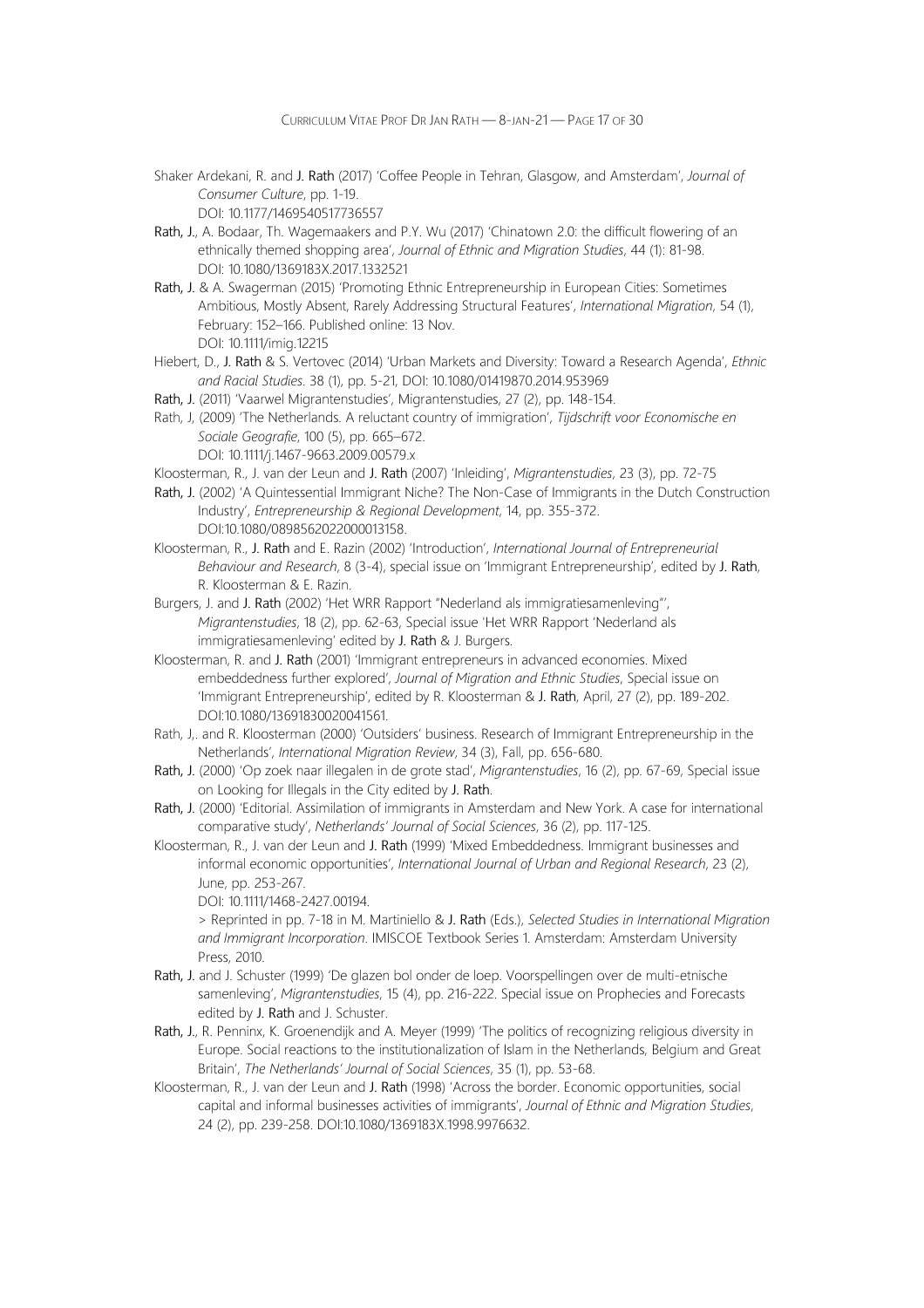- Shaker Ardekani, R. and J. Rath (2017) 'Coffee People in Tehran, Glasgow, and Amsterdam', Journal of Consumer Culture, pp. 1-19. DOI: 10.1177/1469540517736557
- Rath, J., A. Bodaar, Th. Wagemaakers and P.Y. Wu (2017) 'Chinatown 2.0: the difficult flowering of an ethnically themed shopping area', Journal of Ethnic and Migration Studies, 44 (1): 81-98. DOI: 10.1080/1369183X.2017.1332521
- Rath, J. & A. Swagerman (2015) 'Promoting Ethnic Entrepreneurship in European Cities: Sometimes Ambitious, Mostly Absent, Rarely Addressing Structural Features', International Migration, 54 (1), February: 152–166. Published online: 13 Nov. DOI: 10.1111/imig.12215
- Hiebert, D., J. Rath & S. Vertovec (2014) 'Urban Markets and Diversity: Toward a Research Agenda', Ethnic and Racial Studies. 38 (1), pp. 5-21, DOI: 10.1080/01419870.2014.953969
- Rath, J. (2011) 'Vaarwel Migrantenstudies', Migrantenstudies, 27 (2), pp. 148-154.
- Rath, J, (2009) 'The Netherlands. A reluctant country of immigration', Tijdschrift voor Economische en Sociale Geografie, 100 (5), pp. 665–672. DOI: 10.1111/j.1467-9663.2009.00579.x
- Kloosterman, R., J. van der Leun and J. Rath (2007) 'Inleiding', Migrantenstudies, 23 (3), pp. 72-75
- Rath, J. (2002) 'A Quintessential Immigrant Niche? The Non-Case of Immigrants in the Dutch Construction Industry', Entrepreneurship & Regional Development, 14, pp. 355-372. DOI:10.1080/0898562022000013158.
- Kloosterman, R., J. Rath and E. Razin (2002) 'Introduction', International Journal of Entrepreneurial Behaviour and Research, 8 (3-4), special issue on 'Immigrant Entrepreneurship', edited by J. Rath, R. Kloosterman & E. Razin.
- Burgers, J. and J. Rath (2002) 'Het WRR Rapport "Nederland als immigratiesamenleving"', Migrantenstudies, 18 (2), pp. 62-63, Special issue 'Het WRR Rapport 'Nederland als immigratiesamenleving' edited by J. Rath & J. Burgers.
- Kloosterman, R. and J. Rath (2001) 'Immigrant entrepreneurs in advanced economies. Mixed embeddedness further explored', Journal of Migration and Ethnic Studies, Special issue on 'Immigrant Entrepreneurship', edited by R. Kloosterman & J. Rath, April, 27 (2), pp. 189-202. DOI:10.1080/13691830020041561.
- Rath, J,. and R. Kloosterman (2000) 'Outsiders' business. Research of Immigrant Entrepreneurship in the Netherlands', International Migration Review, 34 (3), Fall, pp. 656-680.
- Rath, J. (2000) 'Op zoek naar illegalen in de grote stad', Migrantenstudies, 16 (2), pp. 67-69, Special issue on Looking for Illegals in the City edited by J. Rath.
- Rath, J. (2000) 'Editorial. Assimilation of immigrants in Amsterdam and New York. A case for international comparative study', Netherlands' Journal of Social Sciences, 36 (2), pp. 117-125.
- Kloosterman, R., J. van der Leun and J. Rath (1999) 'Mixed Embeddedness. Immigrant businesses and informal economic opportunities', International Journal of Urban and Regional Research, 23 (2), June, pp. 253-267.

DOI: 10.1111/1468-2427.00194.

> Reprinted in pp. 7-18 in M. Martiniello & J. Rath (Eds.), Selected Studies in International Migration and Immigrant Incorporation. IMISCOE Textbook Series 1. Amsterdam: Amsterdam University Press, 2010.

- Rath, J. and J. Schuster (1999) 'De glazen bol onder de loep. Voorspellingen over de multi-etnische samenleving', Migrantenstudies, 15 (4), pp. 216-222. Special issue on Prophecies and Forecasts edited by J. Rath and J. Schuster.
- Rath, J., R. Penninx, K. Groenendijk and A. Meyer (1999) 'The politics of recognizing religious diversity in Europe. Social reactions to the institutionalization of Islam in the Netherlands, Belgium and Great Britain', The Netherlands' Journal of Social Sciences, 35 (1), pp. 53-68.
- Kloosterman, R., J. van der Leun and J. Rath (1998) 'Across the border. Economic opportunities, social capital and informal businesses activities of immigrants', Journal of Ethnic and Migration Studies, 24 (2), pp. 239-258. DOI:10.1080/1369183X.1998.9976632.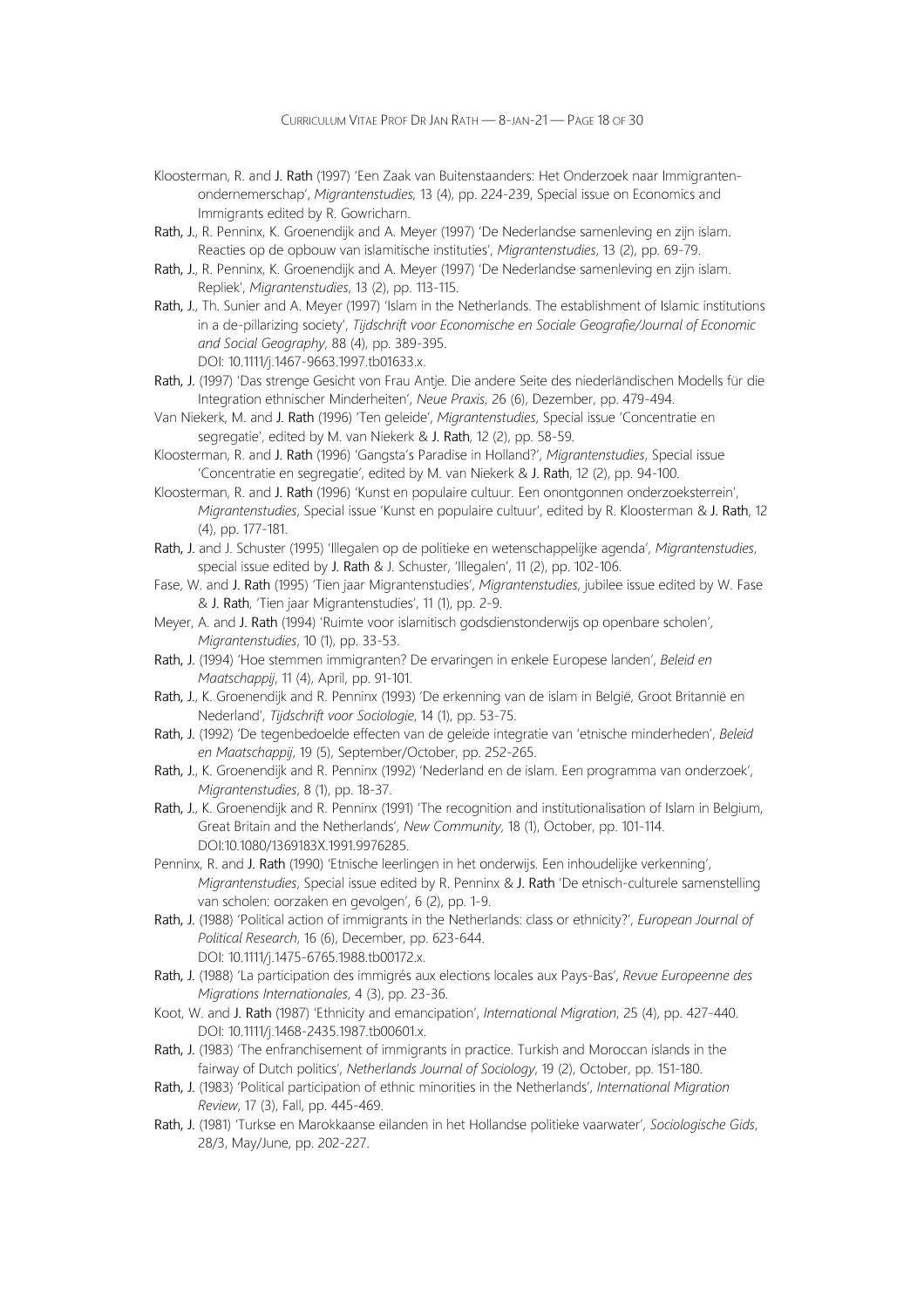- Kloosterman, R. and J. Rath (1997) 'Een Zaak van Buitenstaanders: Het Onderzoek naar Immigrantenondernemerschap', Migrantenstudies, 13 (4), pp. 224-239, Special issue on Economics and Immigrants edited by R. Gowricharn.
- Rath, J., R. Penninx, K. Groenendijk and A. Meyer (1997) 'De Nederlandse samenleving en zijn islam. Reacties op de opbouw van islamitische instituties', Migrantenstudies, 13 (2), pp. 69-79.
- Rath, J., R. Penninx, K. Groenendijk and A. Meyer (1997) 'De Nederlandse samenleving en zijn islam. Repliek', Migrantenstudies, 13 (2), pp. 113-115.
- Rath, J., Th. Sunier and A. Meyer (1997) 'Islam in the Netherlands. The establishment of Islamic institutions in a de-pillarizing society', Tijdschrift voor Economische en Sociale Geografie/Journal of Economic and Social Geography, 88 (4), pp. 389-395. DOI: 10.1111/j.1467-9663.1997.tb01633.x.
- Rath, J. (1997) 'Das strenge Gesicht von Frau Antje. Die andere Seite des niederländischen Modells für die Integration ethnischer Minderheiten', Neue Praxis, 26 (6), Dezember, pp. 479-494.
- Van Niekerk, M. and J. Rath (1996) 'Ten geleide', Migrantenstudies, Special issue 'Concentratie en segregatie', edited by M. van Niekerk & J. Rath, 12 (2), pp. 58-59.
- Kloosterman, R. and J. Rath (1996) 'Gangsta's Paradise in Holland?', Migrantenstudies, Special issue 'Concentratie en segregatie', edited by M. van Niekerk & J. Rath, 12 (2), pp. 94-100.
- Kloosterman, R. and J. Rath (1996) 'Kunst en populaire cultuur. Een onontgonnen onderzoeksterrein', Migrantenstudies, Special issue 'Kunst en populaire cultuur', edited by R. Kloosterman & J. Rath, 12 (4), pp. 177-181.
- Rath, J. and J. Schuster (1995) 'Illegalen op de politieke en wetenschappelijke agenda', Migrantenstudies, special issue edited by J. Rath & J. Schuster, 'Illegalen', 11 (2), pp. 102-106.
- Fase, W. and J. Rath (1995) 'Tien jaar Migrantenstudies', Migrantenstudies, jubilee issue edited by W. Fase & J. Rath, 'Tien jaar Migrantenstudies', 11 (1), pp. 2-9.
- Meyer, A. and J. Rath (1994) 'Ruimte voor islamitisch godsdienstonderwijs op openbare scholen', Migrantenstudies, 10 (1), pp. 33-53.
- Rath, J. (1994) 'Hoe stemmen immigranten? De ervaringen in enkele Europese landen', Beleid en Maatschappij, 11 (4), April, pp. 91-101.
- Rath, J., K. Groenendijk and R. Penninx (1993) 'De erkenning van de islam in België, Groot Britannië en Nederland', Tijdschrift voor Sociologie, 14 (1), pp. 53-75.
- Rath, J. (1992) 'De tegenbedoelde effecten van de geleide integratie van 'etnische minderheden', Beleid en Maatschappij, 19 (5), September/October, pp. 252-265.
- Rath, J., K. Groenendijk and R. Penninx (1992) 'Nederland en de islam. Een programma van onderzoek', Migrantenstudies, 8 (1), pp. 18-37.
- Rath, J., K. Groenendijk and R. Penninx (1991) 'The recognition and institutionalisation of Islam in Belgium, Great Britain and the Netherlands', New Community, 18 (1), October, pp. 101-114. DOI:10.1080/1369183X.1991.9976285.
- Penninx, R. and J. Rath (1990) 'Etnische leerlingen in het onderwijs. Een inhoudelijke verkenning', Migrantenstudies, Special issue edited by R. Penninx & J. Rath 'De etnisch-culturele samenstelling van scholen: oorzaken en gevolgen', 6 (2), pp. 1-9.
- Rath, J. (1988) 'Political action of immigrants in the Netherlands: class or ethnicity?', European Journal of Political Research, 16 (6), December, pp. 623-644. DOI: 10.1111/j.1475-6765.1988.tb00172.x.
- Rath, J. (1988) 'La participation des immigrés aux elections locales aux Pays-Bas', Revue Europeenne des Migrations Internationales, 4 (3), pp. 23-36.
- Koot, W. and J. Rath (1987) 'Ethnicity and emancipation', International Migration, 25 (4), pp. 427-440. DOI: 10.1111/j.1468-2435.1987.tb00601.x.
- Rath, J. (1983) 'The enfranchisement of immigrants in practice. Turkish and Moroccan islands in the fairway of Dutch politics', Netherlands Journal of Sociology, 19 (2), October, pp. 151-180.
- Rath, J. (1983) 'Political participation of ethnic minorities in the Netherlands', International Migration Review, 17 (3), Fall, pp. 445-469.
- Rath, J. (1981) 'Turkse en Marokkaanse eilanden in het Hollandse politieke vaarwater', Sociologische Gids, 28/3, May/June, pp. 202-227.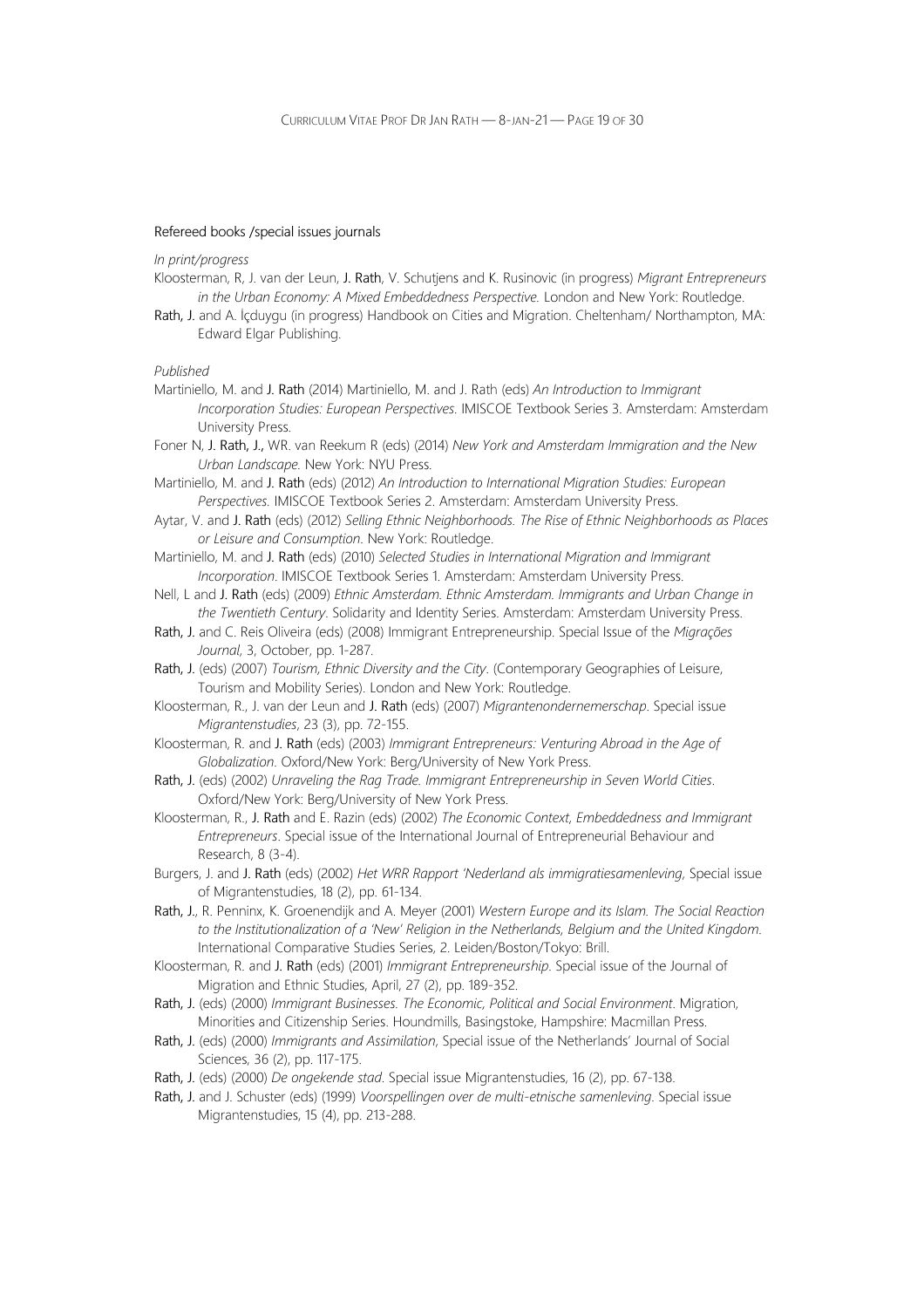#### Refereed books /special issues journals

#### In print/progress

- Kloosterman, R, J. van der Leun, J. Rath, V. Schutjens and K. Rusinovic (in progress) Migrant Entrepreneurs in the Urban Economy: A Mixed Embeddedness Perspective. London and New York: Routledge.
- Rath, J. and A. İçduygu (in progress) Handbook on Cities and Migration. Cheltenham/ Northampton, MA: Edward Elgar Publishing.

- Martiniello, M. and J. Rath (2014) Martiniello, M. and J. Rath (eds) An Introduction to Immigrant Incorporation Studies: European Perspectives. IMISCOE Textbook Series 3. Amsterdam: Amsterdam University Press.
- Foner N, J. Rath, J., WR. van Reekum R (eds) (2014) New York and Amsterdam Immigration and the New Urban Landscape. New York: NYU Press.
- Martiniello, M. and J. Rath (eds) (2012) An Introduction to International Migration Studies: European Perspectives. IMISCOE Textbook Series 2. Amsterdam: Amsterdam University Press.
- Aytar, V. and J. Rath (eds) (2012) Selling Ethnic Neighborhoods. The Rise of Ethnic Neighborhoods as Places or Leisure and Consumption. New York: Routledge.
- Martiniello, M. and J. Rath (eds) (2010) Selected Studies in International Migration and Immigrant Incorporation. IMISCOE Textbook Series 1. Amsterdam: Amsterdam University Press.
- Nell, L and J. Rath (eds) (2009) Ethnic Amsterdam. Ethnic Amsterdam. Immigrants and Urban Change in the Twentieth Century. Solidarity and Identity Series. Amsterdam: Amsterdam University Press.
- Rath, J. and C. Reis Oliveira (eds) (2008) Immigrant Entrepreneurship. Special Issue of the Migrações Journal, 3, October, pp. 1-287.
- Rath, J. (eds) (2007) Tourism, Ethnic Diversity and the City. (Contemporary Geographies of Leisure, Tourism and Mobility Series). London and New York: Routledge.
- Kloosterman, R., J. van der Leun and J. Rath (eds) (2007) Migrantenondernemerschap. Special issue Migrantenstudies, 23 (3), pp. 72-155.
- Kloosterman, R. and J. Rath (eds) (2003) Immigrant Entrepreneurs: Venturing Abroad in the Age of Globalization. Oxford/New York: Berg/University of New York Press.
- Rath, J. (eds) (2002) Unraveling the Rag Trade. Immigrant Entrepreneurship in Seven World Cities. Oxford/New York: Berg/University of New York Press.
- Kloosterman, R., J. Rath and E. Razin (eds) (2002) The Economic Context, Embeddedness and Immigrant Entrepreneurs. Special issue of the International Journal of Entrepreneurial Behaviour and Research, 8 (3-4).
- Burgers, J. and J. Rath (eds) (2002) Het WRR Rapport 'Nederland als immigratiesamenleving, Special issue of Migrantenstudies, 18 (2), pp. 61-134.
- Rath, J., R. Penninx, K. Groenendijk and A. Meyer (2001) Western Europe and its Islam. The Social Reaction to the Institutionalization of a 'New' Religion in the Netherlands, Belgium and the United Kingdom. International Comparative Studies Series, 2. Leiden/Boston/Tokyo: Brill.
- Kloosterman, R. and J. Rath (eds) (2001) Immigrant Entrepreneurship. Special issue of the Journal of Migration and Ethnic Studies, April, 27 (2), pp. 189-352.
- Rath, J. (eds) (2000) Immigrant Businesses. The Economic, Political and Social Environment. Migration, Minorities and Citizenship Series. Houndmills, Basingstoke, Hampshire: Macmillan Press.
- Rath, J. (eds) (2000) Immigrants and Assimilation, Special issue of the Netherlands' Journal of Social Sciences, 36 (2), pp. 117-175.
- Rath, J. (eds) (2000) De ongekende stad. Special issue Migrantenstudies, 16 (2), pp. 67-138.
- Rath, J. and J. Schuster (eds) (1999) Voorspellingen over de multi-etnische samenleving. Special issue Migrantenstudies, 15 (4), pp. 213-288.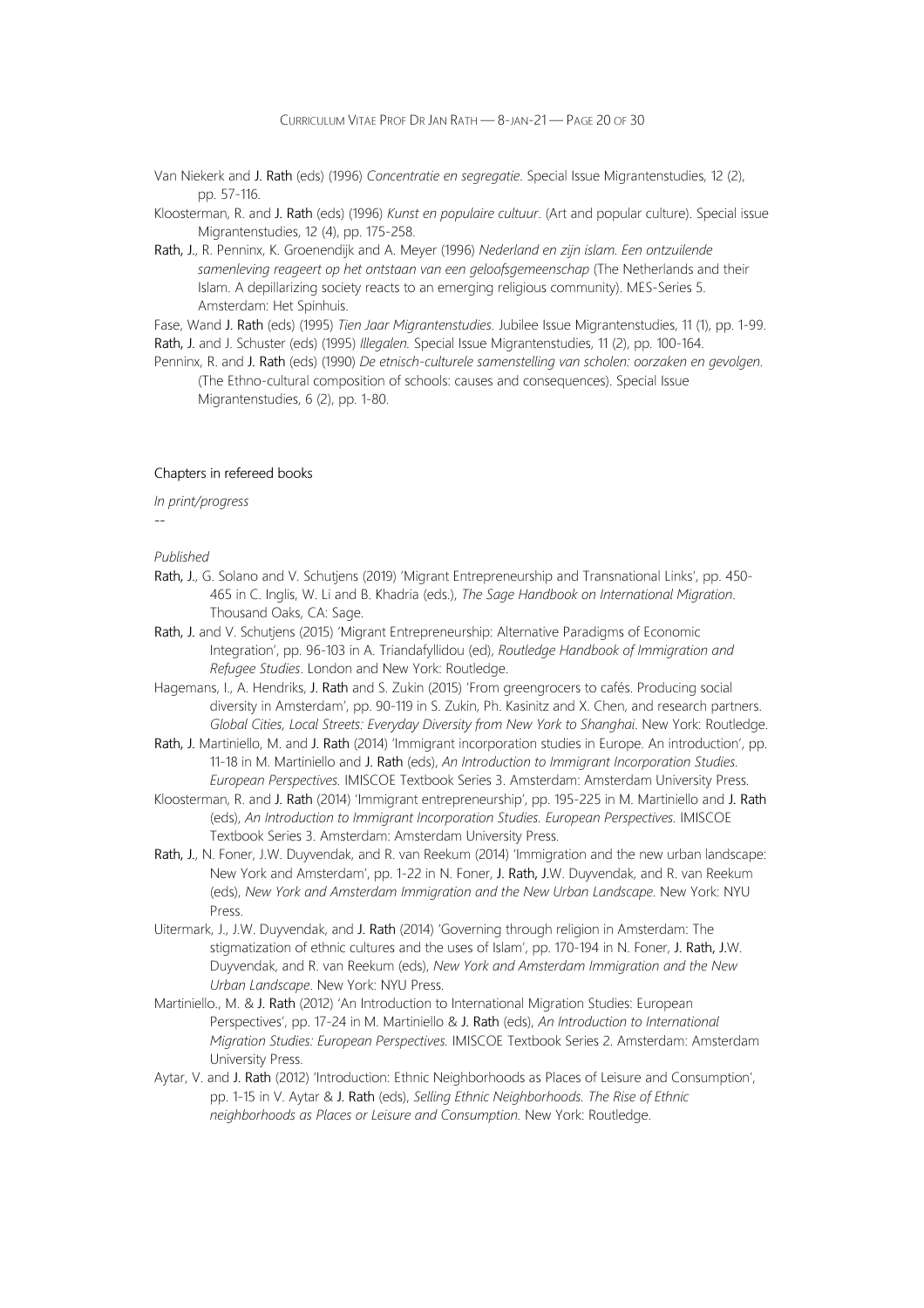- Van Niekerk and J. Rath (eds) (1996) Concentratie en segregatie. Special Issue Migrantenstudies, 12 (2), pp. 57-116.
- Kloosterman, R. and J. Rath (eds) (1996) Kunst en populaire cultuur. (Art and popular culture). Special issue Migrantenstudies, 12 (4), pp. 175-258.
- Rath, J., R. Penninx, K. Groenendijk and A. Meyer (1996) Nederland en zijn islam. Een ontzuilende samenleving reageert op het ontstaan van een geloofsgemeenschap (The Netherlands and their Islam. A depillarizing society reacts to an emerging religious community). MES-Series 5. Amsterdam: Het Spinhuis.

Fase, Wand J. Rath (eds) (1995) Tien Jaar Migrantenstudies. Jubilee Issue Migrantenstudies, 11 (1), pp. 1-99. Rath, J. and J. Schuster (eds) (1995) Illegalen. Special Issue Migrantenstudies, 11 (2), pp. 100-164.

Penninx, R. and J. Rath (eds) (1990) De etnisch-culturele samenstelling van scholen: oorzaken en gevolgen. (The Ethno-cultural composition of schools: causes and consequences). Special Issue Migrantenstudies, 6 (2), pp. 1-80.

#### Chapters in refereed books

In print/progress

#### Published

--

- Rath, J., G. Solano and V. Schutjens (2019) 'Migrant Entrepreneurship and Transnational Links', pp. 450- 465 in C. Inglis, W. Li and B. Khadria (eds.), The Sage Handbook on International Migration. Thousand Oaks, CA: Sage.
- Rath, J. and V. Schutjens (2015) 'Migrant Entrepreneurship: Alternative Paradigms of Economic Integration', pp. 96-103 in A. Triandafyllidou (ed), Routledge Handbook of Immigration and Refugee Studies. London and New York: Routledge.
- Hagemans, I., A. Hendriks, J. Rath and S. Zukin (2015) 'From greengrocers to cafés. Producing social diversity in Amsterdam', pp. 90-119 in S. Zukin, Ph. Kasinitz and X. Chen, and research partners. Global Cities, Local Streets: Everyday Diversity from New York to Shanghai. New York: Routledge.
- Rath, J. Martiniello, M. and J. Rath (2014) 'Immigrant incorporation studies in Europe. An introduction', pp. 11-18 in M. Martiniello and J. Rath (eds), An Introduction to Immigrant Incorporation Studies. European Perspectives. IMISCOE Textbook Series 3. Amsterdam: Amsterdam University Press.
- Kloosterman, R. and J. Rath (2014) 'Immigrant entrepreneurship', pp. 195-225 in M. Martiniello and J. Rath (eds), An Introduction to Immigrant Incorporation Studies. European Perspectives. IMISCOE Textbook Series 3. Amsterdam: Amsterdam University Press.
- Rath, J., N. Foner, J.W. Duyvendak, and R. van Reekum (2014) 'Immigration and the new urban landscape: New York and Amsterdam', pp. 1-22 in N. Foner, J. Rath, J.W. Duyvendak, and R. van Reekum (eds), New York and Amsterdam Immigration and the New Urban Landscape. New York: NYU Press.
- Uitermark, J., J.W. Duyvendak, and J. Rath (2014) 'Governing through religion in Amsterdam: The stigmatization of ethnic cultures and the uses of Islam', pp. 170-194 in N. Foner, J. Rath, J.W. Duyvendak, and R. van Reekum (eds), New York and Amsterdam Immigration and the New Urban Landscape. New York: NYU Press.
- Martiniello., M. & J. Rath (2012) 'An Introduction to International Migration Studies: European Perspectives', pp. 17-24 in M. Martiniello & J. Rath (eds), An Introduction to International Migration Studies: European Perspectives. IMISCOE Textbook Series 2. Amsterdam: Amsterdam University Press.
- Aytar, V. and J. Rath (2012) 'Introduction: Ethnic Neighborhoods as Places of Leisure and Consumption', pp. 1-15 in V. Aytar & J. Rath (eds), Selling Ethnic Neighborhoods. The Rise of Ethnic neighborhoods as Places or Leisure and Consumption. New York: Routledge.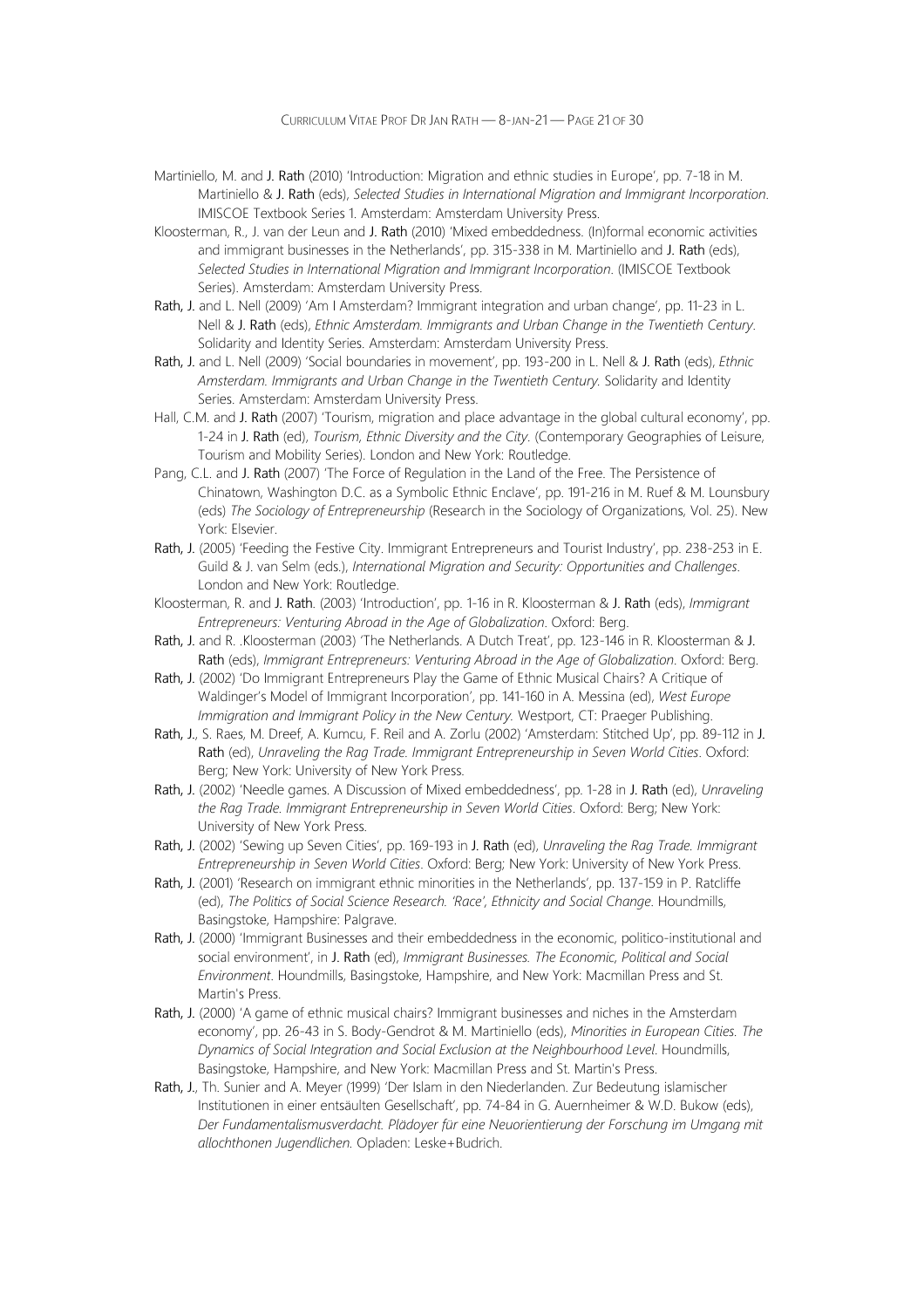- Martiniello, M. and J. Rath (2010) 'Introduction: Migration and ethnic studies in Europe', pp. 7-18 in M. Martiniello & J. Rath (eds), Selected Studies in International Migration and Immigrant Incorporation. IMISCOE Textbook Series 1. Amsterdam: Amsterdam University Press.
- Kloosterman, R., J. van der Leun and J. Rath (2010) 'Mixed embeddedness. (In)formal economic activities and immigrant businesses in the Netherlands', pp. 315-338 in M. Martiniello and J. Rath (eds), Selected Studies in International Migration and Immigrant Incorporation. (IMISCOE Textbook Series). Amsterdam: Amsterdam University Press.
- Rath, J. and L. Nell (2009) 'Am I Amsterdam? Immigrant integration and urban change', pp. 11-23 in L. Nell & J. Rath (eds), Ethnic Amsterdam. Immigrants and Urban Change in the Twentieth Century. Solidarity and Identity Series. Amsterdam: Amsterdam University Press.
- Rath, J. and L. Nell (2009) 'Social boundaries in movement', pp. 193-200 in L. Nell & J. Rath (eds), Ethnic Amsterdam. Immigrants and Urban Change in the Twentieth Century. Solidarity and Identity Series. Amsterdam: Amsterdam University Press.
- Hall, C.M. and J. Rath (2007) 'Tourism, migration and place advantage in the global cultural economy', pp. 1-24 in J. Rath (ed), Tourism, Ethnic Diversity and the City. (Contemporary Geographies of Leisure, Tourism and Mobility Series). London and New York: Routledge.
- Pang, C.L. and J. Rath (2007) 'The Force of Regulation in the Land of the Free. The Persistence of Chinatown, Washington D.C. as a Symbolic Ethnic Enclave', pp. 191-216 in M. Ruef & M. Lounsbury (eds) The Sociology of Entrepreneurship (Research in the Sociology of Organizations, Vol. 25). New York: Elsevier.
- Rath, J. (2005) 'Feeding the Festive City. Immigrant Entrepreneurs and Tourist Industry', pp. 238-253 in E. Guild & J. van Selm (eds.), International Migration and Security: Opportunities and Challenges. London and New York: Routledge.
- Kloosterman, R. and J. Rath. (2003) 'Introduction', pp. 1-16 in R. Kloosterman & J. Rath (eds), Immigrant Entrepreneurs: Venturing Abroad in the Age of Globalization. Oxford: Berg.
- Rath, J. and R. .Kloosterman (2003) 'The Netherlands. A Dutch Treat', pp. 123-146 in R. Kloosterman & J. Rath (eds), Immigrant Entrepreneurs: Venturing Abroad in the Age of Globalization. Oxford: Berg.
- Rath, J. (2002) 'Do Immigrant Entrepreneurs Play the Game of Ethnic Musical Chairs? A Critique of Waldinger's Model of Immigrant Incorporation', pp. 141-160 in A. Messina (ed), West Europe Immigration and Immigrant Policy in the New Century. Westport, CT: Praeger Publishing.
- Rath, J., S. Raes, M. Dreef, A. Kumcu, F. Reil and A. Zorlu (2002) 'Amsterdam: Stitched Up', pp. 89-112 in J. Rath (ed), Unraveling the Rag Trade. Immigrant Entrepreneurship in Seven World Cities. Oxford: Berg; New York: University of New York Press.
- Rath, J. (2002) 'Needle games. A Discussion of Mixed embeddedness', pp. 1-28 in J. Rath (ed), Unraveling the Rag Trade. Immigrant Entrepreneurship in Seven World Cities. Oxford: Berg; New York: University of New York Press.
- Rath, J. (2002) 'Sewing up Seven Cities', pp. 169-193 in J. Rath (ed), Unraveling the Rag Trade. Immigrant Entrepreneurship in Seven World Cities. Oxford: Berg; New York: University of New York Press.
- Rath, J. (2001) 'Research on immigrant ethnic minorities in the Netherlands', pp. 137-159 in P. Ratcliffe (ed), The Politics of Social Science Research. 'Race', Ethnicity and Social Change. Houndmills, Basingstoke, Hampshire: Palgrave.
- Rath, J. (2000) 'Immigrant Businesses and their embeddedness in the economic, politico-institutional and social environment', in J. Rath (ed), Immigrant Businesses. The Economic, Political and Social Environment. Houndmills, Basingstoke, Hampshire, and New York: Macmillan Press and St. Martin's Press.
- Rath, J. (2000) 'A game of ethnic musical chairs? Immigrant businesses and niches in the Amsterdam economy', pp. 26-43 in S. Body-Gendrot & M. Martiniello (eds), Minorities in European Cities. The Dynamics of Social Integration and Social Exclusion at the Neighbourhood Level. Houndmills, Basingstoke, Hampshire, and New York: Macmillan Press and St. Martin's Press.
- Rath, J., Th. Sunier and A. Meyer (1999) 'Der Islam in den Niederlanden. Zur Bedeutung islamischer Institutionen in einer entsäulten Gesellschaft', pp. 74-84 in G. Auernheimer & W.D. Bukow (eds), Der Fundamentalismusverdacht. Plädoyer für eine Neuorientierung der Forschung im Umgang mit allochthonen Jugendlichen. Opladen: Leske+Budrich.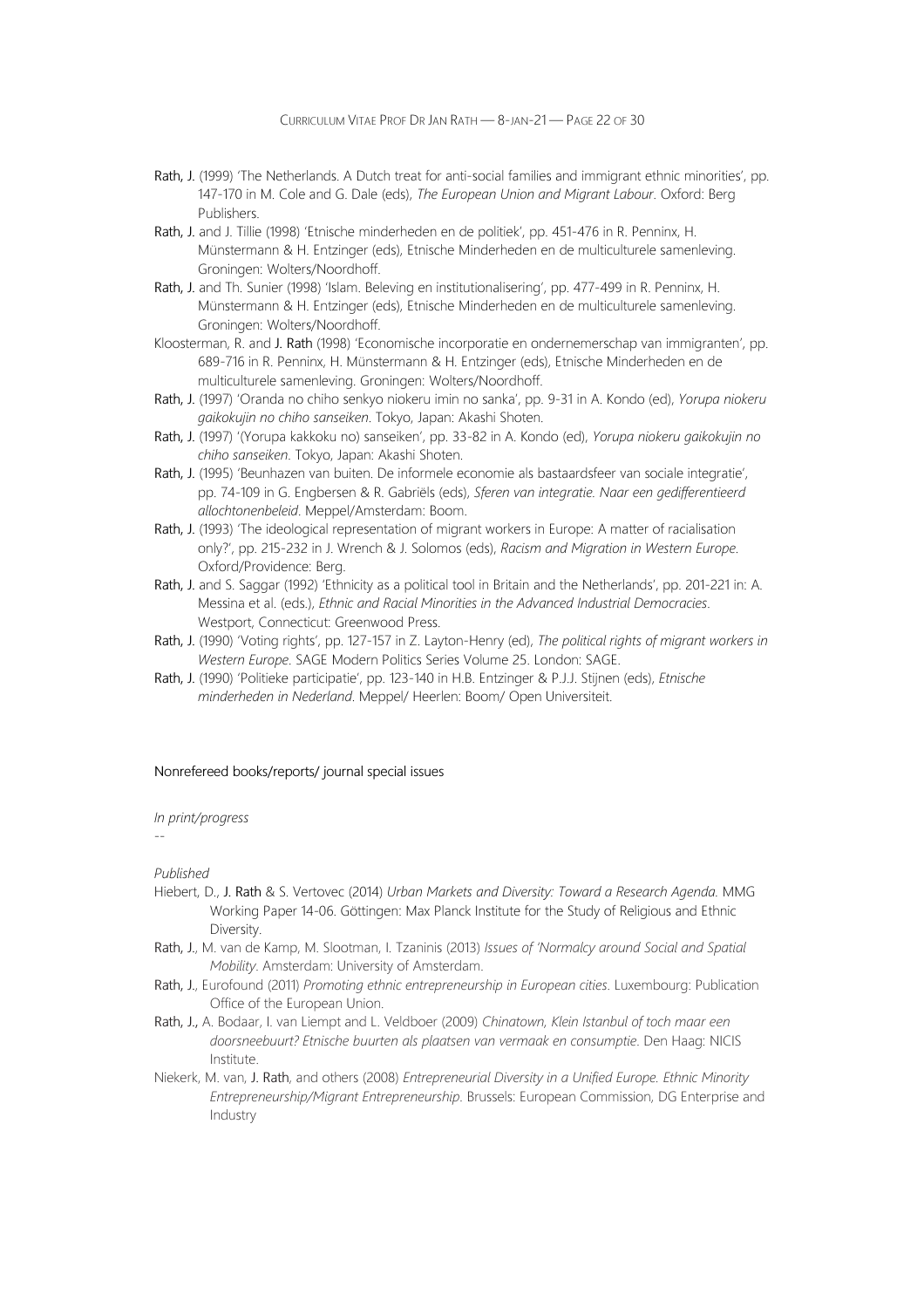- Rath, J. (1999) 'The Netherlands. A Dutch treat for anti-social families and immigrant ethnic minorities', pp. 147-170 in M. Cole and G. Dale (eds), The European Union and Migrant Labour. Oxford: Berg Publishers.
- Rath, J. and J. Tillie (1998) 'Etnische minderheden en de politiek', pp. 451-476 in R. Penninx, H. Münstermann & H. Entzinger (eds), Etnische Minderheden en de multiculturele samenleving. Groningen: Wolters/Noordhoff.
- Rath, J. and Th. Sunier (1998) 'Islam. Beleving en institutionalisering', pp. 477-499 in R. Penninx, H. Münstermann & H. Entzinger (eds), Etnische Minderheden en de multiculturele samenleving. Groningen: Wolters/Noordhoff.
- Kloosterman, R. and J. Rath (1998) 'Economische incorporatie en ondernemerschap van immigranten', pp. 689-716 in R. Penninx, H. Münstermann & H. Entzinger (eds), Etnische Minderheden en de multiculturele samenleving. Groningen: Wolters/Noordhoff.
- Rath, J. (1997) 'Oranda no chiho senkyo niokeru imin no sanka', pp. 9-31 in A. Kondo (ed), Yorupa niokeru gaikokujin no chiho sanseiken. Tokyo, Japan: Akashi Shoten.
- Rath, J. (1997) '(Yorupa kakkoku no) sanseiken', pp. 33-82 in A. Kondo (ed), Yorupa niokeru gaikokujin no chiho sanseiken. Tokyo, Japan: Akashi Shoten.
- Rath, J. (1995) 'Beunhazen van buiten. De informele economie als bastaardsfeer van sociale integratie', pp. 74-109 in G. Engbersen & R. Gabriëls (eds), Sferen van integratie. Naar een gedifferentieerd allochtonenbeleid. Meppel/Amsterdam: Boom.
- Rath, J. (1993) 'The ideological representation of migrant workers in Europe: A matter of racialisation only?', pp. 215-232 in J. Wrench & J. Solomos (eds), Racism and Migration in Western Europe. Oxford/Providence: Berg.
- Rath, J. and S. Saggar (1992) 'Ethnicity as a political tool in Britain and the Netherlands', pp. 201-221 in: A. Messina et al. (eds.), Ethnic and Racial Minorities in the Advanced Industrial Democracies. Westport, Connecticut: Greenwood Press.
- Rath, J. (1990) 'Voting rights', pp. 127-157 in Z. Layton-Henry (ed), The political rights of migrant workers in Western Europe. SAGE Modern Politics Series Volume 25. London: SAGE.
- Rath, J. (1990) 'Politieke participatie', pp. 123-140 in H.B. Entzinger & P.J.J. Stijnen (eds), Etnische minderheden in Nederland. Meppel/ Heerlen: Boom/ Open Universiteit.

#### Nonrefereed books/reports/ journal special issues

#### In print/progress

--

- Hiebert, D., J. Rath & S. Vertovec (2014) Urban Markets and Diversity: Toward a Research Agenda. MMG Working Paper 14-06. Göttingen: Max Planck Institute for the Study of Religious and Ethnic Diversity.
- Rath, J., M. van de Kamp, M. Slootman, I. Tzaninis (2013) Issues of 'Normalcy around Social and Spatial Mobility. Amsterdam: University of Amsterdam.
- Rath, J., Eurofound (2011) Promoting ethnic entrepreneurship in European cities. Luxembourg: Publication Office of the European Union.
- Rath, J., A. Bodaar, I. van Liempt and L. Veldboer (2009) Chinatown, Klein Istanbul of toch maar een doorsneebuurt? Etnische buurten als plaatsen van vermaak en consumptie. Den Haag: NICIS Institute.
- Niekerk, M. van, J. Rath, and others (2008) Entrepreneurial Diversity in a Unified Europe. Ethnic Minority Entrepreneurship/Migrant Entrepreneurship. Brussels: European Commission, DG Enterprise and Industry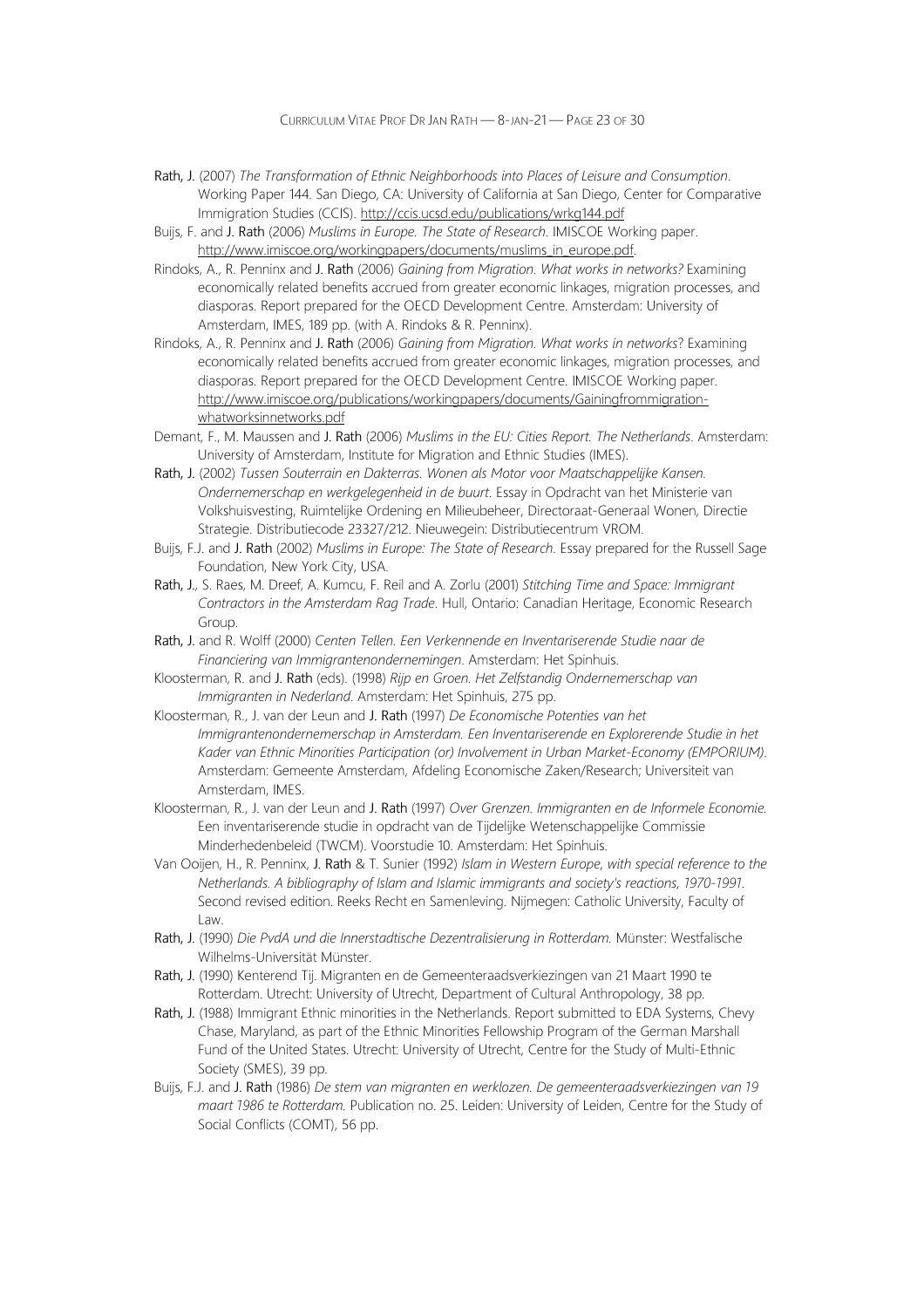CURRICULUM VITAE PROF DR JAN RATH — 8-JAN-21 — PAGE 23 OF 30

- Rath, J. (2007) The Transformation of Ethnic Neighborhoods into Places of Leisure and Consumption. Working Paper 144. San Diego, CA: University of California at San Diego, Center for Comparative Immigration Studies (CCIS). http://ccis.ucsd.edu/publications/wrkg144.pdf
- Buijs, F. and J. Rath (2006) Muslims in Europe. The State of Research. IMISCOE Working paper. http://www.imiscoe.org/workingpapers/documents/muslims\_in\_europe.pdf.
- Rindoks, A., R. Penninx and J. Rath (2006) Gaining from Migration. What works in networks? Examining economically related benefits accrued from greater economic linkages, migration processes, and diasporas. Report prepared for the OECD Development Centre. Amsterdam: University of Amsterdam, IMES, 189 pp. (with A. Rindoks & R. Penninx).
- Rindoks, A., R. Penninx and J. Rath (2006) Gaining from Migration. What works in networks? Examining economically related benefits accrued from greater economic linkages, migration processes, and diasporas. Report prepared for the OECD Development Centre. IMISCOE Working paper. http://www.imiscoe.org/publications/workingpapers/documents/Gainingfrommigrationwhatworksinnetworks.pdf
- Demant, F., M. Maussen and J. Rath (2006) Muslims in the EU: Cities Report. The Netherlands. Amsterdam: University of Amsterdam, Institute for Migration and Ethnic Studies (IMES).
- Rath, J. (2002) Tussen Souterrain en Dakterras. Wonen als Motor voor Maatschappelijke Kansen. Ondernemerschap en werkgelegenheid in de buurt. Essay in Opdracht van het Ministerie van Volkshuisvesting, Ruimtelijke Ordening en Milieubeheer, Directoraat-Generaal Wonen, Directie Strategie. Distributiecode 23327/212. Nieuwegein: Distributiecentrum VROM.
- Buijs, F.J. and J. Rath (2002) Muslims in Europe: The State of Research. Essay prepared for the Russell Sage Foundation, New York City, USA.
- Rath, J., S. Raes, M. Dreef, A. Kumcu, F. Reil and A. Zorlu (2001) Stitching Time and Space: Immigrant Contractors in the Amsterdam Rag Trade. Hull, Ontario: Canadian Heritage, Economic Research Group.
- Rath, J. and R. Wolff (2000) Centen Tellen. Een Verkennende en Inventariserende Studie naar de Financiering van Immigrantenondernemingen. Amsterdam: Het Spinhuis.
- Kloosterman, R. and J. Rath (eds). (1998) Rijp en Groen. Het Zelfstandig Ondernemerschap van Immigranten in Nederland. Amsterdam: Het Spinhuis, 275 pp.
- Kloosterman, R., J. van der Leun and J. Rath (1997) De Economische Potenties van het Immigrantenondernemerschap in Amsterdam. Een Inventariserende en Explorerende Studie in het Kader van Ethnic Minorities Participation (or) Involvement in Urban Market-Economy (EMPORIUM). Amsterdam: Gemeente Amsterdam, Afdeling Economische Zaken/Research; Universiteit van Amsterdam, IMES.
- Kloosterman, R., J. van der Leun and J. Rath (1997) Over Grenzen. Immigranten en de Informele Economie. Een inventariserende studie in opdracht van de Tijdelijke Wetenschappelijke Commissie Minderhedenbeleid (TWCM). Voorstudie 10. Amsterdam: Het Spinhuis.
- Van Ooijen, H., R. Penninx, J. Rath & T. Sunier (1992) Islam in Western Europe, with special reference to the Netherlands. A bibliography of Islam and Islamic immigrants and society's reactions, 1970-1991. Second revised edition. Reeks Recht en Samenleving. Nijmegen: Catholic University, Faculty of Law.
- Rath, J. (1990) Die PvdA und die Innerstadtische Dezentralisierung in Rotterdam. Münster: Westfalische Wilhelms-Universität Münster.
- Rath, J. (1990) Kenterend Tij. Migranten en de Gemeenteraadsverkiezingen van 21 Maart 1990 te Rotterdam. Utrecht: University of Utrecht, Department of Cultural Anthropology, 38 pp.
- Rath, J. (1988) Immigrant Ethnic minorities in the Netherlands. Report submitted to EDA Systems, Chevy Chase, Maryland, as part of the Ethnic Minorities Fellowship Program of the German Marshall Fund of the United States. Utrecht: University of Utrecht, Centre for the Study of Multi-Ethnic Society (SMES), 39 pp.
- Buijs, F.J. and J. Rath (1986) De stem van migranten en werklozen. De gemeenteraadsverkiezingen van 19 maart 1986 te Rotterdam. Publication no. 25. Leiden: University of Leiden, Centre for the Study of Social Conflicts (COMT), 56 pp.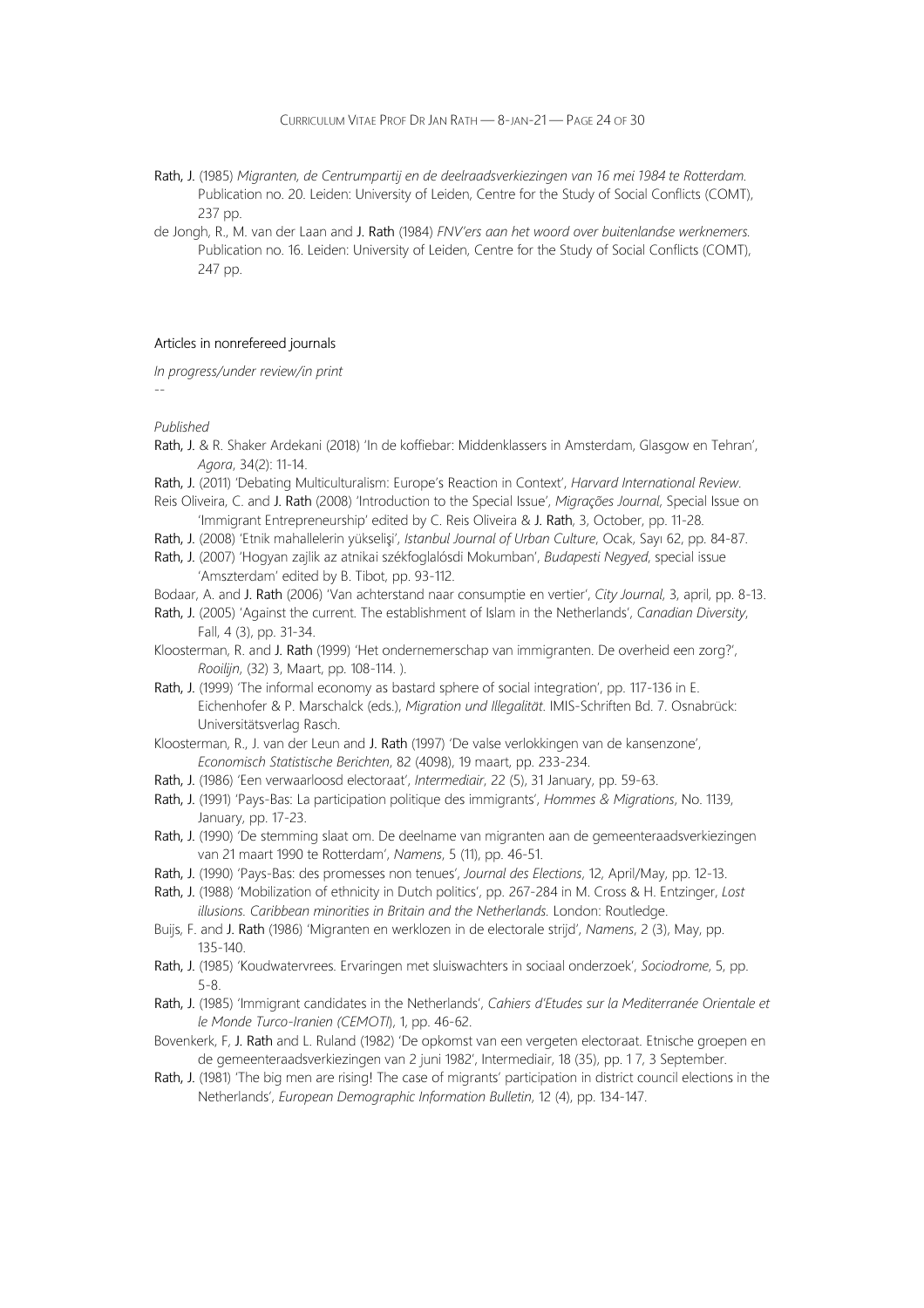CURRICULUM VITAE PROF DR JAN RATH — 8-JAN-21 — PAGE 24 OF 30

- Rath, J. (1985) Migranten, de Centrumpartij en de deelraadsverkiezingen van 16 mei 1984 te Rotterdam. Publication no. 20. Leiden: University of Leiden, Centre for the Study of Social Conflicts (COMT), 237 pp.
- de Jongh, R., M. van der Laan and J. Rath (1984) FNV'ers aan het woord over buitenlandse werknemers. Publication no. 16. Leiden: University of Leiden, Centre for the Study of Social Conflicts (COMT), 247 pp.

#### Articles in nonrefereed journals

In progress/under review/in print

--

- Rath, J. & R. Shaker Ardekani (2018) 'In de koffiebar: Middenklassers in Amsterdam, Glasgow en Tehran', Agora, 34(2): 11-14.
- Rath, J. (2011) 'Debating Multiculturalism: Europe's Reaction in Context', Harvard International Review.
- Reis Oliveira, C. and J. Rath (2008) 'Introduction to the Special Issue', Migrações Journal, Special Issue on 'Immigrant Entrepreneurship' edited by C. Reis Oliveira & J. Rath, 3, October, pp. 11-28.
- Rath, J. (2008) 'Etnik mahallelerin yükselişi', Istanbul Journal of Urban Culture, Ocak, Sayı 62, pp. 84-87.
- Rath, J. (2007) 'Hogyan zajlik az atnikai székfoglalósdi Mokumban', Budapesti Negyed, special issue 'Amszterdam' edited by B. Tibot, pp. 93-112.
- Bodaar, A. and J. Rath (2006) 'Van achterstand naar consumptie en vertier', City Journal, 3, april, pp. 8-13.
- Rath, J. (2005) 'Against the current. The establishment of Islam in the Netherlands', Canadian Diversity, Fall, 4 (3), pp. 31-34.
- Kloosterman, R. and J. Rath (1999) 'Het ondernemerschap van immigranten. De overheid een zorg?', Rooilijn, (32) 3, Maart, pp. 108-114. ).
- Rath, J. (1999) 'The informal economy as bastard sphere of social integration', pp. 117-136 in E. Eichenhofer & P. Marschalck (eds.), Migration und Illegalität. IMIS-Schriften Bd. 7. Osnabrück: Universitätsverlag Rasch.
- Kloosterman, R., J. van der Leun and J. Rath (1997) 'De valse verlokkingen van de kansenzone', Economisch Statistische Berichten, 82 (4098), 19 maart, pp. 233-234.
- Rath, J. (1986) 'Een verwaarloosd electoraat', Intermediair, 22 (5), 31 January, pp. 59-63.
- Rath, J. (1991) 'Pays-Bas: La participation politique des immigrants', Hommes & Migrations, No. 1139, January, pp. 17-23.
- Rath, J. (1990) 'De stemming slaat om. De deelname van migranten aan de gemeenteraadsverkiezingen van 21 maart 1990 te Rotterdam', Namens, 5 (11), pp. 46-51.
- Rath, J. (1990) 'Pays-Bas: des promesses non tenues', Journal des Elections, 12, April/May, pp. 12-13.
- Rath, J. (1988) 'Mobilization of ethnicity in Dutch politics', pp. 267-284 in M. Cross & H. Entzinger, Lost illusions. Caribbean minorities in Britain and the Netherlands. London: Routledge.
- Buijs, F. and J. Rath (1986) 'Migranten en werklozen in de electorale strijd', Namens, 2 (3), May, pp. 135-140.
- Rath, J. (1985) 'Koudwatervrees. Ervaringen met sluiswachters in sociaal onderzoek', Sociodrome, 5, pp. 5-8.
- Rath, J. (1985) 'Immigrant candidates in the Netherlands', Cahiers d'Etudes sur la Mediterranée Orientale et le Monde Turco-Iranien (CEMOTI), 1, pp. 46-62.
- Bovenkerk, F, J. Rath and L. Ruland (1982) 'De opkomst van een vergeten electoraat. Etnische groepen en de gemeenteraadsverkiezingen van 2 juni 1982', Intermediair, 18 (35), pp. 1 7, 3 September.
- Rath, J. (1981) 'The big men are rising! The case of migrants' participation in district council elections in the Netherlands', European Demographic Information Bulletin, 12 (4), pp. 134-147.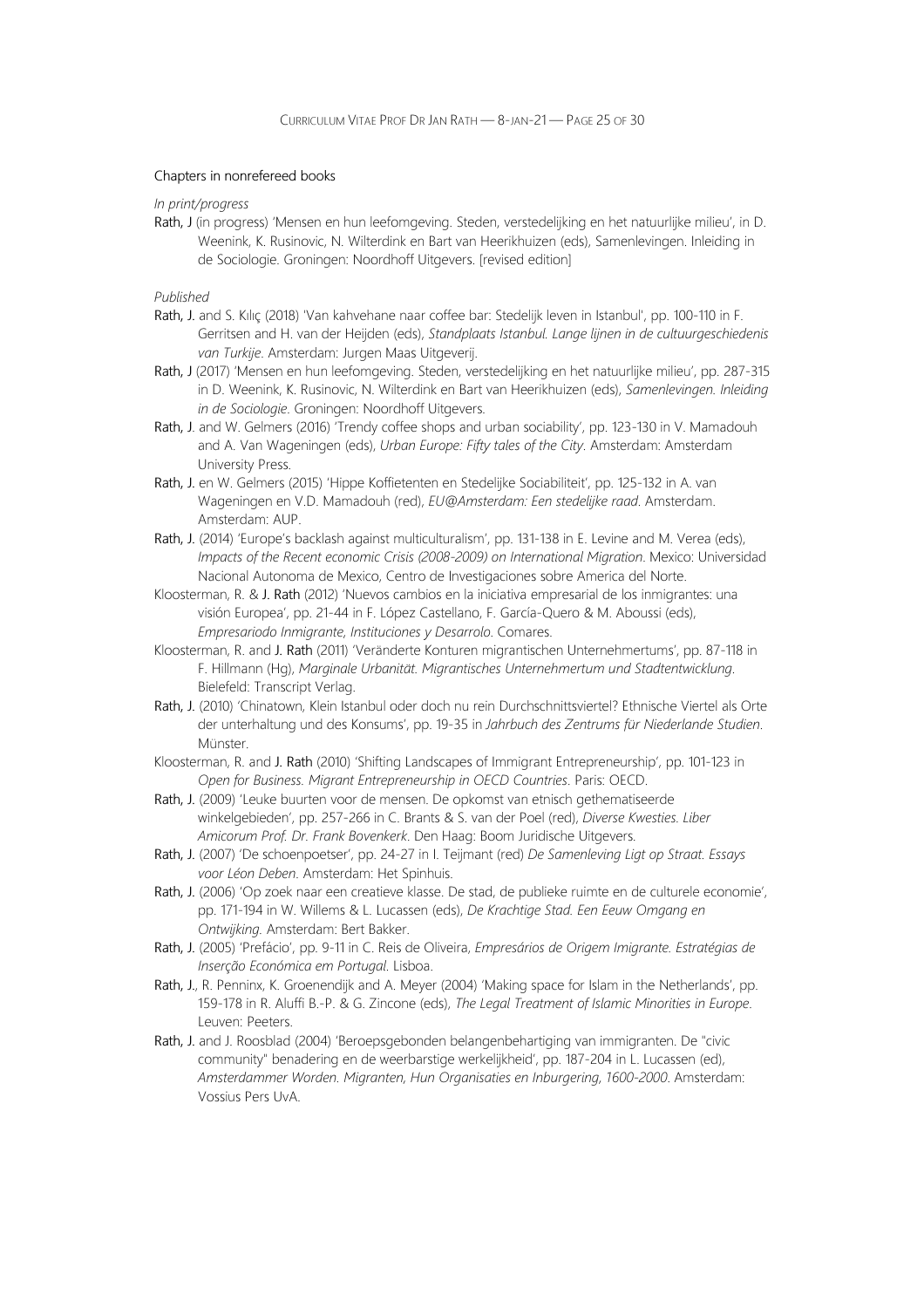#### Chapters in nonrefereed books

In print/progress

Rath, J (in progress) 'Mensen en hun leefomgeving. Steden, verstedelijking en het natuurlijke milieu', in D. Weenink, K. Rusinovic, N. Wilterdink en Bart van Heerikhuizen (eds), Samenlevingen. Inleiding in de Sociologie. Groningen: Noordhoff Uitgevers. [revised edition]

- Rath, J. and S. Kılıç (2018) 'Van kahvehane naar coffee bar: Stedelijk leven in Istanbul', pp. 100-110 in F. Gerritsen and H. van der Heijden (eds), Standplaats Istanbul. Lange lijnen in de cultuurgeschiedenis van Turkije. Amsterdam: Jurgen Maas Uitgeverij.
- Rath, J (2017) 'Mensen en hun leefomgeving. Steden, verstedelijking en het natuurlijke milieu', pp. 287-315 in D. Weenink, K. Rusinovic, N. Wilterdink en Bart van Heerikhuizen (eds), Samenlevingen. Inleiding in de Sociologie. Groningen: Noordhoff Uitgevers.
- Rath, J. and W. Gelmers (2016) 'Trendy coffee shops and urban sociability', pp. 123-130 in V. Mamadouh and A. Van Wageningen (eds), Urban Europe: Fifty tales of the City. Amsterdam: Amsterdam University Press.
- Rath, J. en W. Gelmers (2015) 'Hippe Koffietenten en Stedelijke Sociabiliteit', pp. 125-132 in A. van Wageningen en V.D. Mamadouh (red), EU@Amsterdam: Een stedelijke raad. Amsterdam. Amsterdam: AUP.
- Rath, J. (2014) 'Europe's backlash against multiculturalism', pp. 131-138 in E. Levine and M. Verea (eds), Impacts of the Recent economic Crisis (2008-2009) on International Migration. Mexico: Universidad Nacional Autonoma de Mexico, Centro de Investigaciones sobre America del Norte.
- Kloosterman, R. & J. Rath (2012) 'Nuevos cambios en la iniciativa empresarial de los inmigrantes: una visión Europea', pp. 21-44 in F. López Castellano, F. García-Quero & M. Aboussi (eds), Empresariodo Inmigrante, Instituciones y Desarrolo. Comares.
- Kloosterman, R. and J. Rath (2011) 'Veränderte Konturen migrantischen Unternehmertums', pp. 87-118 in F. Hillmann (Hg), Marginale Urbanität. Migrantisches Unternehmertum und Stadtentwicklung. Bielefeld: Transcript Verlag.
- Rath, J. (2010) 'Chinatown, Klein Istanbul oder doch nu rein Durchschnittsviertel? Ethnische Viertel als Orte der unterhaltung und des Konsums', pp. 19-35 in Jahrbuch des Zentrums für Niederlande Studien. Münster.
- Kloosterman, R. and J. Rath (2010) 'Shifting Landscapes of Immigrant Entrepreneurship', pp. 101-123 in Open for Business. Migrant Entrepreneurship in OECD Countries. Paris: OECD.
- Rath, J. (2009) 'Leuke buurten voor de mensen. De opkomst van etnisch gethematiseerde winkelgebieden', pp. 257-266 in C. Brants & S. van der Poel (red), Diverse Kwesties. Liber Amicorum Prof. Dr. Frank Bovenkerk. Den Haag: Boom Juridische Uitgevers.
- Rath, J. (2007) 'De schoenpoetser', pp. 24-27 in I. Teijmant (red) De Samenleving Ligt op Straat. Essays voor Léon Deben. Amsterdam: Het Spinhuis.
- Rath, J. (2006) 'Op zoek naar een creatieve klasse. De stad, de publieke ruimte en de culturele economie', pp. 171-194 in W. Willems & L. Lucassen (eds), De Krachtige Stad. Een Eeuw Omgang en Ontwijking. Amsterdam: Bert Bakker.
- Rath, J. (2005) 'Prefácio', pp. 9-11 in C. Reis de Oliveira, Empresários de Origem Imigrante. Estratégias de Inserção Económica em Portugal. Lisboa.
- Rath, J., R. Penninx, K. Groenendijk and A. Meyer (2004) 'Making space for Islam in the Netherlands', pp. 159-178 in R. Aluffi B.-P. & G. Zincone (eds), The Legal Treatment of Islamic Minorities in Europe. Leuven: Peeters.
- Rath, J. and J. Roosblad (2004) 'Beroepsgebonden belangenbehartiging van immigranten. De "civic community" benadering en de weerbarstige werkelijkheid', pp. 187-204 in L. Lucassen (ed), Amsterdammer Worden. Migranten, Hun Organisaties en Inburgering, 1600-2000. Amsterdam: Vossius Pers UvA.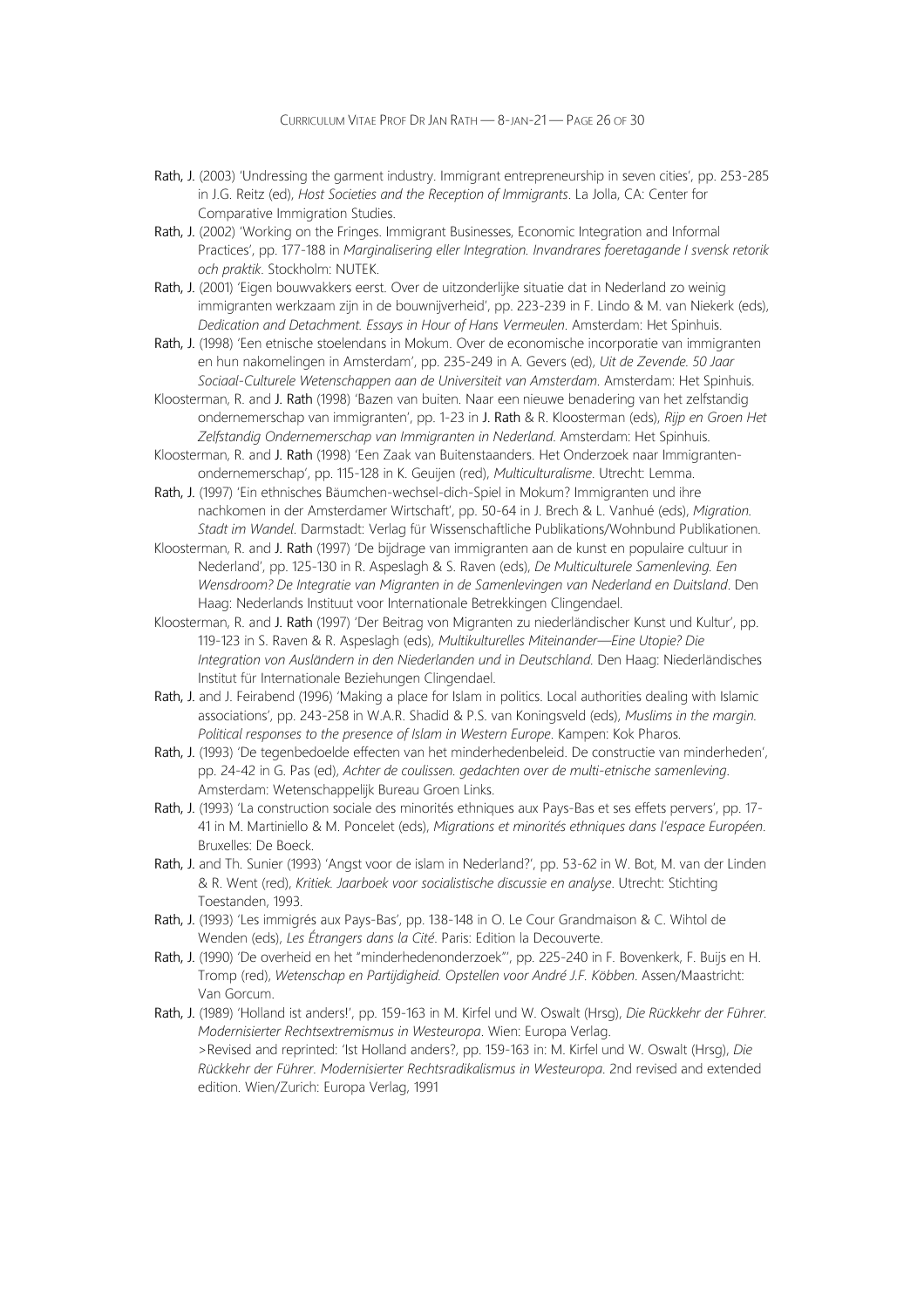- Rath, J. (2003) 'Undressing the garment industry. Immigrant entrepreneurship in seven cities', pp. 253-285 in J.G. Reitz (ed), Host Societies and the Reception of Immigrants. La Jolla, CA: Center for Comparative Immigration Studies.
- Rath, J. (2002) 'Working on the Fringes. Immigrant Businesses, Economic Integration and Informal Practices', pp. 177-188 in Marginalisering eller Integration. Invandrares foeretagande I svensk retorik och praktik. Stockholm: NUTEK.
- Rath, J. (2001) 'Eigen bouwvakkers eerst. Over de uitzonderlijke situatie dat in Nederland zo weinig immigranten werkzaam zijn in de bouwnijverheid', pp. 223-239 in F. Lindo & M. van Niekerk (eds), Dedication and Detachment. Essays in Hour of Hans Vermeulen. Amsterdam: Het Spinhuis.
- Rath, J. (1998) 'Een etnische stoelendans in Mokum. Over de economische incorporatie van immigranten en hun nakomelingen in Amsterdam', pp. 235-249 in A. Gevers (ed), Uit de Zevende. 50 Jaar Sociaal-Culturele Wetenschappen aan de Universiteit van Amsterdam. Amsterdam: Het Spinhuis.
- Kloosterman, R. and J. Rath (1998) 'Bazen van buiten. Naar een nieuwe benadering van het zelfstandig ondernemerschap van immigranten', pp. 1-23 in J. Rath & R. Kloosterman (eds), Rijp en Groen Het Zelfstandig Ondernemerschap van Immigranten in Nederland. Amsterdam: Het Spinhuis.
- Kloosterman, R. and J. Rath (1998) 'Een Zaak van Buitenstaanders. Het Onderzoek naar Immigrantenondernemerschap', pp. 115-128 in K. Geuijen (red), Multiculturalisme. Utrecht: Lemma.
- Rath, J. (1997) 'Ein ethnisches Bäumchen-wechsel-dich-Spiel in Mokum? Immigranten und ihre nachkomen in der Amsterdamer Wirtschaft', pp. 50-64 in J. Brech & L. Vanhué (eds), Migration. Stadt im Wandel. Darmstadt: Verlag für Wissenschaftliche Publikations/Wohnbund Publikationen.
- Kloosterman, R. and J. Rath (1997) 'De bijdrage van immigranten aan de kunst en populaire cultuur in Nederland', pp. 125-130 in R. Aspeslagh & S. Raven (eds), De Multiculturele Samenleving. Een Wensdroom? De Integratie van Migranten in de Samenlevingen van Nederland en Duitsland. Den Haag: Nederlands Instituut voor Internationale Betrekkingen Clingendael.
- Kloosterman, R. and J. Rath (1997) 'Der Beitrag von Migranten zu niederländischer Kunst und Kultur', pp. 119-123 in S. Raven & R. Aspeslagh (eds), Multikulturelles Miteinander—Eine Utopie? Die Integration von Ausländern in den Niederlanden und in Deutschland. Den Haag: Niederländisches Institut für Internationale Beziehungen Clingendael.
- Rath, J. and J. Feirabend (1996) 'Making a place for Islam in politics. Local authorities dealing with Islamic associations', pp. 243-258 in W.A.R. Shadid & P.S. van Koningsveld (eds), Muslims in the margin. Political responses to the presence of Islam in Western Europe. Kampen: Kok Pharos.
- Rath, J. (1993) 'De tegenbedoelde effecten van het minderhedenbeleid. De constructie van minderheden', pp. 24-42 in G. Pas (ed), Achter de coulissen. gedachten over de multi-etnische samenleving. Amsterdam: Wetenschappelijk Bureau Groen Links.
- Rath, J. (1993) 'La construction sociale des minorités ethniques aux Pays-Bas et ses effets pervers', pp. 17- 41 in M. Martiniello & M. Poncelet (eds), Migrations et minorités ethniques dans l'espace Européen. Bruxelles: De Boeck.
- Rath, J. and Th. Sunier (1993) 'Angst voor de islam in Nederland?', pp. 53-62 in W. Bot, M. van der Linden & R. Went (red), Kritiek. Jaarboek voor socialistische discussie en analyse. Utrecht: Stichting Toestanden, 1993.
- Rath, J. (1993) 'Les immigrés aux Pays-Bas', pp. 138-148 in O. Le Cour Grandmaison & C. Wihtol de Wenden (eds), Les Étrangers dans la Cité. Paris: Edition la Decouverte.
- Rath, J. (1990) 'De overheid en het "minderhedenonderzoek"', pp. 225-240 in F. Bovenkerk, F. Buijs en H. Tromp (red), Wetenschap en Partijdigheid. Opstellen voor André J.F. Köbben. Assen/Maastricht: Van Gorcum.
- Rath, J. (1989) 'Holland ist anders!', pp. 159-163 in M. Kirfel und W. Oswalt (Hrsg), Die Rückkehr der Führer. Modernisierter Rechtsextremismus in Westeuropa. Wien: Europa Verlag. >Revised and reprinted: 'Ist Holland anders?, pp. 159-163 in: M. Kirfel und W. Oswalt (Hrsg), Die Rückkehr der Führer. Modernisierter Rechtsradikalismus in Westeuropa. 2nd revised and extended edition. Wien/Zurich: Europa Verlag, 1991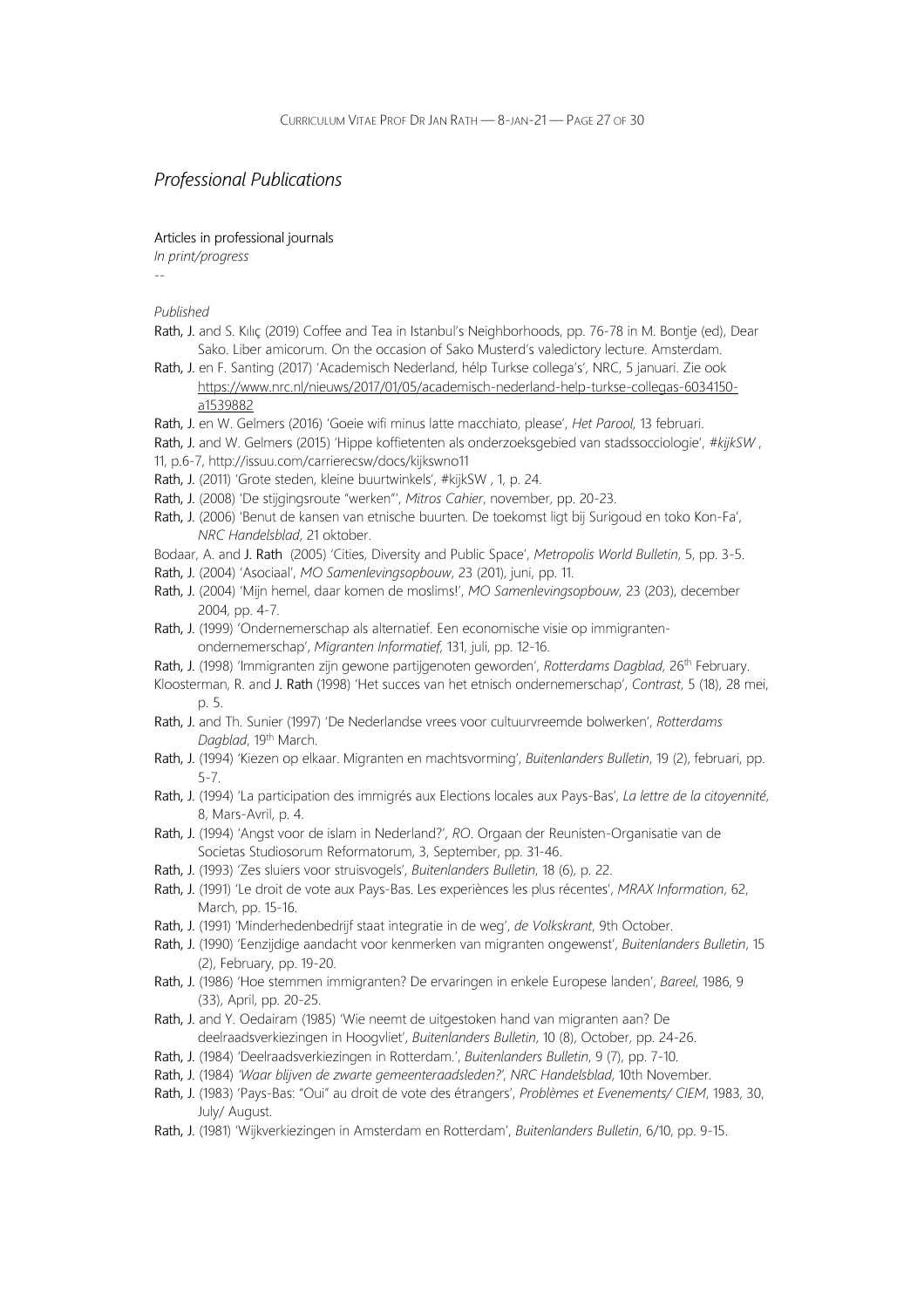### Professional Publications

Articles in professional journals

In print/progress --

- Rath, J. and S. Kılıç (2019) Coffee and Tea in Istanbul's Neighborhoods, pp. 76-78 in M. Bontje (ed), Dear Sako. Liber amicorum. On the occasion of Sako Musterd's valedictory lecture. Amsterdam.
- Rath, J. en F. Santing (2017) 'Academisch Nederland, hélp Turkse collega's', NRC, 5 januari. Zie ook https://www.nrc.nl/nieuws/2017/01/05/academisch-nederland-help-turkse-collegas-6034150 a1539882
- Rath, J. en W. Gelmers (2016) 'Goeie wifi minus latte macchiato, please', Het Parool, 13 februari.
- Rath, J. and W. Gelmers (2015) 'Hippe koffietenten als onderzoeksgebied van stadssocciologie', #kijkSW,
- 11, p.6-7, http://issuu.com/carrierecsw/docs/kijkswno11
- Rath, J. (2011) 'Grote steden, kleine buurtwinkels', #kijkSW , 1, p. 24.
- Rath, J. (2008) 'De stijgingsroute "werken"', Mitros Cahier, november, pp. 20-23.
- Rath, J. (2006) 'Benut de kansen van etnische buurten. De toekomst ligt bij Surigoud en toko Kon-Fa', NRC Handelsblad, 21 oktober.
- Bodaar, A. and J. Rath (2005) 'Cities, Diversity and Public Space', Metropolis World Bulletin, 5, pp. 3-5.
- Rath, J. (2004) 'Asociaal', MO Samenlevingsopbouw, 23 (201), juni, pp. 11.
- Rath, J. (2004) 'Mijn hemel, daar komen de moslims!', MO Samenlevingsopbouw, 23 (203), december 2004, pp. 4-7.
- Rath, J. (1999) 'Ondernemerschap als alternatief. Een economische visie op immigrantenondernemerschap', Migranten Informatief, 131, juli, pp. 12-16.
- Rath, J. (1998) 'Immigranten zijn gewone partijgenoten geworden', Rotterdams Dagblad, 26<sup>th</sup> February.
- Kloosterman, R. and J. Rath (1998) 'Het succes van het etnisch ondernemerschap', Contrast, 5 (18), 28 mei, p. 5.
- Rath, J. and Th. Sunier (1997) 'De Nederlandse vrees voor cultuurvreemde bolwerken', Rotterdams Dagblad, 19th March.
- Rath, J. (1994) 'Kiezen op elkaar. Migranten en machtsvorming', Buitenlanders Bulletin, 19 (2), februari, pp. 5-7.
- Rath, J. (1994) 'La participation des immigrés aux Elections locales aux Pays-Bas', La lettre de la citoyennité, 8, Mars-Avril, p. 4.
- Rath, J. (1994) 'Angst voor de islam in Nederland?', RO. Orgaan der Reunisten-Organisatie van de Societas Studiosorum Reformatorum, 3, September, pp. 31-46.
- Rath, J. (1993) 'Zes sluiers voor struisvogels', Buitenlanders Bulletin, 18 (6), p. 22.
- Rath, J. (1991) 'Le droit de vote aux Pays-Bas. Les experiènces les plus récentes', MRAX Information, 62, March, pp. 15-16.
- Rath, J. (1991) 'Minderhedenbedrijf staat integratie in de weg', de Volkskrant, 9th October.
- Rath, J. (1990) 'Eenzijdige aandacht voor kenmerken van migranten ongewenst', Buitenlanders Bulletin, 15 (2), February, pp. 19-20.
- Rath, J. (1986) 'Hoe stemmen immigranten? De ervaringen in enkele Europese landen', Bareel, 1986, 9 (33), April, pp. 20-25.
- Rath, J. and Y. Oedairam (1985) 'Wie neemt de uitgestoken hand van migranten aan? De deelraadsverkiezingen in Hoogvliet', Buitenlanders Bulletin, 10 (8), October, pp. 24-26.
- Rath, J. (1984) 'Deelraadsverkiezingen in Rotterdam.', Buitenlanders Bulletin, 9 (7), pp. 7-10.
- Rath, J. (1984) 'Waar blijven de zwarte gemeenteraadsleden?', NRC Handelsblad, 10th November.
- Rath, J. (1983) 'Pays-Bas: "Oui" au droit de vote des étrangers', Problèmes et Evenements/ CIEM, 1983, 30, July/ August.
- Rath, J. (1981) 'Wijkverkiezingen in Amsterdam en Rotterdam', Buitenlanders Bulletin, 6/10, pp. 9-15.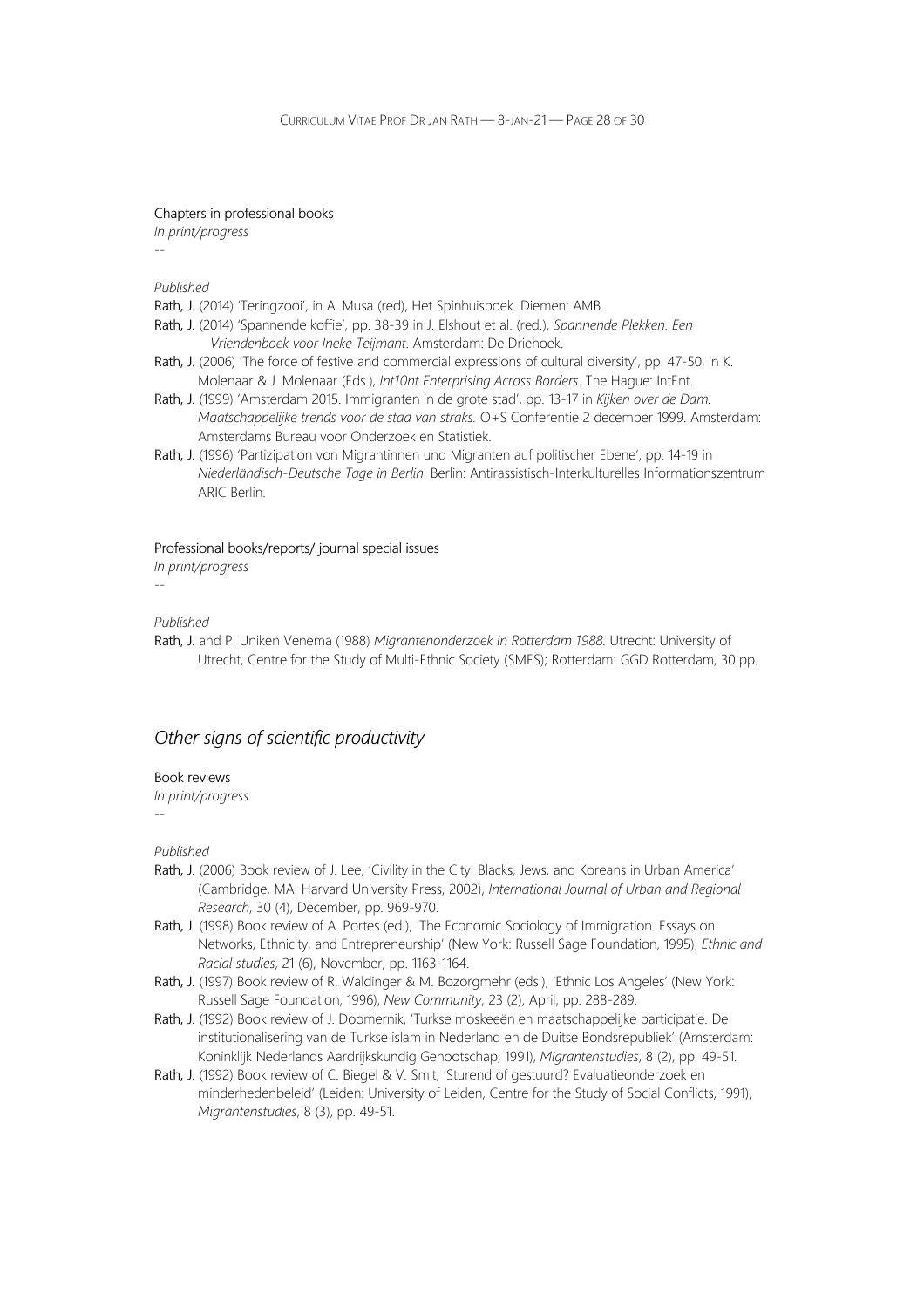#### Chapters in professional books

In print/progress --

Published

Rath, J. (2014) 'Teringzooi', in A. Musa (red), Het Spinhuisboek. Diemen: AMB.

- Rath, J. (2014) 'Spannende koffie', pp. 38-39 in J. Elshout et al. (red.), Spannende Plekken. Een Vriendenboek voor Ineke Teijmant. Amsterdam: De Driehoek.
- Rath, J. (2006) 'The force of festive and commercial expressions of cultural diversity', pp. 47-50, in K. Molenaar & J. Molenaar (Eds.), Int10nt Enterprising Across Borders. The Hague: IntEnt.
- Rath, J. (1999) 'Amsterdam 2015. Immigranten in de grote stad', pp. 13-17 in Kijken over de Dam. Maatschappelijke trends voor de stad van straks. O+S Conferentie 2 december 1999. Amsterdam: Amsterdams Bureau voor Onderzoek en Statistiek.
- Rath, J. (1996) 'Partizipation von Migrantinnen und Migranten auf politischer Ebene', pp. 14-19 in Niederländisch-Deutsche Tage in Berlin. Berlin: Antirassistisch-Interkulturelles Informationszentrum ARIC Berlin.

Professional books/reports/ journal special issues

In print/progress --

Published

Rath, J. and P. Uniken Venema (1988) Migrantenonderzoek in Rotterdam 1988. Utrecht: University of Utrecht, Centre for the Study of Multi-Ethnic Society (SMES); Rotterdam: GGD Rotterdam, 30 pp.

### Other signs of scientific productivity

#### Book reviews

In print/progress

Published

--

- Rath, J. (2006) Book review of J. Lee, 'Civility in the City. Blacks, Jews, and Koreans in Urban America' (Cambridge, MA: Harvard University Press, 2002), International Journal of Urban and Regional Research, 30 (4), December, pp. 969-970.
- Rath, J. (1998) Book review of A. Portes (ed.), 'The Economic Sociology of Immigration. Essays on Networks, Ethnicity, and Entrepreneurship' (New York: Russell Sage Foundation, 1995), Ethnic and Racial studies, 21 (6), November, pp. 1163-1164.
- Rath, J. (1997) Book review of R. Waldinger & M. Bozorgmehr (eds.), 'Ethnic Los Angeles' (New York: Russell Sage Foundation, 1996), New Community, 23 (2), April, pp. 288-289.
- Rath, J. (1992) Book review of J. Doomernik, 'Turkse moskeeën en maatschappelijke participatie. De institutionalisering van de Turkse islam in Nederland en de Duitse Bondsrepubliek' (Amsterdam: Koninklijk Nederlands Aardrijkskundig Genootschap, 1991), Migrantenstudies, 8 (2), pp. 49-51.
- Rath, J. (1992) Book review of C. Biegel & V. Smit, 'Sturend of gestuurd? Evaluatieonderzoek en minderhedenbeleid' (Leiden: University of Leiden, Centre for the Study of Social Conflicts, 1991), Migrantenstudies, 8 (3), pp. 49-51.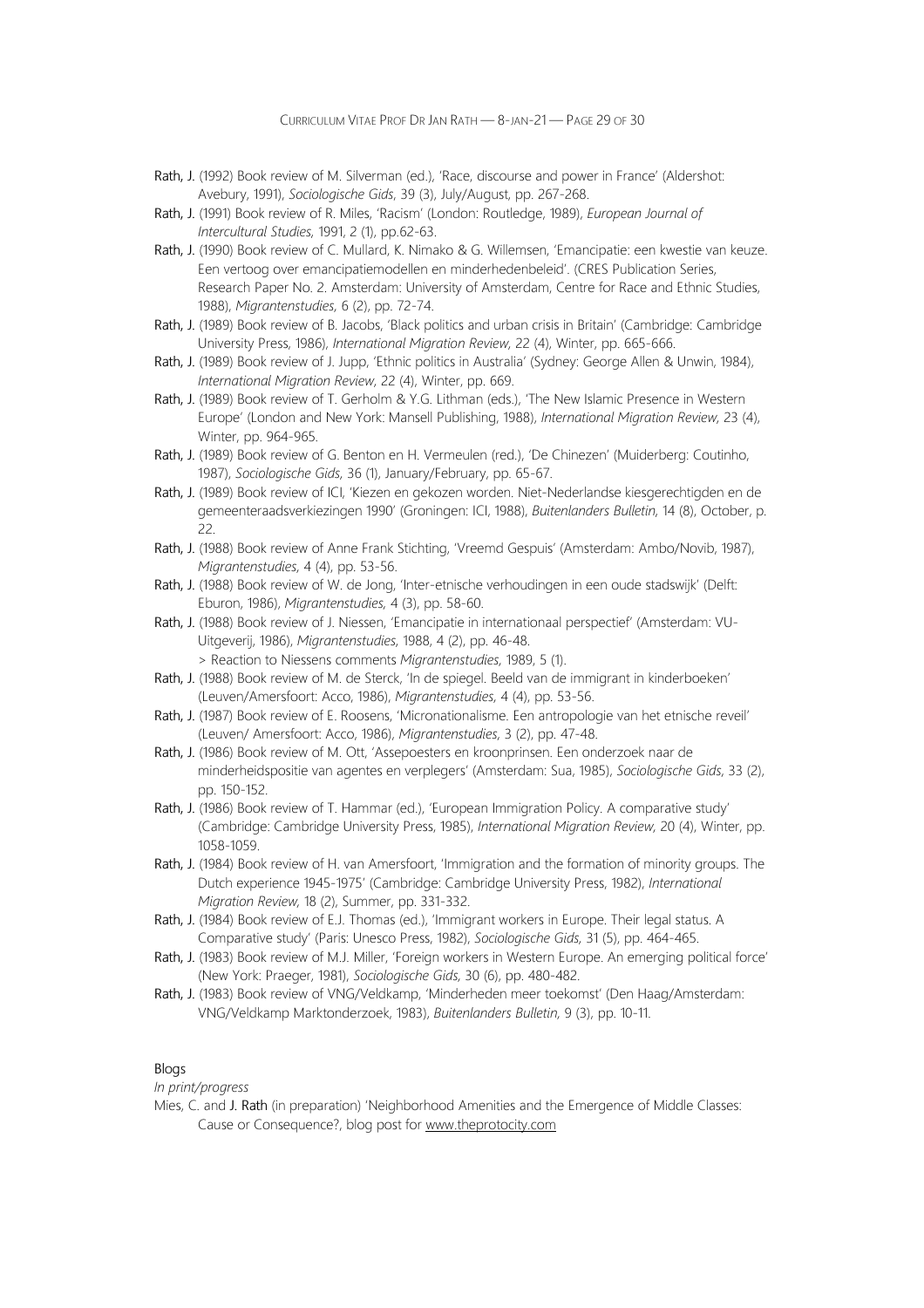- Rath, J. (1992) Book review of M. Silverman (ed.), 'Race, discourse and power in France' (Aldershot: Avebury, 1991), Sociologische Gids, 39 (3), July/August, pp. 267-268.
- Rath, J. (1991) Book review of R. Miles, 'Racism' (London: Routledge, 1989), European Journal of Intercultural Studies, 1991, 2 (1), pp.62-63.
- Rath, J. (1990) Book review of C. Mullard, K. Nimako & G. Willemsen, 'Emancipatie: een kwestie van keuze. Een vertoog over emancipatiemodellen en minderhedenbeleid'. (CRES Publication Series, Research Paper No. 2. Amsterdam: University of Amsterdam, Centre for Race and Ethnic Studies, 1988), Migrantenstudies, 6 (2), pp. 72-74.
- Rath, J. (1989) Book review of B. Jacobs, 'Black politics and urban crisis in Britain' (Cambridge: Cambridge University Press, 1986), International Migration Review, 22 (4), Winter, pp. 665-666.
- Rath, J. (1989) Book review of J. Jupp, 'Ethnic politics in Australia' (Sydney: George Allen & Unwin, 1984), International Migration Review, 22 (4), Winter, pp. 669.
- Rath, J. (1989) Book review of T. Gerholm & Y.G. Lithman (eds.), 'The New Islamic Presence in Western Europe' (London and New York: Mansell Publishing, 1988), International Migration Review, 23 (4), Winter, pp. 964-965.
- Rath, J. (1989) Book review of G. Benton en H. Vermeulen (red.), 'De Chinezen' (Muiderberg: Coutinho, 1987), Sociologische Gids, 36 (1), January/February, pp. 65-67.
- Rath, J. (1989) Book review of ICI, 'Kiezen en gekozen worden. Niet-Nederlandse kiesgerechtigden en de gemeenteraadsverkiezingen 1990' (Groningen: ICI, 1988), Buitenlanders Bulletin, 14 (8), October, p. 22.
- Rath, J. (1988) Book review of Anne Frank Stichting, 'Vreemd Gespuis' (Amsterdam: Ambo/Novib, 1987), Migrantenstudies, 4 (4), pp. 53-56.
- Rath, J. (1988) Book review of W. de Jong, 'Inter-etnische verhoudingen in een oude stadswijk' (Delft: Eburon, 1986), Migrantenstudies, 4 (3), pp. 58-60.
- Rath, J. (1988) Book review of J. Niessen, 'Emancipatie in internationaal perspectief' (Amsterdam: VU-Uitgeverij, 1986), Migrantenstudies, 1988, 4 (2), pp. 46-48. > Reaction to Niessens comments Migrantenstudies, 1989, 5 (1).
- Rath, J. (1988) Book review of M. de Sterck, 'In de spiegel. Beeld van de immigrant in kinderboeken' (Leuven/Amersfoort: Acco, 1986), Migrantenstudies, 4 (4), pp. 53-56.
- Rath, J. (1987) Book review of E. Roosens, 'Micronationalisme. Een antropologie van het etnische reveil' (Leuven/ Amersfoort: Acco, 1986), Migrantenstudies, 3 (2), pp. 47-48.
- Rath, J. (1986) Book review of M. Ott, 'Assepoesters en kroonprinsen. Een onderzoek naar de minderheidspositie van agentes en verplegers' (Amsterdam: Sua, 1985), Sociologische Gids, 33 (2), pp. 150-152.
- Rath, J. (1986) Book review of T. Hammar (ed.), 'European Immigration Policy. A comparative study' (Cambridge: Cambridge University Press, 1985), International Migration Review, 20 (4), Winter, pp. 1058-1059.
- Rath, J. (1984) Book review of H. van Amersfoort, 'Immigration and the formation of minority groups. The Dutch experience 1945-1975' (Cambridge: Cambridge University Press, 1982), International Migration Review, 18 (2), Summer, pp. 331-332.
- Rath, J. (1984) Book review of E.J. Thomas (ed.), 'Immigrant workers in Europe. Their legal status. A Comparative study' (Paris: Unesco Press, 1982), Sociologische Gids, 31 (5), pp. 464-465.
- Rath, J. (1983) Book review of M.J. Miller, 'Foreign workers in Western Europe. An emerging political force' (New York: Praeger, 1981), Sociologische Gids, 30 (6), pp. 480-482.
- Rath, J. (1983) Book review of VNG/Veldkamp, 'Minderheden meer toekomst' (Den Haag/Amsterdam: VNG/Veldkamp Marktonderzoek, 1983), Buitenlanders Bulletin, 9 (3), pp. 10-11.

#### Blogs

In print/progress

Mies, C. and J. Rath (in preparation) 'Neighborhood Amenities and the Emergence of Middle Classes: Cause or Consequence?, blog post for www.theprotocity.com